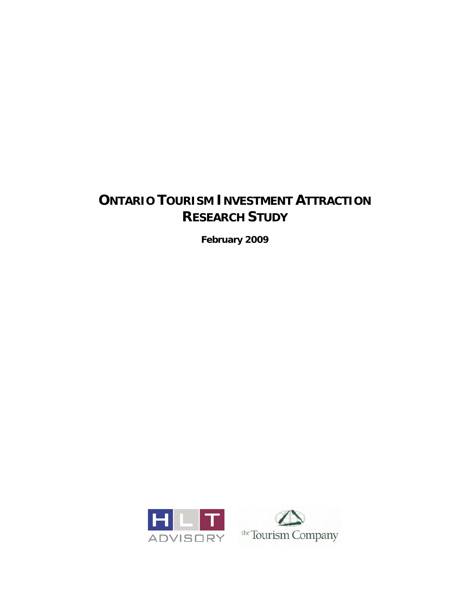# **ONTARIO TOURISM INVESTMENT ATTRACTION RESEARCH STUDY**

**February 2009** 



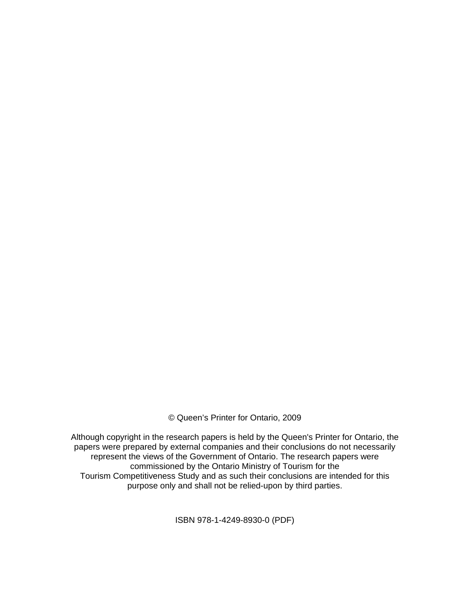© Queen's Printer for Ontario, 2009

Although copyright in the research papers is held by the Queen's Printer for Ontario, the papers were prepared by external companies and their conclusions do not necessarily represent the views of the Government of Ontario. The research papers were commissioned by the Ontario Ministry of Tourism for the Tourism Competitiveness Study and as such their conclusions are intended for this purpose only and shall not be relied-upon by third parties.

ISBN 978-1-4249-8930-0 (PDF)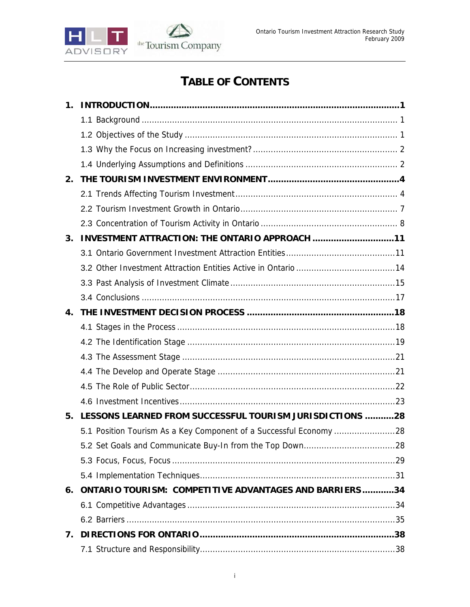

# **TABLE OF CONTENTS**

| $\mathbf 1$ . |                                                               |  |
|---------------|---------------------------------------------------------------|--|
|               |                                                               |  |
|               |                                                               |  |
|               |                                                               |  |
|               |                                                               |  |
| 2.            |                                                               |  |
|               |                                                               |  |
|               |                                                               |  |
|               |                                                               |  |
| 3.            | INVESTMENT ATTRACTION: THE ONTARIO APPROACH 11                |  |
|               |                                                               |  |
|               |                                                               |  |
|               |                                                               |  |
|               |                                                               |  |
| 4.            |                                                               |  |
|               |                                                               |  |
|               |                                                               |  |
|               |                                                               |  |
|               |                                                               |  |
|               |                                                               |  |
|               |                                                               |  |
| 5.            | LESSONS LEARNED FROM SUCCESSFUL TOURISM JURISDICTIONS 28      |  |
|               |                                                               |  |
|               |                                                               |  |
|               |                                                               |  |
|               |                                                               |  |
| 6.            | <b>ONTARIO TOURISM: COMPETITIVE ADVANTAGES AND BARRIERS34</b> |  |
|               |                                                               |  |
|               |                                                               |  |
| 7.            |                                                               |  |
|               |                                                               |  |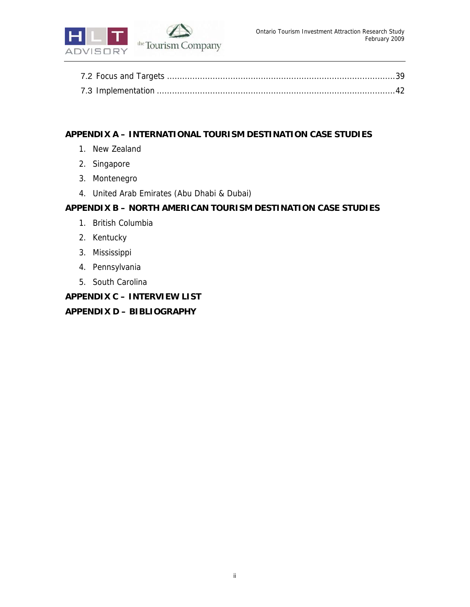

## **APPENDIX A – INTERNATIONAL TOURISM DESTINATION CASE STUDIES**

- 1. New Zealand
- 2. Singapore
- 3. Montenegro
- 4. United Arab Emirates (Abu Dhabi & Dubai)

## **APPENDIX B – NORTH AMERICAN TOURISM DESTINATION CASE STUDIES**

- 1. British Columbia
- 2. Kentucky
- 3. Mississippi
- 4. Pennsylvania
- 5. South Carolina

# **APPENDIX C – INTERVIEW LIST APPENDIX D – BIBLIOGRAPHY**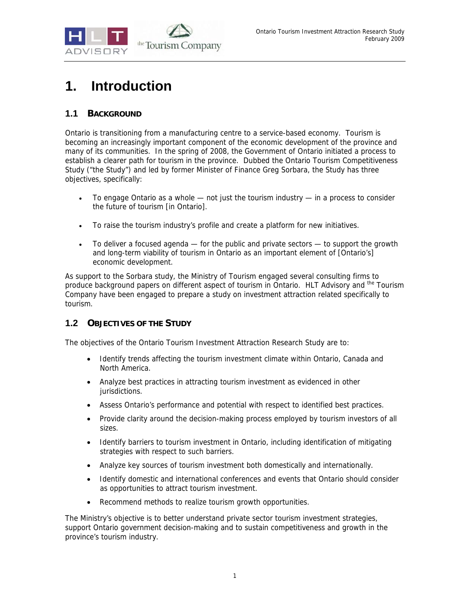

# **1. Introduction**

# **1.1 BACKGROUND**

Ontario is transitioning from a manufacturing centre to a service-based economy. Tourism is becoming an increasingly important component of the economic development of the province and many of its communities. In the spring of 2008, the Government of Ontario initiated a process to establish a clearer path for tourism in the province. Dubbed the Ontario Tourism Competitiveness Study ("the Study") and led by former Minister of Finance Greg Sorbara, the Study has three objectives, specifically:

- To engage Ontario as a whole not just the tourism industry in a process to consider the future of tourism [in Ontario].
- To raise the tourism industry's profile and create a platform for new initiatives.
- To deliver a focused agenda for the public and private sectors to support the growth and long-term viability of tourism in Ontario as an important element of [Ontario's] economic development.

As support to the Sorbara study, the Ministry of Tourism engaged several consulting firms to produce background papers on different aspect of tourism in Ontario. HLT Advisory and the Tourism Company have been engaged to prepare a study on investment attraction related specifically to tourism.

## **1.2 OBJECTIVES OF THE STUDY**

The objectives of the Ontario Tourism Investment Attraction Research Study are to:

- Identify trends affecting the tourism investment climate within Ontario, Canada and North America.
- Analyze best practices in attracting tourism investment as evidenced in other jurisdictions.
- Assess Ontario's performance and potential with respect to identified best practices.
- Provide clarity around the decision-making process employed by tourism investors of all sizes.
- Identify barriers to tourism investment in Ontario, including identification of mitigating strategies with respect to such barriers.
- Analyze key sources of tourism investment both domestically and internationally.
- Identify domestic and international conferences and events that Ontario should consider as opportunities to attract tourism investment.
- Recommend methods to realize tourism growth opportunities.

The Ministry's objective is to better understand private sector tourism investment strategies, support Ontario government decision-making and to sustain competitiveness and growth in the province's tourism industry.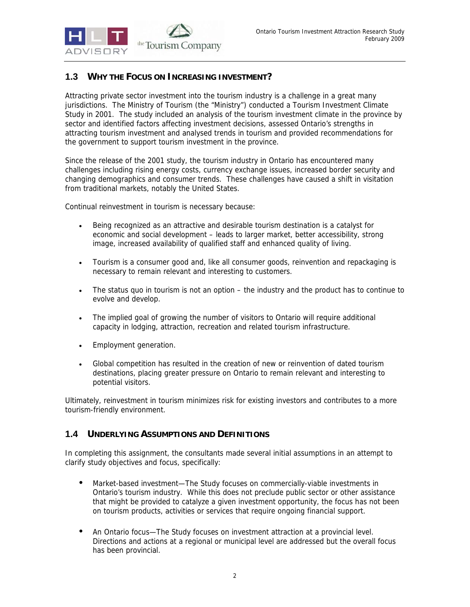

## **1.3 WHY THE FOCUS ON INCREASING INVESTMENT?**

Attracting private sector investment into the tourism industry is a challenge in a great many jurisdictions. The Ministry of Tourism (the "Ministry") conducted a Tourism Investment Climate Study in 2001. The study included an analysis of the tourism investment climate in the province by sector and identified factors affecting investment decisions, assessed Ontario's strengths in attracting tourism investment and analysed trends in tourism and provided recommendations for the government to support tourism investment in the province.

Since the release of the 2001 study, the tourism industry in Ontario has encountered many challenges including rising energy costs, currency exchange issues, increased border security and changing demographics and consumer trends. These challenges have caused a shift in visitation from traditional markets, notably the United States.

Continual reinvestment in tourism is necessary because:

- Being recognized as an attractive and desirable tourism destination is a catalyst for economic and social development – leads to larger market, better accessibility, strong image, increased availability of qualified staff and enhanced quality of living.
- Tourism is a consumer good and, like all consumer goods, reinvention and repackaging is necessary to remain relevant and interesting to customers.
- The status quo in tourism is not an option the industry and the product has to continue to evolve and develop.
- The implied goal of growing the number of visitors to Ontario will require additional capacity in lodging, attraction, recreation and related tourism infrastructure.
- Employment generation.
- Global competition has resulted in the creation of new or reinvention of dated tourism destinations, placing greater pressure on Ontario to remain relevant and interesting to potential visitors.

Ultimately, reinvestment in tourism minimizes risk for existing investors and contributes to a more tourism-friendly environment.

## **1.4 UNDERLYING ASSUMPTIONS AND DEFINITIONS**

In completing this assignment, the consultants made several initial assumptions in an attempt to clarify study objectives and focus, specifically:

- Market-based investment—The Study focuses on commercially-viable investments in Ontario's tourism industry. While this does not preclude public sector or other assistance that might be provided to catalyze a given investment opportunity, the focus has not been on tourism products, activities or services that require ongoing financial support.
- An Ontario focus—The Study focuses on investment attraction at a provincial level. Directions and actions at a regional or municipal level are addressed but the overall focus has been provincial.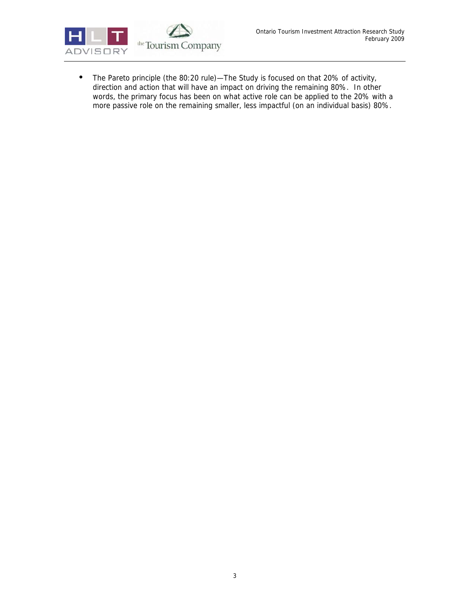

• The Pareto principle (the 80:20 rule)—The Study is focused on that 20% of activity, direction and action that will have an impact on driving the remaining 80%. In other words, the primary focus has been on what active role can be applied to the 20% with a more passive role on the remaining smaller, less impactful (on an individual basis) 80%.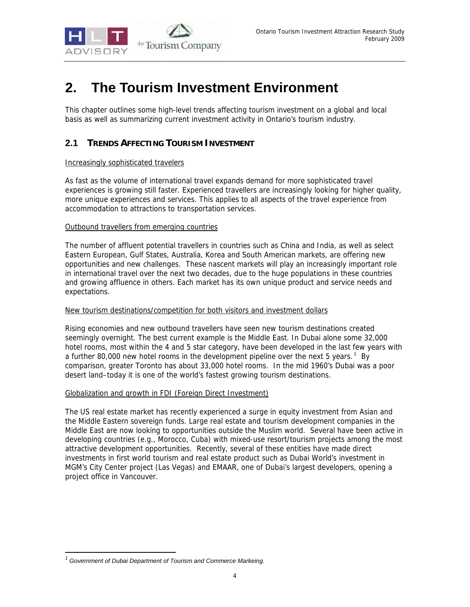

# **2. The Tourism Investment Environment**

This chapter outlines some high-level trends affecting tourism investment on a global and local basis as well as summarizing current investment activity in Ontario's tourism industry.

# **2.1 TRENDS AFFECTING TOURISM INVESTMENT**

### Increasingly sophisticated travelers

As fast as the volume of international travel expands demand for more sophisticated travel experiences is growing still faster. Experienced travellers are increasingly looking for higher quality, more unique experiences and services. This applies to all aspects of the travel experience from accommodation to attractions to transportation services.

### Outbound travellers from emerging countries

The number of affluent potential travellers in countries such as China and India, as well as select Eastern European, Gulf States, Australia, Korea and South American markets, are offering new opportunities and new challenges. These nascent markets will play an increasingly important role in international travel over the next two decades, due to the huge populations in these countries and growing affluence in others. Each market has its own unique product and service needs and expectations.

### New tourism destinations/competition for both visitors and investment dollars

Rising economies and new outbound travellers have seen new tourism destinations created seemingly overnight. The best current example is the Middle East. In Dubai alone some 32,000 hotel rooms, most within the 4 and 5 star category, have been developed in the last few years with a further 80,000 new hotel rooms in the development pipeline over the next 5 years.<sup>1</sup> By comparison, greater Toronto has about 33,000 hotel rooms. In the mid 1960's Dubai was a poor desert land–today it is one of the world's fastest growing tourism destinations.

### Globalization and growth in FDI (Foreign Direct Investment)

The US real estate market has recently experienced a surge in equity investment from Asian and the Middle Eastern sovereign funds. Large real estate and tourism development companies in the Middle East are now looking to opportunities outside the Muslim world. Several have been active in developing countries (e.g., Morocco, Cuba) with mixed-use resort/tourism projects among the most attractive development opportunities. Recently, several of these entities have made direct investments in first world tourism and real estate product such as Dubai World's investment in MGM's City Center project (Las Vegas) and EMAAR, one of Dubai's largest developers, opening a project office in Vancouver.

-

<sup>&</sup>lt;sup>1</sup> Government of Dubai Department of Tourism and Commerce Markeing.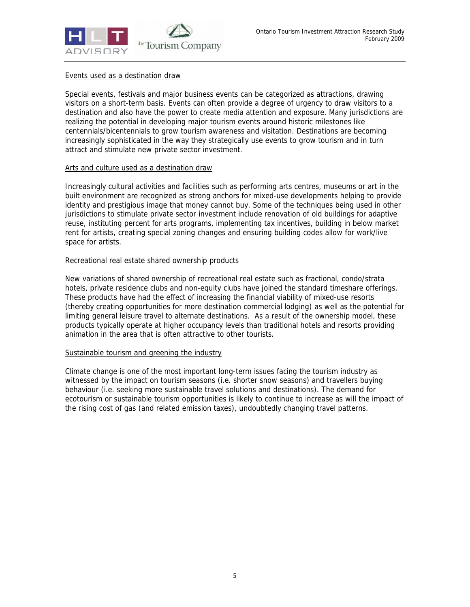

### Events used as a destination draw

Special events, festivals and major business events can be categorized as attractions, drawing visitors on a short-term basis. Events can often provide a degree of urgency to draw visitors to a destination and also have the power to create media attention and exposure. Many jurisdictions are realizing the potential in developing major tourism events around historic milestones like centennials/bicentennials to grow tourism awareness and visitation. Destinations are becoming increasingly sophisticated in the way they strategically use events to grow tourism and in turn attract and stimulate new private sector investment.

#### Arts and culture used as a destination draw

Increasingly cultural activities and facilities such as performing arts centres, museums or art in the built environment are recognized as strong anchors for mixed-use developments helping to provide identity and prestigious image that money cannot buy. Some of the techniques being used in other jurisdictions to stimulate private sector investment include renovation of old buildings for adaptive reuse, instituting percent for arts programs, implementing tax incentives, building in below market rent for artists, creating special zoning changes and ensuring building codes allow for work/live space for artists.

### Recreational real estate shared ownership products

New variations of shared ownership of recreational real estate such as fractional, condo/strata hotels, private residence clubs and non-equity clubs have joined the standard timeshare offerings. These products have had the effect of increasing the financial viability of mixed-use resorts (thereby creating opportunities for more destination commercial lodging) as well as the potential for limiting general leisure travel to alternate destinations. As a result of the ownership model, these products typically operate at higher occupancy levels than traditional hotels and resorts providing animation in the area that is often attractive to other tourists.

### Sustainable tourism and greening the industry

Climate change is one of the most important long-term issues facing the tourism industry as witnessed by the impact on tourism seasons (i.e. shorter snow seasons) and travellers buying behaviour (i.e. seeking more sustainable travel solutions and destinations). The demand for ecotourism or sustainable tourism opportunities is likely to continue to increase as will the impact of the rising cost of gas (and related emission taxes), undoubtedly changing travel patterns.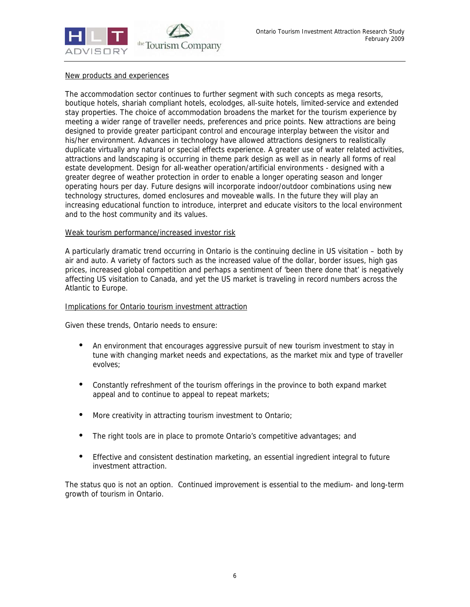

### New products and experiences

The accommodation sector continues to further segment with such concepts as mega resorts, boutique hotels, shariah compliant hotels, ecolodges, all-suite hotels, limited-service and extended stay properties. The choice of accommodation broadens the market for the tourism experience by meeting a wider range of traveller needs, preferences and price points. New attractions are being designed to provide greater participant control and encourage interplay between the visitor and his/her environment. Advances in technology have allowed attractions designers to realistically duplicate virtually any natural or special effects experience. A greater use of water related activities, attractions and landscaping is occurring in theme park design as well as in nearly all forms of real estate development. Design for all-weather operation/artificial environments - designed with a greater degree of weather protection in order to enable a longer operating season and longer operating hours per day. Future designs will incorporate indoor/outdoor combinations using new technology structures, domed enclosures and moveable walls. In the future they will play an increasing educational function to introduce, interpret and educate visitors to the local environment and to the host community and its values.

#### Weak tourism performance/increased investor risk

A particularly dramatic trend occurring in Ontario is the continuing decline in US visitation – both by air and auto. A variety of factors such as the increased value of the dollar, border issues, high gas prices, increased global competition and perhaps a sentiment of 'been there done that' is negatively affecting US visitation to Canada, and yet the US market is traveling in record numbers across the Atlantic to Europe.

### Implications for Ontario tourism investment attraction

Given these trends, Ontario needs to ensure:

- An environment that encourages aggressive pursuit of new tourism investment to stay in tune with changing market needs and expectations, as the market mix and type of traveller evolves;
- Constantly refreshment of the tourism offerings in the province to both expand market appeal and to continue to appeal to repeat markets;
- More creativity in attracting tourism investment to Ontario;
- The right tools are in place to promote Ontario's competitive advantages; and
- Effective and consistent destination marketing, an essential ingredient integral to future investment attraction.

The status quo is not an option. Continued improvement is essential to the medium- and long-term growth of tourism in Ontario.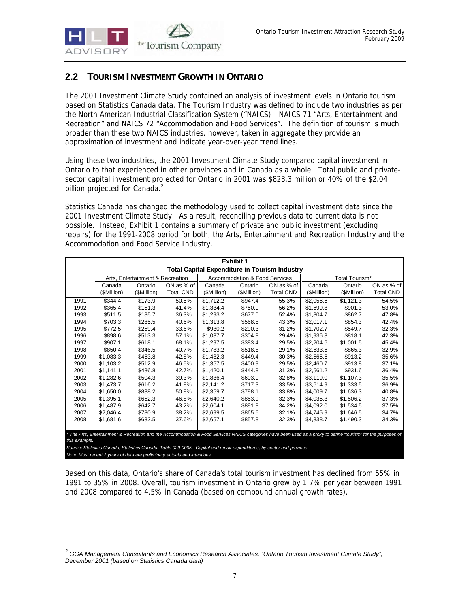## **2.2 TOURISM INVESTMENT GROWTH IN ONTARIO**

The 2001 Investment Climate Study contained an analysis of investment levels in Ontario tourism based on Statistics Canada data. The Tourism Industry was defined to include two industries as per the North American Industrial Classification System ("NAICS) - NAICS 71 "Arts, Entertainment and Recreation" and NAICS 72 "Accommodation and Food Services". The definition of tourism is much broader than these two NAICS industries, however, taken in aggregate they provide an approximation of investment and indicate year-over-year trend lines.

Using these two industries, the 2001 Investment Climate Study compared capital investment in Ontario to that experienced in other provinces and in Canada as a whole. Total public and privatesector capital investment projected for Ontario in 2001 was \$823.3 million or 40% of the \$2.04 billion projected for Canada.<sup>2</sup>

Statistics Canada has changed the methodology used to collect capital investment data since the 2001 Investment Climate Study. As a result, reconciling previous data to current data is not possible. Instead, Exhibit 1 contains a summary of private and public investment (excluding repairs) for the 1991-2008 period for both, the Arts, Entertainment and Recreation Industry and the Accommodation and Food Service Industry.

| <b>Exhibit 1</b>                                                                                                                                                                 |             |                                  |                  |             |                                          |                                                      |             |                |                  |
|----------------------------------------------------------------------------------------------------------------------------------------------------------------------------------|-------------|----------------------------------|------------------|-------------|------------------------------------------|------------------------------------------------------|-------------|----------------|------------------|
|                                                                                                                                                                                  |             |                                  |                  |             |                                          | <b>Total Capital Expenditure in Tourism Industry</b> |             |                |                  |
|                                                                                                                                                                                  |             | Arts, Entertainment & Recreation |                  |             | <b>Accommodation &amp; Food Services</b> |                                                      |             | Total Tourism* |                  |
|                                                                                                                                                                                  | Canada      | Ontario                          | ON as % of       | Canada      | Ontario                                  | ON as % of                                           | Canada      | Ontario        | ON as % of       |
|                                                                                                                                                                                  | (\$Million) | (\$Million)                      | <b>Total CND</b> | (\$Million) | (\$Million)                              | <b>Total CND</b>                                     | (\$Million) | (\$Million)    | <b>Total CND</b> |
| 1991                                                                                                                                                                             | \$344.4     | \$173.9                          | 50.5%            | \$1,712.2   | \$947.4                                  | 55.3%                                                | \$2.056.6   | \$1,121.3      | 54.5%            |
| 1992                                                                                                                                                                             | \$365.4     | \$151.3                          | 41.4%            | \$1,334.4   | \$750.0                                  | 56.2%                                                | \$1.699.8   | \$901.3        | 53.0%            |
| 1993                                                                                                                                                                             | \$511.5     | \$185.7                          | 36.3%            | \$1.293.2   | \$677.0                                  | 52.4%                                                | \$1.804.7   | \$862.7        | 47.8%            |
| 1994                                                                                                                                                                             | \$703.3     | \$285.5                          | 40.6%            | \$1.313.8   | \$568.8                                  | 43.3%                                                | \$2.017.1   | \$854.3        | 42.4%            |
| 1995                                                                                                                                                                             | \$772.5     | \$259.4                          | 33.6%            | \$930.2     | \$290.3                                  | 31.2%                                                | \$1,702.7   | \$549.7        | 32.3%            |
| 1996                                                                                                                                                                             | \$898.6     | \$513.3                          | 57.1%            | \$1,037.7   | \$304.8                                  | 29.4%                                                | \$1,936.3   | \$818.1        | 42.3%            |
| 1997                                                                                                                                                                             | \$907.1     | \$618.1                          | 68.1%            | \$1,297.5   | \$383.4                                  | 29.5%                                                | \$2,204.6   | \$1,001.5      | 45.4%            |
| 1998                                                                                                                                                                             | \$850.4     | \$346.5                          | 40.7%            | \$1.783.2   | \$518.8                                  | 29.1%                                                | \$2.633.6   | \$865.3        | 32.9%            |
| 1999                                                                                                                                                                             | \$1.083.3   | \$463.8                          | 42.8%            | \$1.482.3   | \$449.4                                  | 30.3%                                                | \$2,565.6   | \$913.2        | 35.6%            |
| 2000                                                                                                                                                                             | \$1.103.2   | \$512.9                          | 46.5%            | \$1.357.5   | \$400.9                                  | 29.5%                                                | \$2,460.7   | \$913.8        | 37.1%            |
| 2001                                                                                                                                                                             | \$1.141.1   | \$486.8                          | 42.7%            | \$1.420.1   | \$444.8                                  | 31.3%                                                | \$2.561.2   | \$931.6        | 36.4%            |
| 2002                                                                                                                                                                             | \$1,282.6   | \$504.3                          | 39.3%            | \$1,836.4   | \$603.0                                  | 32.8%                                                | \$3,119.0   | \$1,107.3      | 35.5%            |
| 2003                                                                                                                                                                             | \$1,473.7   | \$616.2                          | 41.8%            | \$2,141.2   | \$717.3                                  | 33.5%                                                | \$3,614.9   | \$1,333.5      | 36.9%            |
| 2004                                                                                                                                                                             | \$1.650.0   | \$838.2                          | 50.8%            | \$2.359.7   | \$798.1                                  | 33.8%                                                | \$4.009.7   | \$1,636.3      | 40.8%            |
| 2005                                                                                                                                                                             | \$1.395.1   | \$652.3                          | 46.8%            | \$2.640.2   | \$853.9                                  | 32.3%                                                | \$4,035.3   | \$1,506.2      | 37.3%            |
| 2006                                                                                                                                                                             | \$1,487.9   | \$642.7                          | 43.2%            | \$2,604.1   | \$891.8                                  | 34.2%                                                | \$4,092.0   | \$1,534.5      | 37.5%            |
| 2007                                                                                                                                                                             | \$2.046.4   | \$780.9                          | 38.2%            | \$2.699.5   | \$865.6                                  | 32.1%                                                | \$4.745.9   | \$1.646.5      | 34.7%            |
| 2008                                                                                                                                                                             | \$1.681.6   | \$632.5                          | 37.6%            | \$2.657.1   | \$857.8                                  | 32.3%                                                | \$4,338.7   | \$1,490.3      | 34.3%            |
|                                                                                                                                                                                  |             |                                  |                  |             |                                          |                                                      |             |                |                  |
| * The Arts, Entertainment & Recreation and the Accommodation & Food Services NAICS categories have been used as a proxy to define "tourism" for the purposes of<br>this example. |             |                                  |                  |             |                                          |                                                      |             |                |                  |
| Source: Statistics Canada, Statistics Canada. Table 029-0005 - Capital and repair expenditures, by sector and province.                                                          |             |                                  |                  |             |                                          |                                                      |             |                |                  |
| Note: Most recent 2 years of data are preliminary actuals and intentions.                                                                                                        |             |                                  |                  |             |                                          |                                                      |             |                |                  |

Based on this data, Ontario's share of Canada's total tourism investment has declined from 55% in 1991 to 35% in 2008. Overall, tourism investment in Ontario grew by 1.7% per year between 1991 and 2008 compared to 4.5% in Canada (based on compound annual growth rates).

 *2 GGA Management Consultants and Economics Research Associates, "Ontario Tourism Investment Climate Study", December 2001 (based on Statistics Canada data)*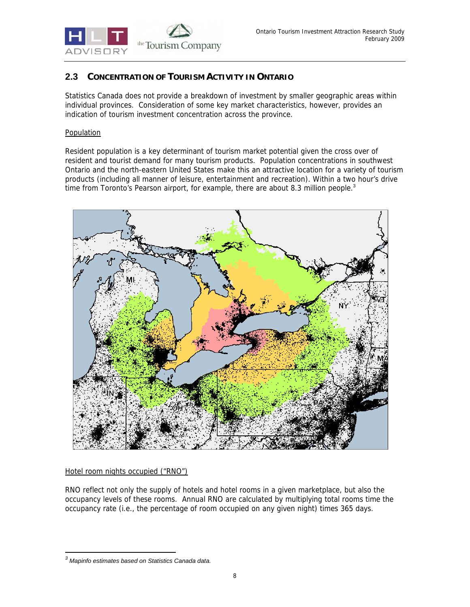

## **2.3 CONCENTRATION OF TOURISM ACTIVITY IN ONTARIO**

Statistics Canada does not provide a breakdown of investment by smaller geographic areas within individual provinces. Consideration of some key market characteristics, however, provides an indication of tourism investment concentration across the province.

### Population

Resident population is a key determinant of tourism market potential given the cross over of resident and tourist demand for many tourism products. Population concentrations in southwest Ontario and the north-eastern United States make this an attractive location for a variety of tourism products (including all manner of leisure, entertainment and recreation). Within a two hour's drive time from Toronto's Pearson airport, for example, there are about 8.3 million people. $3$ 



## Hotel room nights occupied ("RNO")

RNO reflect not only the supply of hotels and hotel rooms in a given marketplace, but also the occupancy levels of these rooms. Annual RNO are calculated by multiplying total rooms time the occupancy rate (i.e., the percentage of room occupied on any given night) times 365 days.

-

*<sup>3</sup> Mapinfo estimates based on Statistics Canada data.*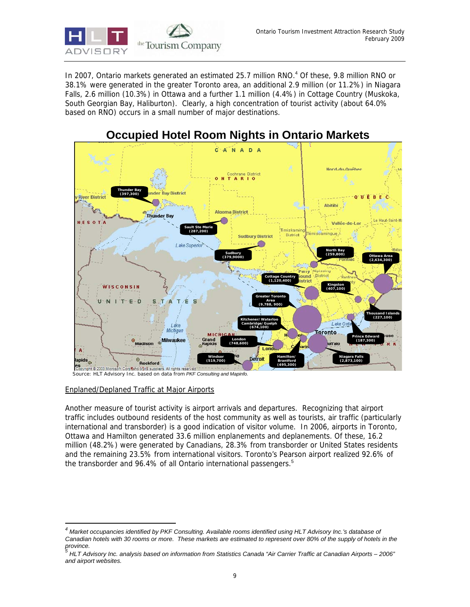

In 2007, Ontario markets generated an estimated 25.7 million RNO.<sup>4</sup> Of these, 9.8 million RNO or 38.1% were generated in the greater Toronto area, an additional 2.9 million (or 11.2%) in Niagara Falls, 2.6 million (10.3%) in Ottawa and a further 1.1 million (4.4%) in Cottage Country (Muskoka, South Georgian Bay, Haliburton). Clearly, a high concentration of tourist activity (about 64.0% based on RNO) occurs in a small number of major destinations.



# **Occupied Hotel Room Nights in Ontario Markets**

*Source: HLT Advisory Inc. based on data from PKF Consulting and Mapinfo.*

## Enplaned/Deplaned Traffic at Major Airports

-

Another measure of tourist activity is airport arrivals and departures. Recognizing that airport traffic includes outbound residents of the host community as well as tourists, air traffic (particularly international and transborder) is a good indication of visitor volume. In 2006, airports in Toronto, Ottawa and Hamilton generated 33.6 million enplanements and deplanements. Of these, 16.2 million (48.2%) were generated by Canadians, 28.3% from transborder or United States residents and the remaining 23.5% from international visitors. Toronto's Pearson airport realized 92.6% of the transborder and 96.4% of all Ontario international passengers.<sup>5</sup>

*<sup>4</sup> Market occupancies identified by PKF Consulting. Available rooms identified using HLT Advisory Inc.'s database of Canadian hotels with 30 rooms or more. These markets are estimated to represent over 80% of the supply of hotels in the province. 5*

*HLT Advisory Inc. analysis based on information from Statistics Canada "Air Carrier Traffic at Canadian Airports – 2006" and airport websites.*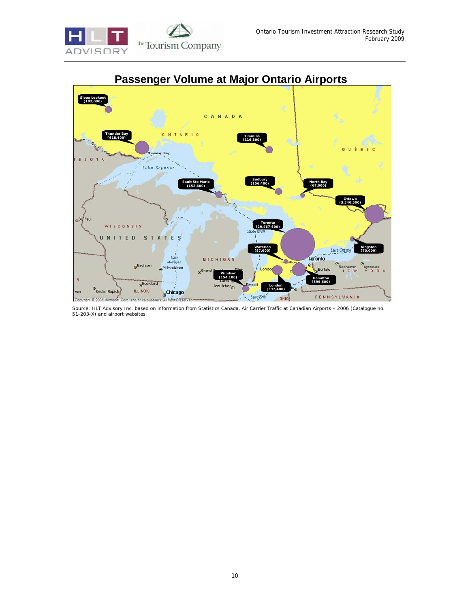



# **Passenger Volume at Major Ontario Airports**

*Source: HLT Advisory Inc. based on information from Statistics Canada, Air Carrier Traffic at Canadian Airports – 2006 (Catalogue no. 51-203-X) and airport websites.*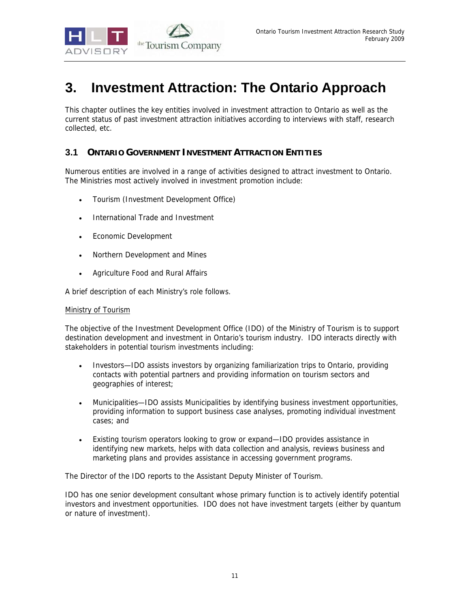

# **3. Investment Attraction: The Ontario Approach**

This chapter outlines the key entities involved in investment attraction to Ontario as well as the current status of past investment attraction initiatives according to interviews with staff, research collected, etc.

## **3.1 ONTARIO GOVERNMENT INVESTMENT ATTRACTION ENTITIES**

Numerous entities are involved in a range of activities designed to attract investment to Ontario. The Ministries most actively involved in investment promotion include:

- Tourism (Investment Development Office)
- International Trade and Investment
- Economic Development
- Northern Development and Mines
- Agriculture Food and Rural Affairs

A brief description of each Ministry's role follows.

### Ministry of Tourism

The objective of the Investment Development Office (IDO) of the Ministry of Tourism is to support destination development and investment in Ontario's tourism industry. IDO interacts directly with stakeholders in potential tourism investments including:

- Investors—IDO assists investors by organizing familiarization trips to Ontario, providing contacts with potential partners and providing information on tourism sectors and geographies of interest;
- Municipalities—IDO assists Municipalities by identifying business investment opportunities, providing information to support business case analyses, promoting individual investment cases; and
- Existing tourism operators looking to grow or expand—IDO provides assistance in identifying new markets, helps with data collection and analysis, reviews business and marketing plans and provides assistance in accessing government programs.

The Director of the IDO reports to the Assistant Deputy Minister of Tourism.

IDO has one senior development consultant whose primary function is to actively identify potential investors and investment opportunities. IDO does not have investment targets (either by quantum or nature of investment).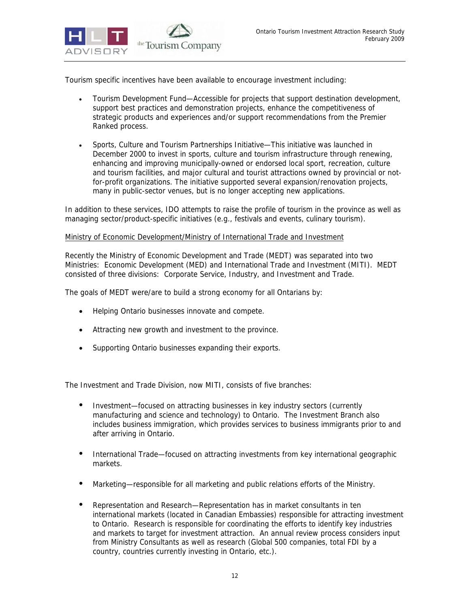

Tourism specific incentives have been available to encourage investment including:

- Tourism Development Fund—Accessible for projects that support destination development, support best practices and demonstration projects, enhance the competitiveness of strategic products and experiences and/or support recommendations from the Premier Ranked process.
- Sports, Culture and Tourism Partnerships Initiative—This initiative was launched in December 2000 to invest in sports, culture and tourism infrastructure through renewing, enhancing and improving municipally-owned or endorsed local sport, recreation, culture and tourism facilities, and major cultural and tourist attractions owned by provincial or notfor-profit organizations. The initiative supported several expansion/renovation projects, many in public-sector venues, but is no longer accepting new applications.

In addition to these services, IDO attempts to raise the profile of tourism in the province as well as managing sector/product-specific initiatives (e.g., festivals and events, culinary tourism).

### Ministry of Economic Development/Ministry of International Trade and Investment

Recently the Ministry of Economic Development and Trade (MEDT) was separated into two Ministries: Economic Development (MED) and International Trade and Investment (MITI). MEDT consisted of three divisions: Corporate Service, Industry, and Investment and Trade.

The goals of MEDT were/are to build a strong economy for all Ontarians by:

- Helping Ontario businesses innovate and compete.
- Attracting new growth and investment to the province.
- Supporting Ontario businesses expanding their exports.

The Investment and Trade Division, now MITI, consists of five branches:

- Investment—focused on attracting businesses in key industry sectors (currently manufacturing and science and technology) to Ontario. The Investment Branch also includes business immigration, which provides services to business immigrants prior to and after arriving in Ontario.
- International Trade—focused on attracting investments from key international geographic markets.
- Marketing—responsible for all marketing and public relations efforts of the Ministry.
- Representation and Research—Representation has in market consultants in ten international markets (located in Canadian Embassies) responsible for attracting investment to Ontario. Research is responsible for coordinating the efforts to identify key industries and markets to target for investment attraction. An annual review process considers input from Ministry Consultants as well as research (Global 500 companies, total FDI by a country, countries currently investing in Ontario, etc.).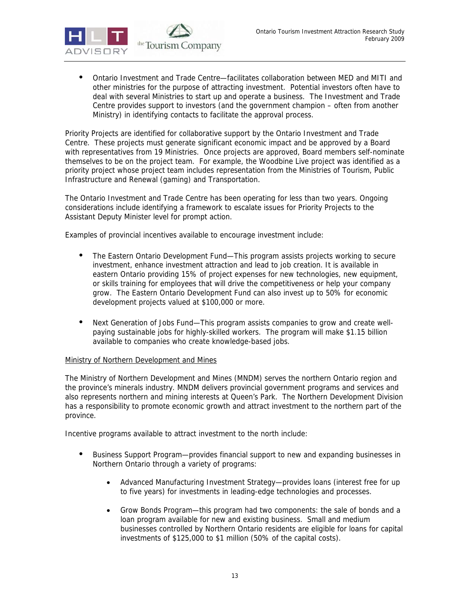

• Ontario Investment and Trade Centre—facilitates collaboration between MED and MITI and other ministries for the purpose of attracting investment. Potential investors often have to deal with several Ministries to start up and operate a business. The Investment and Trade Centre provides support to investors (and the government champion – often from another Ministry) in identifying contacts to facilitate the approval process.

Priority Projects are identified for collaborative support by the Ontario Investment and Trade Centre. These projects must generate significant economic impact and be approved by a Board with representatives from 19 Ministries. Once projects are approved, Board members self-nominate themselves to be on the project team. For example, the Woodbine Live project was identified as a priority project whose project team includes representation from the Ministries of Tourism, Public Infrastructure and Renewal (gaming) and Transportation.

The Ontario Investment and Trade Centre has been operating for less than two years. Ongoing considerations include identifying a framework to escalate issues for Priority Projects to the Assistant Deputy Minister level for prompt action.

Examples of provincial incentives available to encourage investment include:

- The Eastern Ontario Development Fund—This program assists projects working to secure investment, enhance investment attraction and lead to job creation. It is available in eastern Ontario providing 15% of project expenses for new technologies, new equipment, or skills training for employees that will drive the competitiveness or help your company grow. The Eastern Ontario Development Fund can also invest up to 50% for economic development projects valued at \$100,000 or more.
- Next Generation of Jobs Fund—This program assists companies to grow and create wellpaying sustainable jobs for highly-skilled workers. The program will make \$1.15 billion available to companies who create knowledge-based jobs.

## Ministry of Northern Development and Mines

The Ministry of Northern Development and Mines (MNDM) serves the northern Ontario region and the province's minerals industry. MNDM delivers provincial government programs and services and also represents northern and mining interests at Queen's Park. The Northern Development Division has a responsibility to promote economic growth and attract investment to the northern part of the province.

Incentive programs available to attract investment to the north include:

- Business Support Program—provides financial support to new and expanding businesses in Northern Ontario through a variety of programs:
	- Advanced Manufacturing Investment Strategy—provides loans (interest free for up to five years) for investments in leading-edge technologies and processes.
	- Grow Bonds Program—this program had two components: the sale of bonds and a loan program available for new and existing business. Small and medium businesses controlled by Northern Ontario residents are eligible for loans for capital investments of \$125,000 to \$1 million (50% of the capital costs).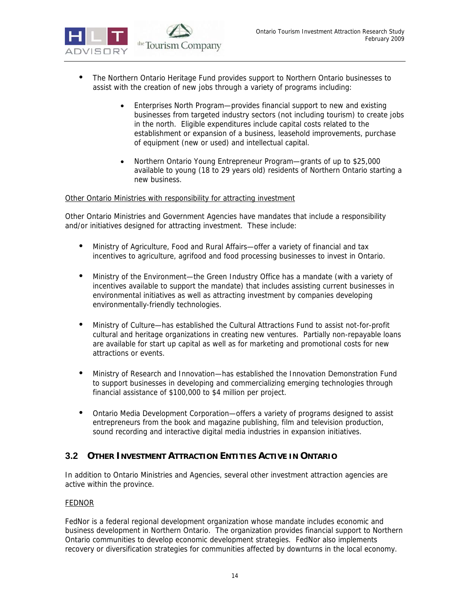

- The Northern Ontario Heritage Fund provides support to Northern Ontario businesses to assist with the creation of new jobs through a variety of programs including:
	- Enterprises North Program—provides financial support to new and existing businesses from targeted industry sectors (not including tourism) to create jobs in the north. Eligible expenditures include capital costs related to the establishment or expansion of a business, leasehold improvements, purchase of equipment (new or used) and intellectual capital.
	- Northern Ontario Young Entrepreneur Program—grants of up to \$25,000 available to young (18 to 29 years old) residents of Northern Ontario starting a new business.

### Other Ontario Ministries with responsibility for attracting investment

Other Ontario Ministries and Government Agencies have mandates that include a responsibility and/or initiatives designed for attracting investment. These include:

- Ministry of Agriculture, Food and Rural Affairs—offer a variety of financial and tax incentives to agriculture, agrifood and food processing businesses to invest in Ontario.
- Ministry of the Environment—the Green Industry Office has a mandate (with a variety of incentives available to support the mandate) that includes assisting current businesses in environmental initiatives as well as attracting investment by companies developing environmentally-friendly technologies.
- Ministry of Culture—has established the Cultural Attractions Fund to assist not-for-profit cultural and heritage organizations in creating new ventures. Partially non-repayable loans are available for start up capital as well as for marketing and promotional costs for new attractions or events.
- Ministry of Research and Innovation—has established the Innovation Demonstration Fund to support businesses in developing and commercializing emerging technologies through financial assistance of \$100,000 to \$4 million per project.
- Ontario Media Development Corporation—offers a variety of programs designed to assist entrepreneurs from the book and magazine publishing, film and television production, sound recording and interactive digital media industries in expansion initiatives.

## **3.2 OTHER INVESTMENT ATTRACTION ENTITIES ACTIVE IN ONTARIO**

In addition to Ontario Ministries and Agencies, several other investment attraction agencies are active within the province.

### **FEDNOR**

FedNor is a federal regional development organization whose mandate includes economic and business development in Northern Ontario. The organization provides financial support to Northern Ontario communities to develop economic development strategies. FedNor also implements recovery or diversification strategies for communities affected by downturns in the local economy.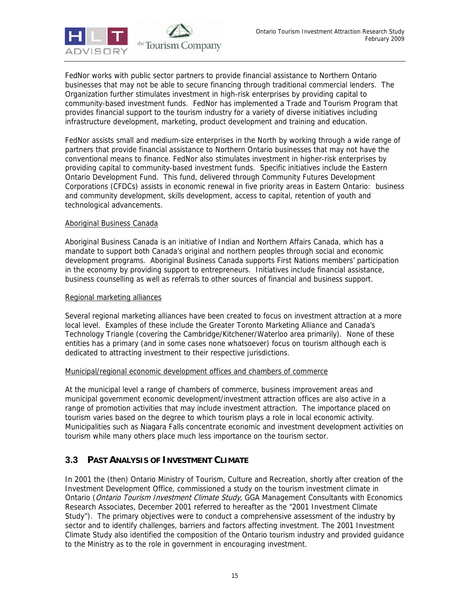

FedNor works with public sector partners to provide financial assistance to Northern Ontario businesses that may not be able to secure financing through traditional commercial lenders. The Organization further stimulates investment in high-risk enterprises by providing capital to community-based investment funds. FedNor has implemented a Trade and Tourism Program that provides financial support to the tourism industry for a variety of diverse initiatives including infrastructure development, marketing, product development and training and education.

FedNor assists small and medium-size enterprises in the North by working through a wide range of partners that provide financial assistance to Northern Ontario businesses that may not have the conventional means to finance. FedNor also stimulates investment in higher-risk enterprises by providing capital to community-based investment funds. Specific initiatives include the Eastern Ontario Development Fund. This fund, delivered through Community Futures Development Corporations (CFDCs) assists in economic renewal in five priority areas in Eastern Ontario: business and community development, skills development, access to capital, retention of youth and technological advancements.

### Aboriginal Business Canada

Aboriginal Business Canada is an initiative of Indian and Northern Affairs Canada, which has a mandate to support both Canada's original and northern peoples through social and economic development programs. Aboriginal Business Canada supports First Nations members' participation in the economy by providing support to entrepreneurs. Initiatives include financial assistance, business counselling as well as referrals to other sources of financial and business support.

### Regional marketing alliances

Several regional marketing alliances have been created to focus on investment attraction at a more local level. Examples of these include the Greater Toronto Marketing Alliance and Canada's Technology Triangle (covering the Cambridge/Kitchener/Waterloo area primarily). None of these entities has a primary (and in some cases none whatsoever) focus on tourism although each is dedicated to attracting investment to their respective jurisdictions.

### Municipal/regional economic development offices and chambers of commerce

At the municipal level a range of chambers of commerce, business improvement areas and municipal government economic development/investment attraction offices are also active in a range of promotion activities that may include investment attraction. The importance placed on tourism varies based on the degree to which tourism plays a role in local economic activity. Municipalities such as Niagara Falls concentrate economic and investment development activities on tourism while many others place much less importance on the tourism sector.

## **3.3 PAST ANALYSIS OF INVESTMENT CLIMATE**

In 2001 the (then) Ontario Ministry of Tourism, Culture and Recreation, shortly after creation of the Investment Development Office, commissioned a study on the tourism investment climate in Ontario (Ontario Tourism Investment Climate Study, GGA Management Consultants with Economics Research Associates, December 2001 referred to hereafter as the "2001 Investment Climate Study"). The primary objectives were to conduct a comprehensive assessment of the industry by sector and to identify challenges, barriers and factors affecting investment. The 2001 Investment Climate Study also identified the composition of the Ontario tourism industry and provided guidance to the Ministry as to the role in government in encouraging investment.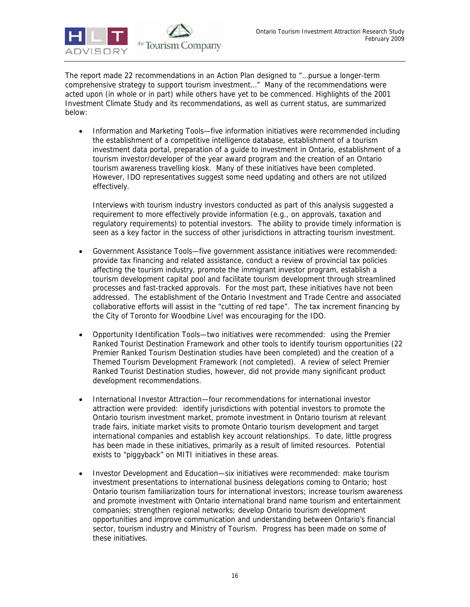

The report made 22 recommendations in an Action Plan designed to "…pursue a longer-term comprehensive strategy to support tourism investment…" Many of the recommendations were acted upon (in whole or in part) while others have yet to be commenced. Highlights of the 2001 Investment Climate Study and its recommendations, as well as current status, are summarized below:

• Information and Marketing Tools—five information initiatives were recommended including the establishment of a competitive intelligence database, establishment of a tourism investment data portal, preparation of a guide to investment in Ontario, establishment of a tourism investor/developer of the year award program and the creation of an Ontario tourism awareness travelling kiosk. Many of these initiatives have been completed. However, IDO representatives suggest some need updating and others are not utilized effectively.

Interviews with tourism industry investors conducted as part of this analysis suggested a requirement to more effectively provide information (e.g., on approvals, taxation and regulatory requirements) to potential investors. The ability to provide timely information is seen as a key factor in the success of other jurisdictions in attracting tourism investment.

- Government Assistance Tools—five government assistance initiatives were recommended: provide tax financing and related assistance, conduct a review of provincial tax policies affecting the tourism industry, promote the immigrant investor program, establish a tourism development capital pool and facilitate tourism development through streamlined processes and fast-tracked approvals. For the most part, these initiatives have not been addressed. The establishment of the Ontario Investment and Trade Centre and associated collaborative efforts will assist in the "cutting of red tape". The tax increment financing by the City of Toronto for Woodbine Live! was encouraging for the IDO.
- Opportunity Identification Tools—two initiatives were recommended: using the Premier Ranked Tourist Destination Framework and other tools to identify tourism opportunities (22 Premier Ranked Tourism Destination studies have been completed) and the creation of a Themed Tourism Development Framework (not completed). A review of select Premier Ranked Tourist Destination studies, however, did not provide many significant product development recommendations.
- International Investor Attraction—four recommendations for international investor attraction were provided: identify jurisdictions with potential investors to promote the Ontario tourism investment market, promote investment in Ontario tourism at relevant trade fairs, initiate market visits to promote Ontario tourism development and target international companies and establish key account relationships. To date, little progress has been made in these initiatives, primarily as a result of limited resources. Potential exists to "piggyback" on MITI initiatives in these areas.
- Investor Development and Education—six initiatives were recommended: make tourism investment presentations to international business delegations coming to Ontario; host Ontario tourism familiarization tours for international investors; increase tourism awareness and promote investment with Ontario international brand name tourism and entertainment companies; strengthen regional networks; develop Ontario tourism development opportunities and improve communication and understanding between Ontario's financial sector, tourism industry and Ministry of Tourism. Progress has been made on some of these initiatives.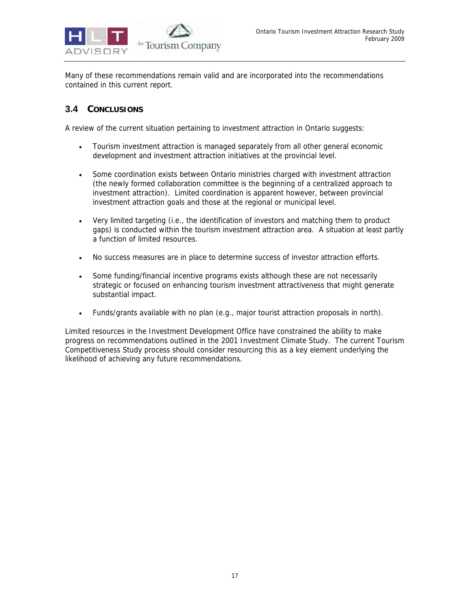

Many of these recommendations remain valid and are incorporated into the recommendations contained in this current report.

## **3.4 CONCLUSIONS**

A review of the current situation pertaining to investment attraction in Ontario suggests:

- Tourism investment attraction is managed separately from all other general economic development and investment attraction initiatives at the provincial level.
- Some coordination exists between Ontario ministries charged with investment attraction (the newly formed collaboration committee is the beginning of a centralized approach to investment attraction). Limited coordination is apparent however, between provincial investment attraction goals and those at the regional or municipal level.
- Very limited targeting (i.e., the identification of investors and matching them to product gaps) is conducted within the tourism investment attraction area. A situation at least partly a function of limited resources.
- No success measures are in place to determine success of investor attraction efforts.
- Some funding/financial incentive programs exists although these are not necessarily strategic or focused on enhancing tourism investment attractiveness that might generate substantial impact.
- Funds/grants available with no plan (e.g., major tourist attraction proposals in north).

Limited resources in the Investment Development Office have constrained the ability to make progress on recommendations outlined in the 2001 Investment Climate Study. The current Tourism Competitiveness Study process should consider resourcing this as a key element underlying the likelihood of achieving any future recommendations.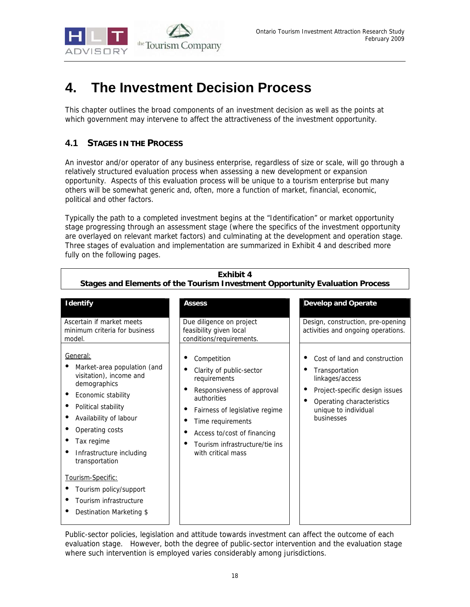

# **4. The Investment Decision Process**

This chapter outlines the broad components of an investment decision as well as the points at which government may intervene to affect the attractiveness of the investment opportunity.

# **4.1 STAGES IN THE PROCESS**

An investor and/or operator of any business enterprise, regardless of size or scale, will go through a relatively structured evaluation process when assessing a new development or expansion opportunity. Aspects of this evaluation process will be unique to a tourism enterprise but many others will be somewhat generic and, often, more a function of market, financial, economic, political and other factors.

Typically the path to a completed investment begins at the "Identification" or market opportunity stage progressing through an assessment stage (where the specifics of the investment opportunity are overlayed on relevant market factors) and culminating at the development and operation stage. Three stages of evaluation and implementation are summarized in Exhibit 4 and described more fully on the following pages.

**Exhibit 4** 

| Stages and Elements of the Tourism Investment Opportunity Evaluation Process                                                                                                                                                                                                                                                                  |                                                                                                                                                                                                                                                    |                                                                                                                                                                         |  |  |  |
|-----------------------------------------------------------------------------------------------------------------------------------------------------------------------------------------------------------------------------------------------------------------------------------------------------------------------------------------------|----------------------------------------------------------------------------------------------------------------------------------------------------------------------------------------------------------------------------------------------------|-------------------------------------------------------------------------------------------------------------------------------------------------------------------------|--|--|--|
| <b>Identify</b>                                                                                                                                                                                                                                                                                                                               | <b>Assess</b>                                                                                                                                                                                                                                      | <b>Develop and Operate</b>                                                                                                                                              |  |  |  |
| Ascertain if market meets<br>minimum criteria for business<br>model.                                                                                                                                                                                                                                                                          | Due diligence on project<br>feasibility given local<br>conditions/requirements.                                                                                                                                                                    | Design, construction, pre-opening<br>activities and ongoing operations.                                                                                                 |  |  |  |
| General:<br>Market-area population (and<br>visitation), income and<br>demographics<br>Economic stability<br>Political stability<br>Availability of labour<br>Operating costs<br>Tax regime<br>Infrastructure including<br>transportation<br>Tourism-Specific:<br>Tourism policy/support<br>Tourism infrastructure<br>Destination Marketing \$ | Competition<br>Clarity of public-sector<br>requirements<br>Responsiveness of approval<br>authorities<br>Fairness of legislative regime<br>Time requirements<br>Access to/cost of financing<br>Tourism infrastructure/tie ins<br>with critical mass | Cost of land and construction<br>Transportation<br>linkages/access<br>Project-specific design issues<br>Operating characteristics<br>unique to individual<br>businesses |  |  |  |

Public-sector policies, legislation and attitude towards investment can affect the outcome of each evaluation stage. However, both the degree of public-sector intervention and the evaluation stage where such intervention is employed varies considerably among jurisdictions.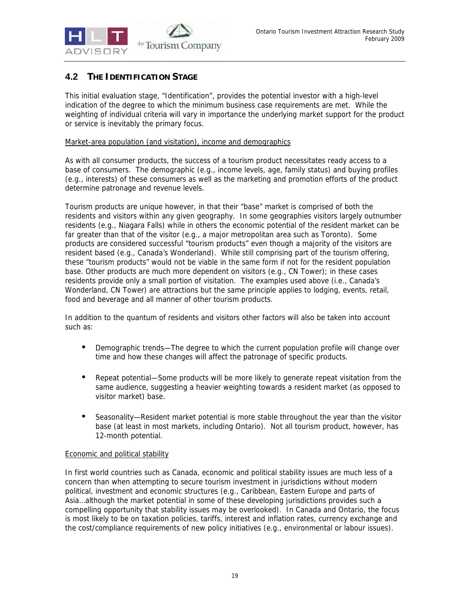

## **4.2 THE IDENTIFICATION STAGE**

This initial evaluation stage, "Identification", provides the potential investor with a high-level indication of the degree to which the minimum business case requirements are met. While the weighting of individual criteria will vary in importance the underlying market support for the product or service is inevitably the primary focus.

### Market-area population (and visitation), income and demographics

As with all consumer products, the success of a tourism product necessitates ready access to a base of consumers. The demographic (e.g., income levels, age, family status) and buying profiles (e.g., interests) of these consumers as well as the marketing and promotion efforts of the product determine patronage and revenue levels.

Tourism products are unique however, in that their "base" market is comprised of both the residents and visitors within any given geography. In some geographies visitors largely outnumber residents (e.g., Niagara Falls) while in others the economic potential of the resident market can be far greater than that of the visitor (e.g., a major metropolitan area such as Toronto). Some products are considered successful "tourism products" even though a majority of the visitors are resident based (e.g., Canada's Wonderland). While still comprising part of the tourism offering, these "tourism products" would not be viable in the same form if not for the resident population base. Other products are much more dependent on visitors (e.g., CN Tower); in these cases residents provide only a small portion of visitation. The examples used above (i.e., Canada's Wonderland, CN Tower) are attractions but the same principle applies to lodging, events, retail, food and beverage and all manner of other tourism products.

In addition to the quantum of residents and visitors other factors will also be taken into account such as:

- Demographic trends—The degree to which the current population profile will change over time and how these changes will affect the patronage of specific products.
- Repeat potential—Some products will be more likely to generate repeat visitation from the same audience, suggesting a heavier weighting towards a resident market (as opposed to visitor market) base.
- Seasonality—Resident market potential is more stable throughout the year than the visitor base (at least in most markets, including Ontario). Not all tourism product, however, has 12-month potential.

### Economic and political stability

In first world countries such as Canada, economic and political stability issues are much less of a concern than when attempting to secure tourism investment in jurisdictions without modern political, investment and economic structures (e.g., Caribbean, Eastern Europe and parts of Asia…although the market potential in some of these developing jurisdictions provides such a compelling opportunity that stability issues may be overlooked). In Canada and Ontario, the focus is most likely to be on taxation policies, tariffs, interest and inflation rates, currency exchange and the cost/compliance requirements of new policy initiatives (e.g., environmental or labour issues).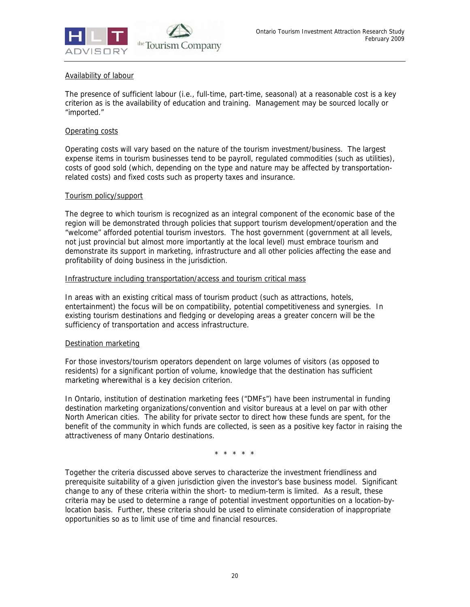

### Availability of labour

The presence of sufficient labour (i.e., full-time, part-time, seasonal) at a reasonable cost is a key criterion as is the availability of education and training. Management may be sourced locally or "imported."

### Operating costs

Operating costs will vary based on the nature of the tourism investment/business. The largest expense items in tourism businesses tend to be payroll, regulated commodities (such as utilities), costs of good sold (which, depending on the type and nature may be affected by transportationrelated costs) and fixed costs such as property taxes and insurance.

### Tourism policy/support

The degree to which tourism is recognized as an integral component of the economic base of the region will be demonstrated through policies that support tourism development/operation and the "welcome" afforded potential tourism investors. The host government (government at all levels, not just provincial but almost more importantly at the local level) must embrace tourism and demonstrate its support in marketing, infrastructure and all other policies affecting the ease and profitability of doing business in the jurisdiction.

### Infrastructure including transportation/access and tourism critical mass

In areas with an existing critical mass of tourism product (such as attractions, hotels, entertainment) the focus will be on compatibility, potential competitiveness and synergies. In existing tourism destinations and fledging or developing areas a greater concern will be the sufficiency of transportation and access infrastructure.

### Destination marketing

For those investors/tourism operators dependent on large volumes of visitors (as opposed to residents) for a significant portion of volume, knowledge that the destination has sufficient marketing wherewithal is a key decision criterion.

In Ontario, institution of destination marketing fees ("DMFs") have been instrumental in funding destination marketing organizations/convention and visitor bureaus at a level on par with other North American cities. The ability for private sector to direct how these funds are spent, for the benefit of the community in which funds are collected, is seen as a positive key factor in raising the attractiveness of many Ontario destinations.

\* \* \* \* \*

Together the criteria discussed above serves to characterize the investment friendliness and prerequisite suitability of a given jurisdiction given the investor's base business model. Significant change to any of these criteria within the short- to medium-term is limited. As a result, these criteria may be used to determine a range of potential investment opportunities on a location-bylocation basis. Further, these criteria should be used to eliminate consideration of inappropriate opportunities so as to limit use of time and financial resources.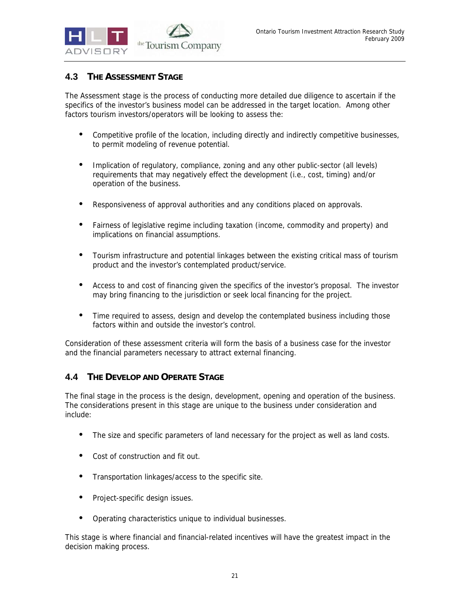

## **4.3 THE ASSESSMENT STAGE**

The Assessment stage is the process of conducting more detailed due diligence to ascertain if the specifics of the investor's business model can be addressed in the target location. Among other factors tourism investors/operators will be looking to assess the:

- Competitive profile of the location, including directly and indirectly competitive businesses, to permit modeling of revenue potential.
- Implication of regulatory, compliance, zoning and any other public-sector (all levels) requirements that may negatively effect the development (i.e., cost, timing) and/or operation of the business.
- Responsiveness of approval authorities and any conditions placed on approvals.
- Fairness of legislative regime including taxation (income, commodity and property) and implications on financial assumptions.
- Tourism infrastructure and potential linkages between the existing critical mass of tourism product and the investor's contemplated product/service.
- Access to and cost of financing given the specifics of the investor's proposal. The investor may bring financing to the jurisdiction or seek local financing for the project.
- Time required to assess, design and develop the contemplated business including those factors within and outside the investor's control.

Consideration of these assessment criteria will form the basis of a business case for the investor and the financial parameters necessary to attract external financing.

## **4.4 THE DEVELOP AND OPERATE STAGE**

The final stage in the process is the design, development, opening and operation of the business. The considerations present in this stage are unique to the business under consideration and include:

- The size and specific parameters of land necessary for the project as well as land costs.
- Cost of construction and fit out.
- Transportation linkages/access to the specific site.
- Project-specific design issues.
- Operating characteristics unique to individual businesses.

This stage is where financial and financial-related incentives will have the greatest impact in the decision making process.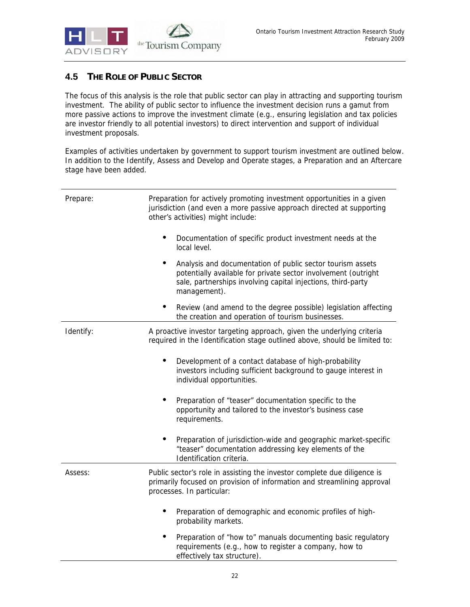

# **4.5 THE ROLE OF PUBLIC SECTOR**

The focus of this analysis is the role that public sector can play in attracting and supporting tourism investment. The ability of public sector to influence the investment decision runs a gamut from more passive actions to improve the investment climate (e.g., ensuring legislation and tax policies are investor friendly to all potential investors) to direct intervention and support of individual investment proposals.

Examples of activities undertaken by government to support tourism investment are outlined below. In addition to the Identify, Assess and Develop and Operate stages, a Preparation and an Aftercare stage have been added.

| Prepare:  | Preparation for actively promoting investment opportunities in a given<br>jurisdiction (and even a more passive approach directed at supporting<br>other's activities) might include:                        |
|-----------|--------------------------------------------------------------------------------------------------------------------------------------------------------------------------------------------------------------|
|           | $\bullet$<br>Documentation of specific product investment needs at the<br>local level.                                                                                                                       |
|           | Analysis and documentation of public sector tourism assets<br>potentially available for private sector involvement (outright<br>sale, partnerships involving capital injections, third-party<br>management). |
|           | Review (and amend to the degree possible) legislation affecting<br>the creation and operation of tourism businesses.                                                                                         |
| Identify: | A proactive investor targeting approach, given the underlying criteria<br>required in the Identification stage outlined above, should be limited to:                                                         |
|           | Development of a contact database of high-probability<br>investors including sufficient background to gauge interest in<br>individual opportunities.                                                         |
|           | Preparation of "teaser" documentation specific to the<br>opportunity and tailored to the investor's business case<br>requirements.                                                                           |
|           | Preparation of jurisdiction-wide and geographic market-specific<br>"teaser" documentation addressing key elements of the<br>Identification criteria.                                                         |
| Assess:   | Public sector's role in assisting the investor complete due diligence is<br>primarily focused on provision of information and streamlining approval<br>processes. In particular:                             |
|           | Preparation of demographic and economic profiles of high-<br>probability markets.                                                                                                                            |
|           | Preparation of "how to" manuals documenting basic regulatory<br>requirements (e.g., how to register a company, how to<br>effectively tax structure).                                                         |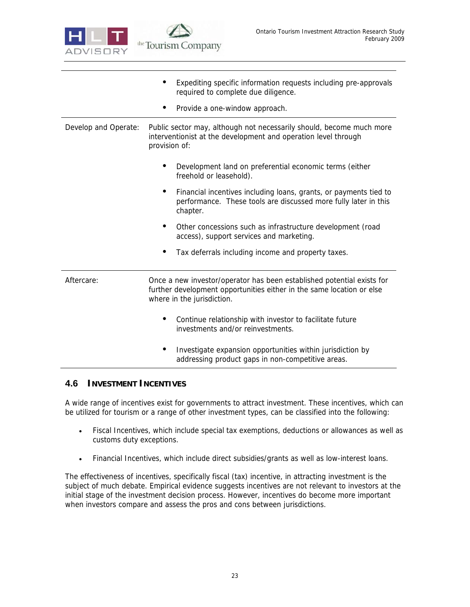

|                      | Expediting specific information requests including pre-approvals<br>required to complete due diligence.                                                                       |  |  |  |
|----------------------|-------------------------------------------------------------------------------------------------------------------------------------------------------------------------------|--|--|--|
|                      | Provide a one-window approach.                                                                                                                                                |  |  |  |
| Develop and Operate: | Public sector may, although not necessarily should, become much more<br>interventionist at the development and operation level through<br>provision of:                       |  |  |  |
|                      | Development land on preferential economic terms (either<br>freehold or leasehold).                                                                                            |  |  |  |
|                      | Financial incentives including loans, grants, or payments tied to<br>performance. These tools are discussed more fully later in this<br>chapter.                              |  |  |  |
|                      | Other concessions such as infrastructure development (road<br>access), support services and marketing.                                                                        |  |  |  |
|                      | Tax deferrals including income and property taxes.                                                                                                                            |  |  |  |
| Aftercare:           | Once a new investor/operator has been established potential exists for<br>further development opportunities either in the same location or else<br>where in the jurisdiction. |  |  |  |
|                      | Continue relationship with investor to facilitate future<br>investments and/or reinvestments.                                                                                 |  |  |  |
|                      | Investigate expansion opportunities within jurisdiction by<br>addressing product gaps in non-competitive areas.                                                               |  |  |  |

## **4.6 INVESTMENT INCENTIVES**

A wide range of incentives exist for governments to attract investment. These incentives, which can be utilized for tourism or a range of other investment types, can be classified into the following:

- Fiscal Incentives, which include special tax exemptions, deductions or allowances as well as customs duty exceptions.
- Financial Incentives, which include direct subsidies/grants as well as low-interest loans.

The effectiveness of incentives, specifically fiscal (tax) incentive, in attracting investment is the subject of much debate. Empirical evidence suggests incentives are not relevant to investors at the initial stage of the investment decision process. However, incentives do become more important when investors compare and assess the pros and cons between jurisdictions.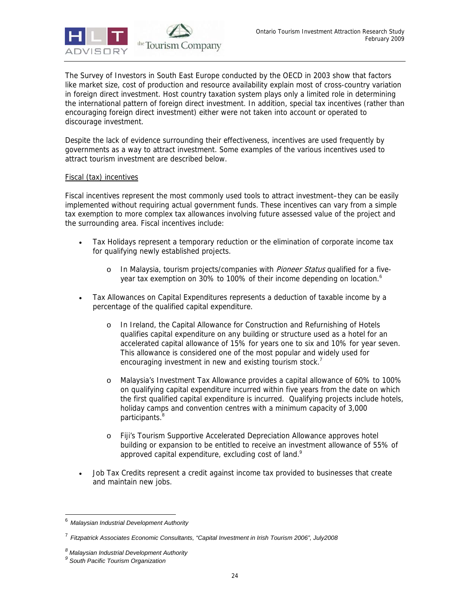

The Survey of Investors in South East Europe conducted by the OECD in 2003 show that factors like market size, cost of production and resource availability explain most of cross-country variation in foreign direct investment. Host country taxation system plays only a limited role in determining the international pattern of foreign direct investment. In addition, special tax incentives (rather than encouraging foreign direct investment) either were not taken into account or operated to discourage investment.

Despite the lack of evidence surrounding their effectiveness, incentives are used frequently by governments as a way to attract investment. Some examples of the various incentives used to attract tourism investment are described below.

### Fiscal (tax) incentives

Fiscal incentives represent the most commonly used tools to attract investment–they can be easily implemented without requiring actual government funds. These incentives can vary from a simple tax exemption to more complex tax allowances involving future assessed value of the project and the surrounding area. Fiscal incentives include:

- Tax Holidays represent a temporary reduction or the elimination of corporate income tax for qualifying newly established projects.
	- o In Malaysia, tourism projects/companies with Pioneer Status qualified for a fiveyear tax exemption on 30% to 100% of their income depending on location.<sup>6</sup>
- Tax Allowances on Capital Expenditures represents a deduction of taxable income by a percentage of the qualified capital expenditure.
	- o In Ireland, the Capital Allowance for Construction and Refurnishing of Hotels qualifies capital expenditure on any building or structure used as a hotel for an accelerated capital allowance of 15% for years one to six and 10% for year seven. This allowance is considered one of the most popular and widely used for encouraging investment in new and existing tourism stock.<sup>7</sup>
	- o Malaysia's Investment Tax Allowance provides a capital allowance of 60% to 100% on qualifying capital expenditure incurred within five years from the date on which the first qualified capital expenditure is incurred. Qualifying projects include hotels, holiday camps and convention centres with a minimum capacity of 3,000 participants.<sup>8</sup>
	- o Fiji's Tourism Supportive Accelerated Depreciation Allowance approves hotel building or expansion to be entitled to receive an investment allowance of 55% of approved capital expenditure, excluding cost of land.<sup>9</sup>
- Job Tax Credits represent a credit against income tax provided to businesses that create and maintain new jobs.

-

<sup>6</sup> *Malaysian Industrial Development Authority*

<sup>7</sup> *Fitzpatrick Associates Economic Consultants, "Capital Investment in Irish Tourism 2006", July2008*

*<sup>8</sup> Malaysian Industrial Development Authority* 

*<sup>9</sup> South Pacific Tourism Organization*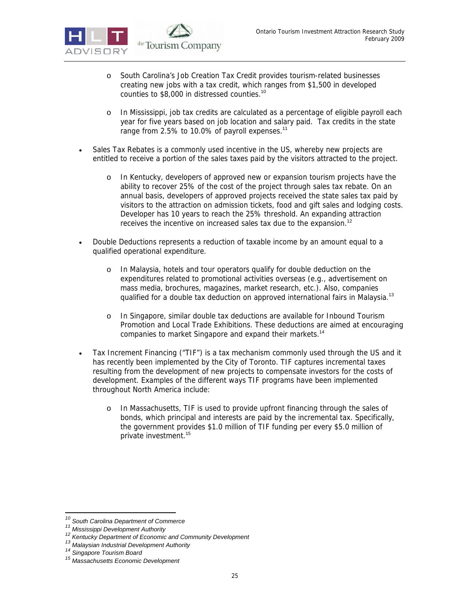- o South Carolina's Job Creation Tax Credit provides tourism-related businesses creating new jobs with a tax credit, which ranges from \$1,500 in developed counties to \$8,000 in distressed counties.<sup>10</sup>
- o In Mississippi, job tax credits are calculated as a percentage of eligible payroll each year for five years based on job location and salary paid. Tax credits in the state range from 2.5% to 10.0% of payroll expenses.<sup>11</sup>
- Sales Tax Rebates is a commonly used incentive in the US, whereby new projects are entitled to receive a portion of the sales taxes paid by the visitors attracted to the project.
	- o In Kentucky, developers of approved new or expansion tourism projects have the ability to recover 25% of the cost of the project through sales tax rebate. On an annual basis, developers of approved projects received the state sales tax paid by visitors to the attraction on admission tickets, food and gift sales and lodging costs. Developer has 10 years to reach the 25% threshold. An expanding attraction receives the incentive on increased sales tax due to the expansion.<sup>12</sup>
- Double Deductions represents a reduction of taxable income by an amount equal to a qualified operational expenditure.
	- o In Malaysia, hotels and tour operators qualify for double deduction on the expenditures related to promotional activities overseas (e.g., advertisement on mass media, brochures, magazines, market research, etc.). Also, companies qualified for a double tax deduction on approved international fairs in Malaysia.<sup>13</sup>
	- o In Singapore, similar double tax deductions are available for Inbound Tourism Promotion and Local Trade Exhibitions. These deductions are aimed at encouraging companies to market Singapore and expand their markets.<sup>14</sup>
- Tax Increment Financing ("TIF") is a tax mechanism commonly used through the US and it has recently been implemented by the City of Toronto. TIF captures incremental taxes resulting from the development of new projects to compensate investors for the costs of development. Examples of the different ways TIF programs have been implemented throughout North America include:
	- o In Massachusetts, TIF is used to provide upfront financing through the sales of bonds, which principal and interests are paid by the incremental tax. Specifically, the government provides \$1.0 million of TIF funding per every \$5.0 million of private investment.<sup>15</sup>

<sup>&</sup>lt;sup>10</sup> South Carolina Department of Commerce

<sup>&</sup>lt;sup>11</sup> Mississippi Development Authority<br>
<sup>12</sup> Kentucky Department of Economic and Community Development<br>
<sup>13</sup> Malaysian Industrial Development Authority<br>
<sup>14</sup> Singapore Tourism Board<br>
<sup>15</sup> Massachusetts Economic Development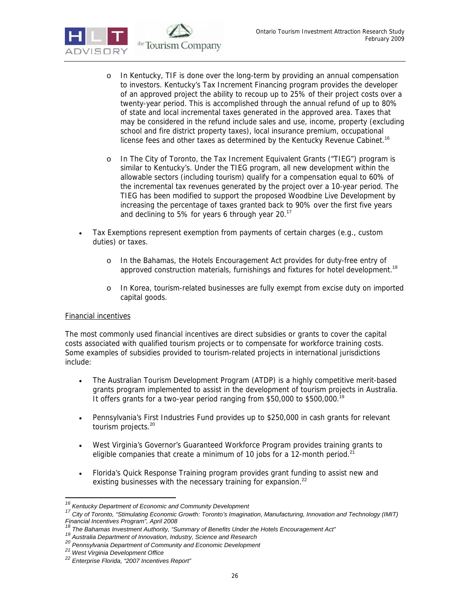

- o In Kentucky, TIF is done over the long-term by providing an annual compensation to investors. Kentucky's Tax Increment Financing program provides the developer of an approved project the ability to recoup up to 25% of their project costs over a twenty-year period. This is accomplished through the annual refund of up to 80% of state and local incremental taxes generated in the approved area. Taxes that may be considered in the refund include sales and use, income, property (excluding school and fire district property taxes), local insurance premium, occupational license fees and other taxes as determined by the Kentucky Revenue Cabinet.<sup>16</sup>
- o In The City of Toronto, the Tax Increment Equivalent Grants ("TIEG") program is similar to Kentucky's. Under the TIEG program, all new development within the allowable sectors (including tourism) qualify for a compensation equal to 60% of the incremental tax revenues generated by the project over a 10-year period. The TIEG has been modified to support the proposed Woodbine Live Development by increasing the percentage of taxes granted back to 90% over the first five years and declining to 5% for years 6 through year 20.<sup>17</sup>
- Tax Exemptions represent exemption from payments of certain charges (e.g., custom duties) or taxes.
	- o In the Bahamas, the Hotels Encouragement Act provides for duty-free entry of approved construction materials, furnishings and fixtures for hotel development.<sup>18</sup>
	- o In Korea, tourism-related businesses are fully exempt from excise duty on imported capital goods.

## Financial incentives

The most commonly used financial incentives are direct subsidies or grants to cover the capital costs associated with qualified tourism projects or to compensate for workforce training costs. Some examples of subsidies provided to tourism-related projects in international jurisdictions include:

- The Australian Tourism Development Program (ATDP) is a highly competitive merit-based grants program implemented to assist in the development of tourism projects in Australia. It offers grants for a two-year period ranging from \$50,000 to \$500,000.<sup>19</sup>
- Pennsylvania's First Industries Fund provides up to \$250,000 in cash grants for relevant tourism projects.<sup>20</sup>
- West Virginia's Governor's Guaranteed Workforce Program provides training grants to eligible companies that create a minimum of 10 jobs for a 12-month period.<sup>21</sup>
- Florida's Quick Response Training program provides grant funding to assist new and existing businesses with the necessary training for expansion.<sup>22</sup>

<sup>&</sup>lt;sup>16</sup> Kentucky Department of Economic and Community Development

*<sup>16</sup> Kentucky Department of Economic and Community Development 17 City of Toronto, "Stimulating Economic Growth: Toronto's Imagination, Manufacturing, Innovation and Technology (IMIT) Financial Incentives Program", April 2008* 

<sup>&</sup>lt;sup>19</sup><br>Australia Department of Innovation, Industry, Science and Research<br><sup>20</sup> Pennsylvania Department of Community and Economic Development<br><sup>21</sup> West Virginia Development Office<br><sup>22</sup> Enterprise Florida, "2007 Incentives Rep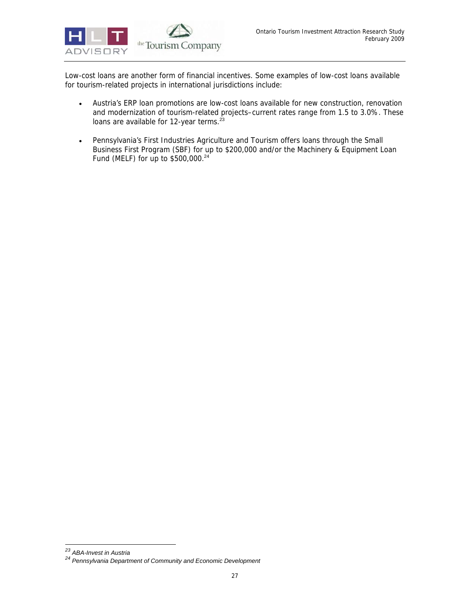

Low-cost loans are another form of financial incentives. Some examples of low-cost loans available for tourism-related projects in international jurisdictions include:

- Austria's ERP loan promotions are low-cost loans available for new construction, renovation and modernization of tourism-related projects–current rates range from 1.5 to 3.0%. These loans are available for 12-year terms. $23$
- Pennsylvania's First Industries Agriculture and Tourism offers loans through the Small Business First Program (SBF) for up to \$200,000 and/or the Machinery & Equipment Loan Fund (MELF) for up to \$500,000.<sup>24</sup>

-

<sup>&</sup>lt;sup>23</sup> ABA-Invest in Austria<br><sup>24</sup> Pennsylvania Department of Community and Economic Development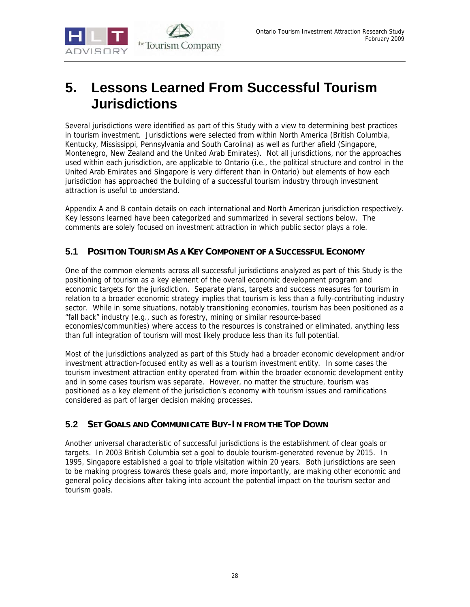

# **5. Lessons Learned From Successful Tourism Jurisdictions**

Several jurisdictions were identified as part of this Study with a view to determining best practices in tourism investment. Jurisdictions were selected from within North America (British Columbia, Kentucky, Mississippi, Pennsylvania and South Carolina) as well as further afield (Singapore, Montenegro, New Zealand and the United Arab Emirates). Not all jurisdictions, nor the approaches used within each jurisdiction, are applicable to Ontario (i.e., the political structure and control in the United Arab Emirates and Singapore is very different than in Ontario) but elements of how each jurisdiction has approached the building of a successful tourism industry through investment attraction is useful to understand.

Appendix A and B contain details on each international and North American jurisdiction respectively. Key lessons learned have been categorized and summarized in several sections below. The comments are solely focused on investment attraction in which public sector plays a role.

## **5.1 POSITION TOURISM AS A KEY COMPONENT OF A SUCCESSFUL ECONOMY**

One of the common elements across all successful jurisdictions analyzed as part of this Study is the positioning of tourism as a key element of the overall economic development program and economic targets for the jurisdiction. Separate plans, targets and success measures for tourism in relation to a broader economic strategy implies that tourism is less than a fully-contributing industry sector. While in some situations, notably transitioning economies, tourism has been positioned as a "fall back" industry (e.g., such as forestry, mining or similar resource-based economies/communities) where access to the resources is constrained or eliminated, anything less than full integration of tourism will most likely produce less than its full potential.

Most of the jurisdictions analyzed as part of this Study had a broader economic development and/or investment attraction-focused entity as well as a tourism investment entity. In some cases the tourism investment attraction entity operated from within the broader economic development entity and in some cases tourism was separate. However, no matter the structure, tourism was positioned as a key element of the jurisdiction's economy with tourism issues and ramifications considered as part of larger decision making processes.

## **5.2 SET GOALS AND COMMUNICATE BUY-IN FROM THE TOP DOWN**

Another universal characteristic of successful jurisdictions is the establishment of clear goals or targets. In 2003 British Columbia set a goal to double tourism-generated revenue by 2015. In 1995, Singapore established a goal to triple visitation within 20 years. Both jurisdictions are seen to be making progress towards these goals and, more importantly, are making other economic and general policy decisions after taking into account the potential impact on the tourism sector and tourism goals.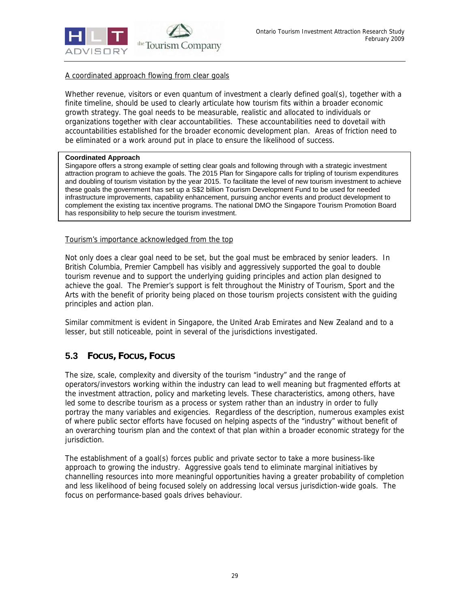

## A coordinated approach flowing from clear goals

Whether revenue, visitors or even quantum of investment a clearly defined goal(s), together with a finite timeline, should be used to clearly articulate how tourism fits within a broader economic growth strategy. The goal needs to be measurable, realistic and allocated to individuals or organizations together with clear accountabilities. These accountabilities need to dovetail with accountabilities established for the broader economic development plan. Areas of friction need to be eliminated or a work around put in place to ensure the likelihood of success.

### **Coordinated Approach**

j

Singapore offers a strong example of setting clear goals and following through with a strategic investment attraction program to achieve the goals. The 2015 Plan for Singapore calls for tripling of tourism expenditures and doubling of tourism visitation by the year 2015. To facilitate the level of new tourism investment to achieve these goals the government has set up a S\$2 billion Tourism Development Fund to be used for needed infrastructure improvements, capability enhancement, pursuing anchor events and product development to complement the existing tax incentive programs. The national DMO the Singapore Tourism Promotion Board has responsibility to help secure the tourism investment.

### Tourism's importance acknowledged from the top

Not only does a clear goal need to be set, but the goal must be embraced by senior leaders. In British Columbia, Premier Campbell has visibly and aggressively supported the goal to double tourism revenue and to support the underlying guiding principles and action plan designed to achieve the goal. The Premier's support is felt throughout the Ministry of Tourism, Sport and the Arts with the benefit of priority being placed on those tourism projects consistent with the guiding principles and action plan.

Similar commitment is evident in Singapore, the United Arab Emirates and New Zealand and to a lesser, but still noticeable, point in several of the jurisdictions investigated.

## **5.3 FOCUS, FOCUS, FOCUS**

The size, scale, complexity and diversity of the tourism "industry" and the range of operators/investors working within the industry can lead to well meaning but fragmented efforts at the investment attraction, policy and marketing levels. These characteristics, among others, have led some to describe tourism as a process or system rather than an industry in order to fully portray the many variables and exigencies. Regardless of the description, numerous examples exist of where public sector efforts have focused on helping aspects of the "industry" without benefit of an overarching tourism plan and the context of that plan within a broader economic strategy for the jurisdiction.

The establishment of a goal(s) forces public and private sector to take a more business-like approach to growing the industry. Aggressive goals tend to eliminate marginal initiatives by channelling resources into more meaningful opportunities having a greater probability of completion and less likelihood of being focused solely on addressing local versus jurisdiction-wide goals. The focus on performance-based goals drives behaviour.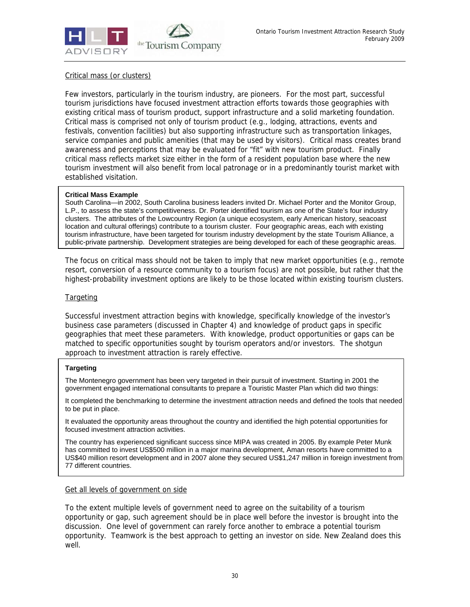

### Critical mass (or clusters)

Few investors, particularly in the tourism industry, are pioneers. For the most part, successful tourism jurisdictions have focused investment attraction efforts towards those geographies with existing critical mass of tourism product, support infrastructure and a solid marketing foundation. Critical mass is comprised not only of tourism product (e.g., lodging, attractions, events and festivals, convention facilities) but also supporting infrastructure such as transportation linkages, service companies and public amenities (that may be used by visitors). Critical mass creates brand awareness and perceptions that may be evaluated for "fit" with new tourism product. Finally critical mass reflects market size either in the form of a resident population base where the new tourism investment will also benefit from local patronage or in a predominantly tourist market with established visitation.

#### **Critical Mass Example**

South Carolina—in 2002, South Carolina business leaders invited Dr. Michael Porter and the Monitor Group, L.P., to assess the state's competitiveness. Dr. Porter identified tourism as one of the State's four industry clusters. The attributes of the Lowcountry Region (a unique ecosystem, early American history, seacoast location and cultural offerings) contribute to a tourism cluster. Four geographic areas, each with existing tourism infrastructure, have been targeted for tourism industry development by the state Tourism Alliance, a public-private partnership. Development strategies are being developed for each of these geographic areas.

The focus on critical mass should not be taken to imply that new market opportunities (e.g., remote resort, conversion of a resource community to a tourism focus) are not possible, but rather that the highest-probability investment options are likely to be those located within existing tourism clusters.

### **Targeting**

Successful investment attraction begins with knowledge, specifically knowledge of the investor's business case parameters (discussed in Chapter 4) and knowledge of product gaps in specific geographies that meet these parameters. With knowledge, product opportunities or gaps can be matched to specific opportunities sought by tourism operators and/or investors. The shotgun approach to investment attraction is rarely effective.

#### **Targeting**

The Montenegro government has been very targeted in their pursuit of investment. Starting in 2001 the government engaged international consultants to prepare a Touristic Master Plan which did two things:

It completed the benchmarking to determine the investment attraction needs and defined the tools that needed to be put in place.

It evaluated the opportunity areas throughout the country and identified the high potential opportunities for focused investment attraction activities.

The country has experienced significant success since MIPA was created in 2005. By example Peter Munk has committed to invest US\$500 million in a major marina development, Aman resorts have committed to a US\$40 million resort development and in 2007 alone they secured US\$1,247 million in foreign investment from 77 different countries.

#### Get all levels of government on side

To the extent multiple levels of government need to agree on the suitability of a tourism opportunity or gap, such agreement should be in place well before the investor is brought into the discussion. One level of government can rarely force another to embrace a potential tourism opportunity. Teamwork is the best approach to getting an investor on side. New Zealand does this well.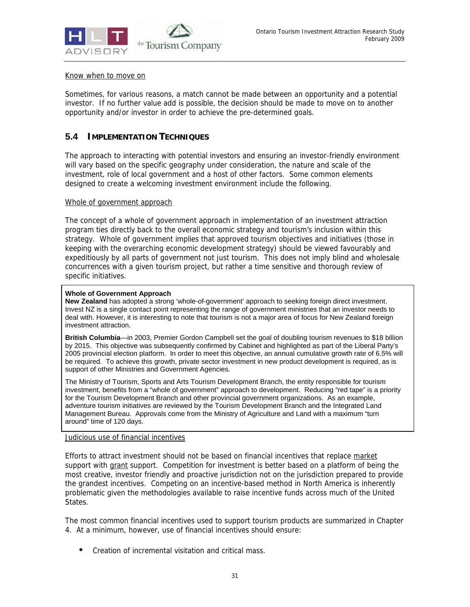

### Know when to move on

Sometimes, for various reasons, a match cannot be made between an opportunity and a potential investor. If no further value add is possible, the decision should be made to move on to another opportunity and/or investor in order to achieve the pre-determined goals.

## **5.4 IMPLEMENTATION TECHNIQUES**

The approach to interacting with potential investors and ensuring an investor-friendly environment will vary based on the specific geography under consideration, the nature and scale of the investment, role of local government and a host of other factors. Some common elements designed to create a welcoming investment environment include the following.

### Whole of government approach

The concept of a whole of government approach in implementation of an investment attraction program ties directly back to the overall economic strategy and tourism's inclusion within this strategy. Whole of government implies that approved tourism objectives and initiatives (those in keeping with the overarching economic development strategy) should be viewed favourably and expeditiously by all parts of government not just tourism. This does not imply blind and wholesale concurrences with a given tourism project, but rather a time sensitive and thorough review of specific initiatives.

#### **Whole of Government Approach**

**New Zealand** has adopted a strong 'whole-of-government' approach to seeking foreign direct investment. Invest NZ is a single contact point representing the range of government ministries that an investor needs to deal with. However, it is interesting to note that tourism is not a major area of focus for New Zealand foreign investment attraction.

**British Columbia**—in 2003, Premier Gordon Campbell set the goal of doubling tourism revenues to \$18 billion by 2015. This objective was subsequently confirmed by Cabinet and highlighted as part of the Liberal Party's 2005 provincial election platform. In order to meet this objective, an annual cumulative growth rate of 6.5% will be required. To achieve this growth, private sector investment in new product development is required, as is support of other Ministries and Government Agencies.

The Ministry of Tourism, Sports and Arts Tourism Development Branch, the entity responsible for tourism investment, benefits from a "whole of government" approach to development. Reducing "red tape" is a priority for the Tourism Development Branch and other provincial government organizations. As an example, adventure tourism initiatives are reviewed by the Tourism Development Branch and the Integrated Land Management Bureau. Approvals come from the Ministry of Agriculture and Land with a maximum "turn around" time of 120 days.

#### Judicious use of financial incentives

Efforts to attract investment should not be based on financial incentives that replace market support with grant support. Competition for investment is better based on a platform of being the most creative, investor friendly and proactive jurisdiction not on the jurisdiction prepared to provide the grandest incentives. Competing on an incentive-based method in North America is inherently problematic given the methodologies available to raise incentive funds across much of the United States.

The most common financial incentives used to support tourism products are summarized in Chapter 4. At a minimum, however, use of financial incentives should ensure:

• Creation of incremental visitation and critical mass.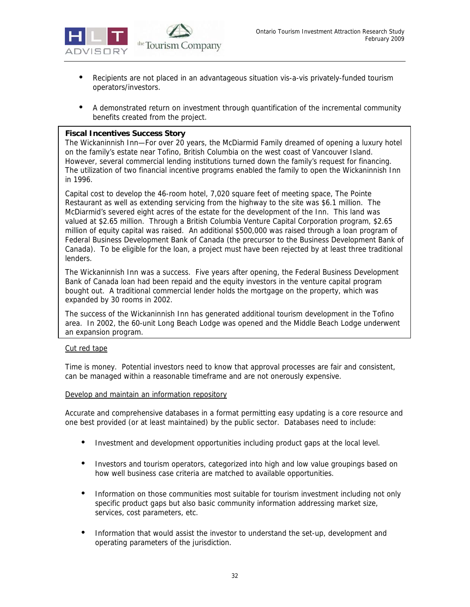

- Recipients are not placed in an advantageous situation vis-a-vis privately-funded tourism operators/investors.
- A demonstrated return on investment through quantification of the incremental community benefits created from the project.

### **Fiscal Incentives Success Story**

The Wickaninnish Inn—For over 20 years, the McDiarmid Family dreamed of opening a luxury hotel on the family's estate near Tofino, British Columbia on the west coast of Vancouver Island. However, several commercial lending institutions turned down the family's request for financing. The utilization of two financial incentive programs enabled the family to open the Wickaninnish Inn in 1996.

Capital cost to develop the 46-room hotel, 7,020 square feet of meeting space, The Pointe Restaurant as well as extending servicing from the highway to the site was \$6.1 million. The McDiarmid's severed eight acres of the estate for the development of the Inn. This land was valued at \$2.65 million. Through a British Columbia Venture Capital Corporation program, \$2.65 million of equity capital was raised. An additional \$500,000 was raised through a loan program of Federal Business Development Bank of Canada (the precursor to the Business Development Bank of Canada). To be eligible for the loan, a project must have been rejected by at least three traditional lenders.

The Wickaninnish Inn was a success. Five years after opening, the Federal Business Development Bank of Canada loan had been repaid and the equity investors in the venture capital program bought out. A traditional commercial lender holds the mortgage on the property, which was expanded by 30 rooms in 2002.

The success of the Wickaninnish Inn has generated additional tourism development in the Tofino area. In 2002, the 60-unit Long Beach Lodge was opened and the Middle Beach Lodge underwent an expansion program.

### Cut red tape

Time is money. Potential investors need to know that approval processes are fair and consistent, can be managed within a reasonable timeframe and are not onerously expensive.

### Develop and maintain an information repository

Accurate and comprehensive databases in a format permitting easy updating is a core resource and one best provided (or at least maintained) by the public sector. Databases need to include:

- Investment and development opportunities including product gaps at the local level.
- Investors and tourism operators, categorized into high and low value groupings based on how well business case criteria are matched to available opportunities.
- Information on those communities most suitable for tourism investment including not only specific product gaps but also basic community information addressing market size, services, cost parameters, etc.
- Information that would assist the investor to understand the set-up, development and operating parameters of the jurisdiction.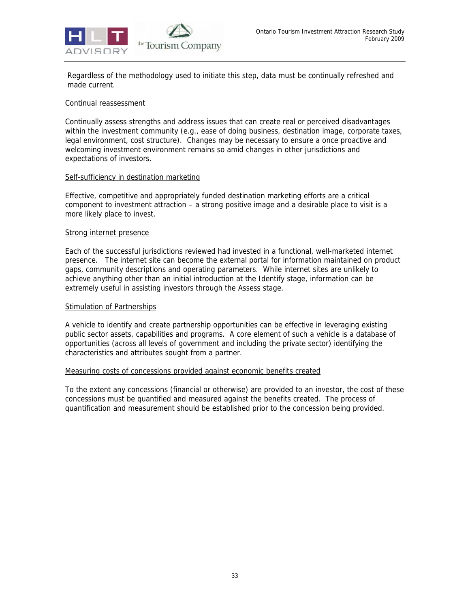

Regardless of the methodology used to initiate this step, data must be continually refreshed and made current.

#### Continual reassessment

Continually assess strengths and address issues that can create real or perceived disadvantages within the investment community (e.g., ease of doing business, destination image, corporate taxes, legal environment, cost structure). Changes may be necessary to ensure a once proactive and welcoming investment environment remains so amid changes in other jurisdictions and expectations of investors.

#### Self-sufficiency in destination marketing

Effective, competitive and appropriately funded destination marketing efforts are a critical component to investment attraction – a strong positive image and a desirable place to visit is a more likely place to invest.

#### Strong internet presence

Each of the successful jurisdictions reviewed had invested in a functional, well-marketed internet presence. The internet site can become the external portal for information maintained on product gaps, community descriptions and operating parameters. While internet sites are unlikely to achieve anything other than an initial introduction at the Identify stage, information can be extremely useful in assisting investors through the Assess stage.

#### **Stimulation of Partnerships**

A vehicle to identify and create partnership opportunities can be effective in leveraging existing public sector assets, capabilities and programs. A core element of such a vehicle is a database of opportunities (across all levels of government and including the private sector) identifying the characteristics and attributes sought from a partner.

#### Measuring costs of concessions provided against economic benefits created

To the extent any concessions (financial or otherwise) are provided to an investor, the cost of these concessions must be quantified and measured against the benefits created. The process of quantification and measurement should be established prior to the concession being provided.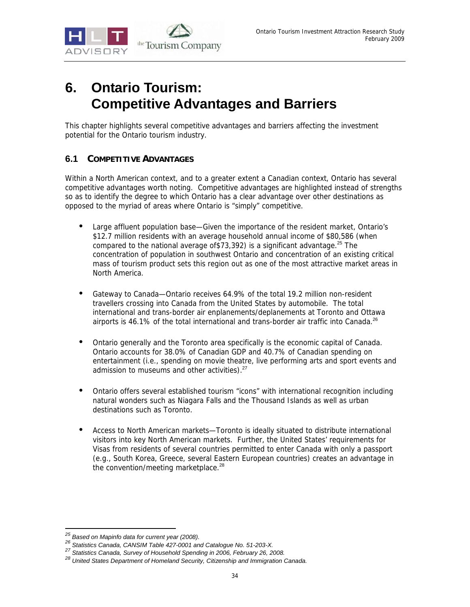

# **6. Ontario Tourism: Competitive Advantages and Barriers**

This chapter highlights several competitive advantages and barriers affecting the investment potential for the Ontario tourism industry.

# **6.1 COMPETITIVE ADVANTAGES**

Within a North American context, and to a greater extent a Canadian context, Ontario has several competitive advantages worth noting. Competitive advantages are highlighted instead of strengths so as to identify the degree to which Ontario has a clear advantage over other destinations as opposed to the myriad of areas where Ontario is "simply" competitive.

- Large affluent population base—Given the importance of the resident market, Ontario's \$12.7 million residents with an average household annual income of \$80,586 (when compared to the national average of \$73,392) is a significant advantage.<sup>25</sup> The concentration of population in southwest Ontario and concentration of an existing critical mass of tourism product sets this region out as one of the most attractive market areas in North America.
- Gateway to Canada—Ontario receives 64.9% of the total 19.2 million non-resident travellers crossing into Canada from the United States by automobile. The total international and trans-border air enplanements/deplanements at Toronto and Ottawa airports is 46.1% of the total international and trans-border air traffic into Canada.<sup>26</sup>
- Ontario generally and the Toronto area specifically is the economic capital of Canada. Ontario accounts for 38.0% of Canadian GDP and 40.7% of Canadian spending on entertainment (i.e., spending on movie theatre, live performing arts and sport events and admission to museums and other activities).<sup>27</sup>
- Ontario offers several established tourism "icons" with international recognition including natural wonders such as Niagara Falls and the Thousand Islands as well as urban destinations such as Toronto.
- Access to North American markets—Toronto is ideally situated to distribute international visitors into key North American markets. Further, the United States' requirements for Visas from residents of several countries permitted to enter Canada with only a passport (e.g., South Korea, Greece, several Eastern European countries) creates an advantage in the convention/meeting marketplace.<sup>28</sup>

<sup>&</sup>lt;sup>25</sup> Based on Mapinfo data for current year (2008).

<sup>&</sup>lt;sup>26</sup> Statistics Canada, CANSIM Table 427-0001 and Catalogue No. 51-203-X.<br><sup>27</sup> Statistics Canada, Survey of Household Spending in 2006, February 26, 2008.<br><sup>28</sup> United States Department of Homeland Security, Citizenship and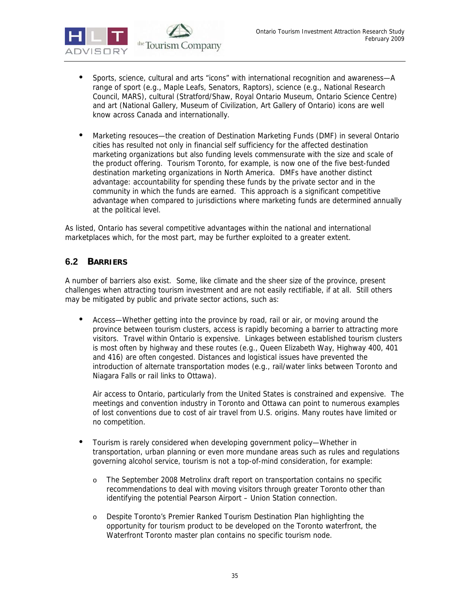

- Sports, science, cultural and arts "icons" with international recognition and awareness—A range of sport (e.g., Maple Leafs, Senators, Raptors), science (e.g., National Research Council, MARS), cultural (Stratford/Shaw, Royal Ontario Museum, Ontario Science Centre) and art (National Gallery, Museum of Civilization, Art Gallery of Ontario) icons are well know across Canada and internationally.
- Marketing resouces—the creation of Destination Marketing Funds (DMF) in several Ontario cities has resulted not only in financial self sufficiency for the affected destination marketing organizations but also funding levels commensurate with the size and scale of the product offering. Tourism Toronto, for example, is now one of the five best-funded destination marketing organizations in North America. DMFs have another distinct advantage: accountability for spending these funds by the private sector and in the community in which the funds are earned. This approach is a significant competitive advantage when compared to jurisdictions where marketing funds are determined annually at the political level.

As listed, Ontario has several competitive advantages within the national and international marketplaces which, for the most part, may be further exploited to a greater extent.

# **6.2 BARRIERS**

A number of barriers also exist. Some, like climate and the sheer size of the province, present challenges when attracting tourism investment and are not easily rectifiable, if at all. Still others may be mitigated by public and private sector actions, such as:

• Access—Whether getting into the province by road, rail or air, or moving around the province between tourism clusters, access is rapidly becoming a barrier to attracting more visitors. Travel within Ontario is expensive. Linkages between established tourism clusters is most often by highway and these routes (e.g., Queen Elizabeth Way, Highway 400, 401 and 416) are often congested. Distances and logistical issues have prevented the introduction of alternate transportation modes (e.g., rail/water links between Toronto and Niagara Falls or rail links to Ottawa).

Air access to Ontario, particularly from the United States is constrained and expensive. The meetings and convention industry in Toronto and Ottawa can point to numerous examples of lost conventions due to cost of air travel from U.S. origins. Many routes have limited or no competition.

- Tourism is rarely considered when developing government policy—Whether in transportation, urban planning or even more mundane areas such as rules and regulations governing alcohol service, tourism is not a top-of-mind consideration, for example:
	- o The September 2008 Metrolinx draft report on transportation contains no specific recommendations to deal with moving visitors through greater Toronto other than identifying the potential Pearson Airport – Union Station connection.
	- o Despite Toronto's Premier Ranked Tourism Destination Plan highlighting the opportunity for tourism product to be developed on the Toronto waterfront, the Waterfront Toronto master plan contains no specific tourism node.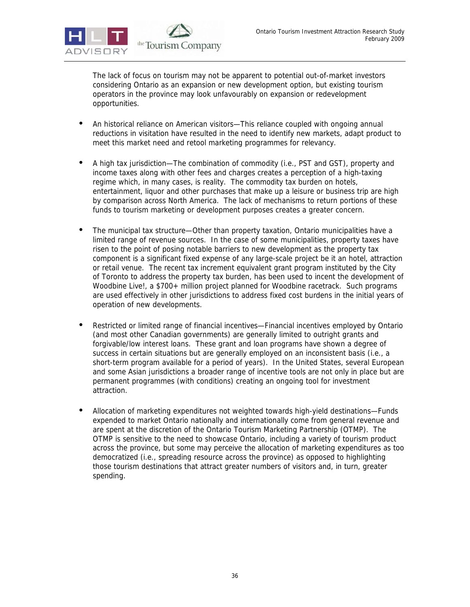

The lack of focus on tourism may not be apparent to potential out-of-market investors considering Ontario as an expansion or new development option, but existing tourism operators in the province may look unfavourably on expansion or redevelopment opportunities.

- An historical reliance on American visitors—This reliance coupled with ongoing annual reductions in visitation have resulted in the need to identify new markets, adapt product to meet this market need and retool marketing programmes for relevancy.
- A high tax jurisdiction—The combination of commodity (i.e., PST and GST), property and income taxes along with other fees and charges creates a perception of a high-taxing regime which, in many cases, is reality. The commodity tax burden on hotels, entertainment, liquor and other purchases that make up a leisure or business trip are high by comparison across North America. The lack of mechanisms to return portions of these funds to tourism marketing or development purposes creates a greater concern.
- The municipal tax structure—Other than property taxation, Ontario municipalities have a limited range of revenue sources. In the case of some municipalities, property taxes have risen to the point of posing notable barriers to new development as the property tax component is a significant fixed expense of any large-scale project be it an hotel, attraction or retail venue. The recent tax increment equivalent grant program instituted by the City of Toronto to address the property tax burden, has been used to incent the development of Woodbine Live!, a \$700+ million project planned for Woodbine racetrack. Such programs are used effectively in other jurisdictions to address fixed cost burdens in the initial years of operation of new developments.
- Restricted or limited range of financial incentives—Financial incentives employed by Ontario (and most other Canadian governments) are generally limited to outright grants and forgivable/low interest loans. These grant and loan programs have shown a degree of success in certain situations but are generally employed on an inconsistent basis (i.e., a short-term program available for a period of years). In the United States, several European and some Asian jurisdictions a broader range of incentive tools are not only in place but are permanent programmes (with conditions) creating an ongoing tool for investment attraction.
- Allocation of marketing expenditures not weighted towards high-yield destinations—Funds expended to market Ontario nationally and internationally come from general revenue and are spent at the discretion of the Ontario Tourism Marketing Partnership (OTMP). The OTMP is sensitive to the need to showcase Ontario, including a variety of tourism product across the province, but some may perceive the allocation of marketing expenditures as too democratized (i.e., spreading resource across the province) as opposed to highlighting those tourism destinations that attract greater numbers of visitors and, in turn, greater spending.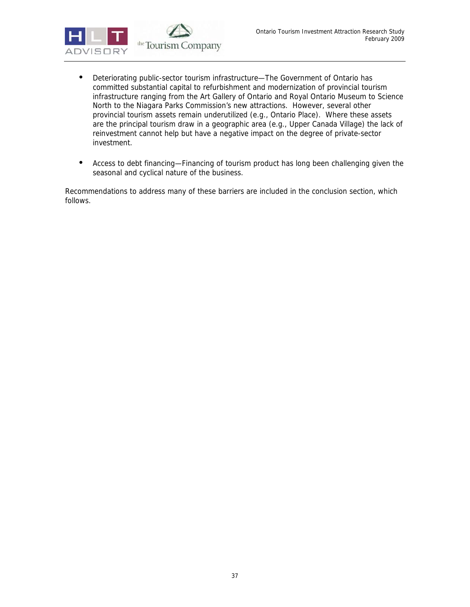

- Deteriorating public-sector tourism infrastructure—The Government of Ontario has committed substantial capital to refurbishment and modernization of provincial tourism infrastructure ranging from the Art Gallery of Ontario and Royal Ontario Museum to Science North to the Niagara Parks Commission's new attractions. However, several other provincial tourism assets remain underutilized (e.g., Ontario Place). Where these assets are the principal tourism draw in a geographic area (e.g., Upper Canada Village) the lack of reinvestment cannot help but have a negative impact on the degree of private-sector investment.
- Access to debt financing—Financing of tourism product has long been challenging given the seasonal and cyclical nature of the business.

Recommendations to address many of these barriers are included in the conclusion section, which follows.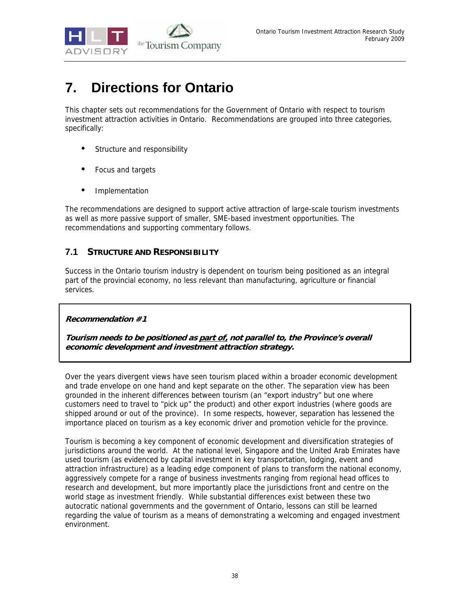

# **7. Directions for Ontario**

This chapter sets out recommendations for the Government of Ontario with respect to tourism investment attraction activities in Ontario. Recommendations are grouped into three categories, specifically:

- Structure and responsibility
- Focus and targets
- **Implementation**

The recommendations are designed to support active attraction of large-scale tourism investments as well as more passive support of smaller, SME-based investment opportunities. The recommendations and supporting commentary follows.

# **7.1 STRUCTURE AND RESPONSIBILITY**

Success in the Ontario tourism industry is dependent on tourism being positioned as an integral part of the provincial economy, no less relevant than manufacturing, agriculture or financial services.

**Recommendation #1** 

**Tourism needs to be positioned as part of, not parallel to, the Province's overall economic development and investment attraction strategy.**

Over the years divergent views have seen tourism placed within a broader economic development and trade envelope on one hand and kept separate on the other. The separation view has been grounded in the inherent differences between tourism (an "export industry" but one where customers need to travel to "pick up" the product) and other export industries (where goods are shipped around or out of the province). In some respects, however, separation has lessened the importance placed on tourism as a key economic driver and promotion vehicle for the province.

Tourism is becoming a key component of economic development and diversification strategies of jurisdictions around the world. At the national level, Singapore and the United Arab Emirates have used tourism (as evidenced by capital investment in key transportation, lodging, event and attraction infrastructure) as a leading edge component of plans to transform the national economy, aggressively compete for a range of business investments ranging from regional head offices to research and development, but more importantly place the jurisdictions front and centre on the world stage as investment friendly. While substantial differences exist between these two autocratic national governments and the government of Ontario, lessons can still be learned regarding the value of tourism as a means of demonstrating a welcoming and engaged investment environment.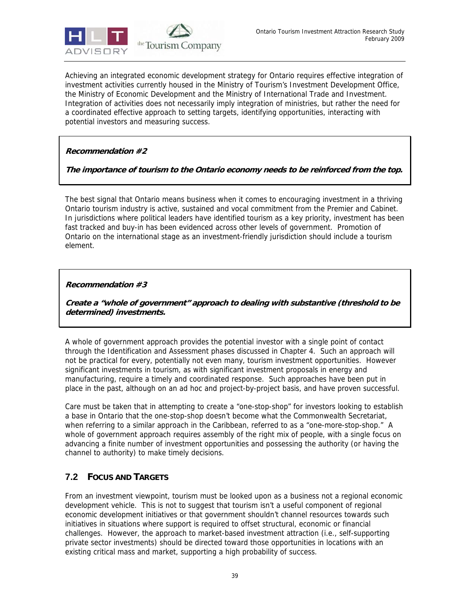

Achieving an integrated economic development strategy for Ontario requires effective integration of investment activities currently housed in the Ministry of Tourism's Investment Development Office, the Ministry of Economic Development and the Ministry of International Trade and Investment. Integration of activities does not necessarily imply integration of ministries, but rather the need for a coordinated effective approach to setting targets, identifying opportunities, interacting with potential investors and measuring success.

# **Recommendation #2**

# **The importance of tourism to the Ontario economy needs to be reinforced from the top.**

The best signal that Ontario means business when it comes to encouraging investment in a thriving Ontario tourism industry is active, sustained and vocal commitment from the Premier and Cabinet. In jurisdictions where political leaders have identified tourism as a key priority, investment has been fast tracked and buy-in has been evidenced across other levels of government. Promotion of Ontario on the international stage as an investment-friendly jurisdiction should include a tourism element.

# **Recommendation #3**

**Create a "whole of government" approach to dealing with substantive (threshold to be determined) investments.** 

A whole of government approach provides the potential investor with a single point of contact through the Identification and Assessment phases discussed in Chapter 4. Such an approach will not be practical for every, potentially not even many, tourism investment opportunities. However significant investments in tourism, as with significant investment proposals in energy and manufacturing, require a timely and coordinated response. Such approaches have been put in place in the past, although on an ad hoc and project-by-project basis, and have proven successful.

Care must be taken that in attempting to create a "one-stop-shop" for investors looking to establish a base in Ontario that the one-stop-shop doesn't become what the Commonwealth Secretariat, when referring to a similar approach in the Caribbean, referred to as a "one-more-stop-shop." A whole of government approach requires assembly of the right mix of people, with a single focus on advancing a finite number of investment opportunities and possessing the authority (or having the channel to authority) to make timely decisions.

# **7.2 FOCUS AND TARGETS**

From an investment viewpoint, tourism must be looked upon as a business not a regional economic development vehicle. This is not to suggest that tourism isn't a useful component of regional economic development initiatives or that government shouldn't channel resources towards such initiatives in situations where support is required to offset structural, economic or financial challenges. However, the approach to market-based investment attraction (i.e., self-supporting private sector investments) should be directed toward those opportunities in locations with an existing critical mass and market, supporting a high probability of success.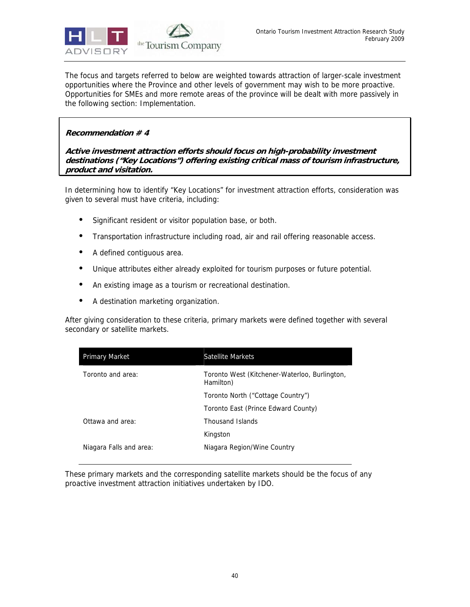

The focus and targets referred to below are weighted towards attraction of larger-scale investment opportunities where the Province and other levels of government may wish to be more proactive. Opportunities for SMEs and more remote areas of the province will be dealt with more passively in the following section: Implementation.

# **Recommendation # 4**

**Active investment attraction efforts should focus on high-probability investment destinations ("Key Locations") offering existing critical mass of tourism infrastructure, product and visitation.** 

In determining how to identify "Key Locations" for investment attraction efforts, consideration was given to several must have criteria, including:

- Significant resident or visitor population base, or both.
- Transportation infrastructure including road, air and rail offering reasonable access.
- A defined contiguous area.
- Unique attributes either already exploited for tourism purposes or future potential.
- An existing image as a tourism or recreational destination.
- A destination marketing organization.

After giving consideration to these criteria, primary markets were defined together with several secondary or satellite markets.

| Primary Market          | Satellite Markets                                          |
|-------------------------|------------------------------------------------------------|
| Toronto and area:       | Toronto West (Kitchener-Waterloo, Burlington,<br>Hamilton) |
|                         | Toronto North ("Cottage Country")                          |
|                         | Toronto East (Prince Edward County)                        |
| Ottawa and area:        | Thousand Islands                                           |
|                         | Kingston                                                   |
| Niagara Falls and area: | Niagara Region/Wine Country                                |

These primary markets and the corresponding satellite markets should be the focus of any proactive investment attraction initiatives undertaken by IDO.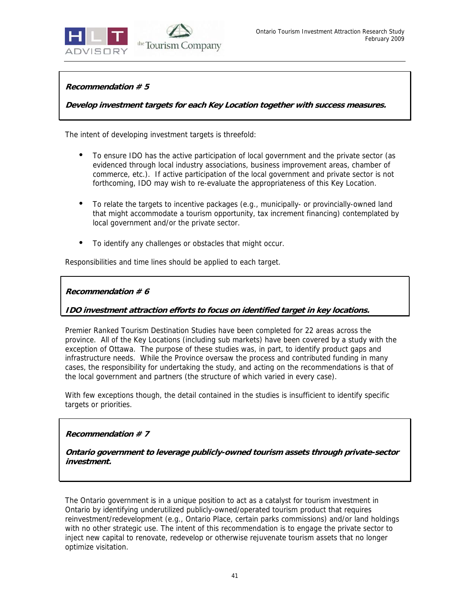

**Recommendation # 5** 

**Develop investment targets for each Key Location together with success measures.**

The intent of developing investment targets is threefold:

- To ensure IDO has the active participation of local government and the private sector (as evidenced through local industry associations, business improvement areas, chamber of commerce, etc.). If active participation of the local government and private sector is not forthcoming, IDO may wish to re-evaluate the appropriateness of this Key Location.
- To relate the targets to incentive packages (e.g., municipally- or provincially-owned land that might accommodate a tourism opportunity, tax increment financing) contemplated by local government and/or the private sector.
- To identify any challenges or obstacles that might occur.

Responsibilities and time lines should be applied to each target.

## **Recommendation # 6**

**IDO investment attraction efforts to focus on identified target in key locations.** 

Premier Ranked Tourism Destination Studies have been completed for 22 areas across the province. All of the Key Locations (including sub markets) have been covered by a study with the exception of Ottawa. The purpose of these studies was, in part, to identify product gaps and infrastructure needs. While the Province oversaw the process and contributed funding in many cases, the responsibility for undertaking the study, and acting on the recommendations is that of the local government and partners (the structure of which varied in every case).

With few exceptions though, the detail contained in the studies is insufficient to identify specific targets or priorities.

#### **Recommendation # 7**

**Ontario government to leverage publicly-owned tourism assets through private-sector investment.** 

The Ontario government is in a unique position to act as a catalyst for tourism investment in Ontario by identifying underutilized publicly-owned/operated tourism product that requires reinvestment/redevelopment (e.g., Ontario Place, certain parks commissions) and/or land holdings with no other strategic use. The intent of this recommendation is to engage the private sector to inject new capital to renovate, redevelop or otherwise rejuvenate tourism assets that no longer optimize visitation.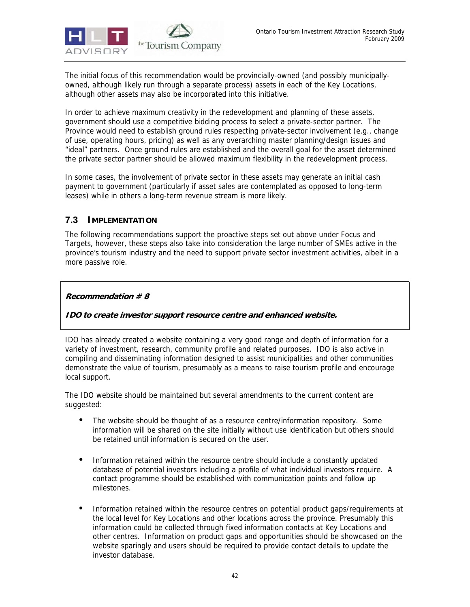

The initial focus of this recommendation would be provincially-owned (and possibly municipallyowned, although likely run through a separate process) assets in each of the Key Locations, although other assets may also be incorporated into this initiative.

In order to achieve maximum creativity in the redevelopment and planning of these assets, government should use a competitive bidding process to select a private-sector partner. The Province would need to establish ground rules respecting private-sector involvement (e.g., change of use, operating hours, pricing) as well as any overarching master planning/design issues and "ideal" partners. Once ground rules are established and the overall goal for the asset determined the private sector partner should be allowed maximum flexibility in the redevelopment process.

In some cases, the involvement of private sector in these assets may generate an initial cash payment to government (particularly if asset sales are contemplated as opposed to long-term leases) while in others a long-term revenue stream is more likely.

# **7.3 IMPLEMENTATION**

The following recommendations support the proactive steps set out above under Focus and Targets, however, these steps also take into consideration the large number of SMEs active in the province's tourism industry and the need to support private sector investment activities, albeit in a more passive role.

## **Recommendation # 8**

# **IDO to create investor support resource centre and enhanced website.**

IDO has already created a website containing a very good range and depth of information for a variety of investment, research, community profile and related purposes. IDO is also active in compiling and disseminating information designed to assist municipalities and other communities demonstrate the value of tourism, presumably as a means to raise tourism profile and encourage local support.

The IDO website should be maintained but several amendments to the current content are suggested:

- The website should be thought of as a resource centre/information repository. Some information will be shared on the site initially without use identification but others should be retained until information is secured on the user.
- Information retained within the resource centre should include a constantly updated database of potential investors including a profile of what individual investors require. A contact programme should be established with communication points and follow up milestones.
- Information retained within the resource centres on potential product gaps/requirements at the local level for Key Locations and other locations across the province. Presumably this information could be collected through fixed information contacts at Key Locations and other centres. Information on product gaps and opportunities should be showcased on the website sparingly and users should be required to provide contact details to update the investor database.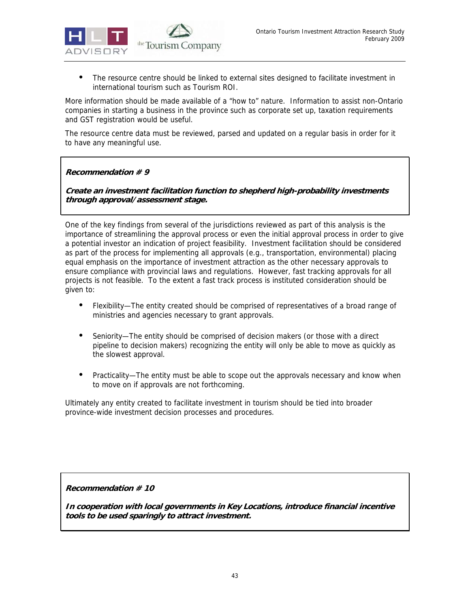

• The resource centre should be linked to external sites designed to facilitate investment in international tourism such as Tourism ROI.

More information should be made available of a "how to" nature. Information to assist non-Ontario companies in starting a business in the province such as corporate set up, taxation requirements and GST registration would be useful.

The resource centre data must be reviewed, parsed and updated on a regular basis in order for it to have any meaningful use.

# **Recommendation # 9**

**Create an investment facilitation function to shepherd high-probability investments through approval/assessment stage.** 

One of the key findings from several of the jurisdictions reviewed as part of this analysis is the importance of streamlining the approval process or even the initial approval process in order to give a potential investor an indication of project feasibility. Investment facilitation should be considered as part of the process for implementing all approvals (e.g., transportation, environmental) placing equal emphasis on the importance of investment attraction as the other necessary approvals to ensure compliance with provincial laws and regulations. However, fast tracking approvals for all projects is not feasible. To the extent a fast track process is instituted consideration should be given to:

- Flexibility—The entity created should be comprised of representatives of a broad range of ministries and agencies necessary to grant approvals.
- Seniority—The entity should be comprised of decision makers (or those with a direct pipeline to decision makers) recognizing the entity will only be able to move as quickly as the slowest approval.
- Practicality—The entity must be able to scope out the approvals necessary and know when to move on if approvals are not forthcoming.

Ultimately any entity created to facilitate investment in tourism should be tied into broader province-wide investment decision processes and procedures.

**Recommendation # 10** 

**In cooperation with local governments in Key Locations, introduce financial incentive tools to be used sparingly to attract investment.**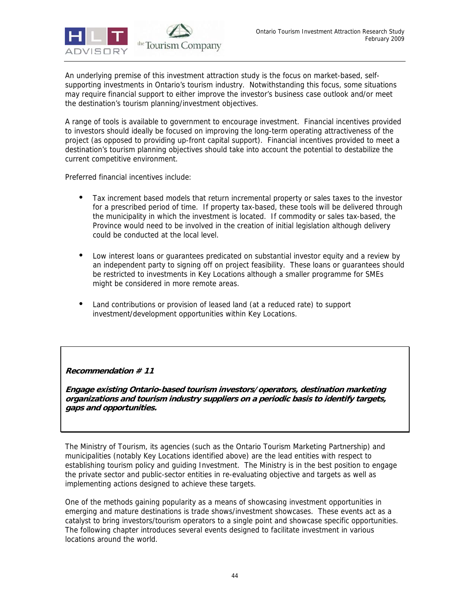

An underlying premise of this investment attraction study is the focus on market-based, selfsupporting investments in Ontario's tourism industry. Notwithstanding this focus, some situations may require financial support to either improve the investor's business case outlook and/or meet the destination's tourism planning/investment objectives.

A range of tools is available to government to encourage investment. Financial incentives provided to investors should ideally be focused on improving the long-term operating attractiveness of the project (as opposed to providing up-front capital support). Financial incentives provided to meet a destination's tourism planning objectives should take into account the potential to destabilize the current competitive environment.

Preferred financial incentives include:

- Tax increment based models that return incremental property or sales taxes to the investor for a prescribed period of time. If property tax-based, these tools will be delivered through the municipality in which the investment is located. If commodity or sales tax-based, the Province would need to be involved in the creation of initial legislation although delivery could be conducted at the local level.
- Low interest loans or guarantees predicated on substantial investor equity and a review by an independent party to signing off on project feasibility. These loans or guarantees should be restricted to investments in Key Locations although a smaller programme for SMEs might be considered in more remote areas.
- Land contributions or provision of leased land (at a reduced rate) to support investment/development opportunities within Key Locations.

**Recommendation # 11** 

**Engage existing Ontario-based tourism investors/operators, destination marketing organizations and tourism industry suppliers on a periodic basis to identify targets, gaps and opportunities.** 

The Ministry of Tourism, its agencies (such as the Ontario Tourism Marketing Partnership) and municipalities (notably Key Locations identified above) are the lead entities with respect to establishing tourism policy and guiding Investment. The Ministry is in the best position to engage the private sector and public-sector entities in re-evaluating objective and targets as well as implementing actions designed to achieve these targets.

One of the methods gaining popularity as a means of showcasing investment opportunities in emerging and mature destinations is trade shows/investment showcases. These events act as a catalyst to bring investors/tourism operators to a single point and showcase specific opportunities. The following chapter introduces several events designed to facilitate investment in various locations around the world.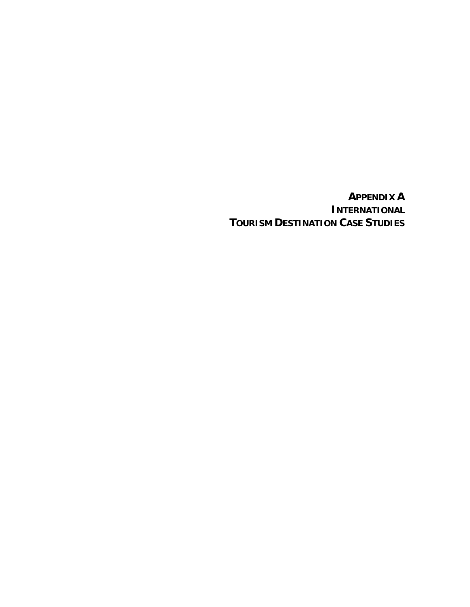**APPENDIX A INTERNATIONAL TOURISM DESTINATION CASE STUDIES**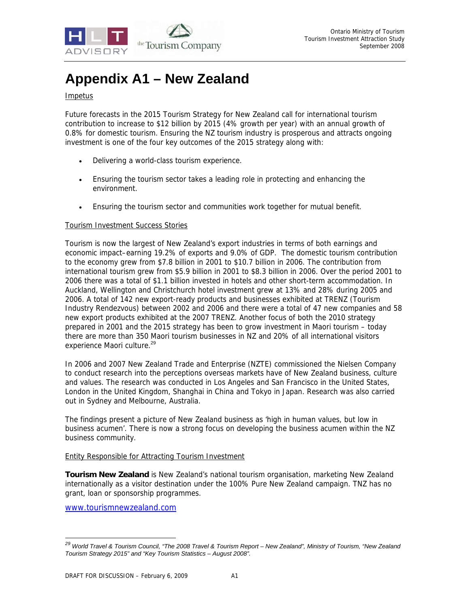

# **Appendix A1 – New Zealand**

# Impetus

Future forecasts in the 2015 Tourism Strategy for New Zealand call for international tourism contribution to increase to \$12 billion by 2015 (4% growth per year) with an annual growth of 0.8% for domestic tourism. Ensuring the NZ tourism industry is prosperous and attracts ongoing investment is one of the four key outcomes of the 2015 strategy along with:

- Delivering a world-class tourism experience.
- Ensuring the tourism sector takes a leading role in protecting and enhancing the environment.
- Ensuring the tourism sector and communities work together for mutual benefit.

#### Tourism Investment Success Stories

Tourism is now the largest of New Zealand's export industries in terms of both earnings and economic impact–earning 19.2% of exports and 9.0% of GDP. The domestic tourism contribution to the economy grew from \$7.8 billion in 2001 to \$10.7 billion in 2006. The contribution from international tourism grew from \$5.9 billion in 2001 to \$8.3 billion in 2006. Over the period 2001 to 2006 there was a total of \$1.1 billion invested in hotels and other short-term accommodation. In Auckland, Wellington and Christchurch hotel investment grew at 13% and 28% during 2005 and 2006. A total of 142 new export-ready products and businesses exhibited at TRENZ (Tourism Industry Rendezvous) between 2002 and 2006 and there were a total of 47 new companies and 58 new export products exhibited at the 2007 TRENZ. Another focus of both the 2010 strategy prepared in 2001 and the 2015 strategy has been to grow investment in Maori tourism – today there are more than 350 Maori tourism businesses in NZ and 20% of all international visitors experience Maori culture.<sup>29</sup>

In 2006 and 2007 New Zealand Trade and Enterprise (NZTE) commissioned the Nielsen Company to conduct research into the perceptions overseas markets have of New Zealand business, culture and values. The research was conducted in Los Angeles and San Francisco in the United States, London in the United Kingdom, Shanghai in China and Tokyo in Japan. Research was also carried out in Sydney and Melbourne, Australia.

The findings present a picture of New Zealand business as 'high in human values, but low in business acumen'. There is now a strong focus on developing the business acumen within the NZ business community.

#### Entity Responsible for Attracting Tourism Investment

**Tourism New Zealand** is New Zealand's national tourism organisation, marketing New Zealand internationally as a visitor destination under the 100% Pure New Zealand campaign. TNZ has no grant, loan or sponsorship programmes.

www.tourismnewzealand.com

-

*<sup>29</sup> World Travel & Tourism Council, "The 2008 Travel & Tourism Report – New Zealand", Ministry of Tourism, "New Zealand Tourism Strategy 2015" and "Key Tourism Statistics – August 2008".*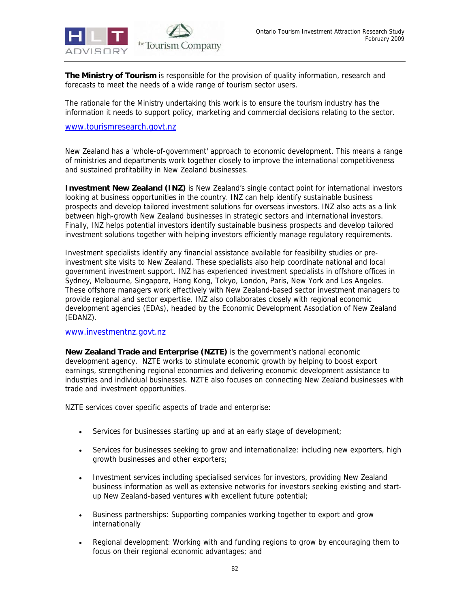

**The Ministry of Tourism** is responsible for the provision of quality information, research and forecasts to meet the needs of a wide range of tourism sector users.

The rationale for the Ministry undertaking this work is to ensure the tourism industry has the information it needs to support policy, marketing and commercial decisions relating to the sector.

#### www.tourismresearch.govt.nz

New Zealand has a 'whole-of-government' approach to economic development. This means a range of ministries and departments work together closely to improve the international competitiveness and sustained profitability in New Zealand businesses.

**Investment New Zealand (INZ)** is New Zealand's single contact point for international investors looking at business opportunities in the country. INZ can help identify sustainable business prospects and develop tailored investment solutions for overseas investors. INZ also acts as a link between high-growth New Zealand businesses in strategic sectors and international investors. Finally, INZ helps potential investors identify sustainable business prospects and develop tailored investment solutions together with helping investors efficiently manage regulatory requirements.

Investment specialists identify any financial assistance available for feasibility studies or preinvestment site visits to New Zealand. These specialists also help coordinate national and local government investment support. INZ has experienced investment specialists in offshore offices in Sydney, Melbourne, Singapore, Hong Kong, Tokyo, London, Paris, New York and Los Angeles. These offshore managers work effectively with New Zealand-based sector investment managers to provide regional and sector expertise. INZ also collaborates closely with regional economic development agencies (EDAs), headed by the Economic Development Association of New Zealand (EDANZ).

#### www.investmentnz.govt.nz

**New Zealand Trade and Enterprise (NZTE)** is the government's national economic development agency. NZTE works to stimulate economic growth by helping to boost export earnings, strengthening regional economies and delivering economic development assistance to industries and individual businesses. NZTE also focuses on connecting New Zealand businesses with trade and investment opportunities.

NZTE services cover specific aspects of trade and enterprise:

- Services for businesses starting up and at an early stage of development;
- Services for businesses seeking to grow and internationalize: including new exporters, high growth businesses and other exporters;
- Investment services including specialised services for investors, providing New Zealand business information as well as extensive networks for investors seeking existing and startup New Zealand-based ventures with excellent future potential;
- Business partnerships: Supporting companies working together to export and grow internationally
- Regional development: Working with and funding regions to grow by encouraging them to focus on their regional economic advantages; and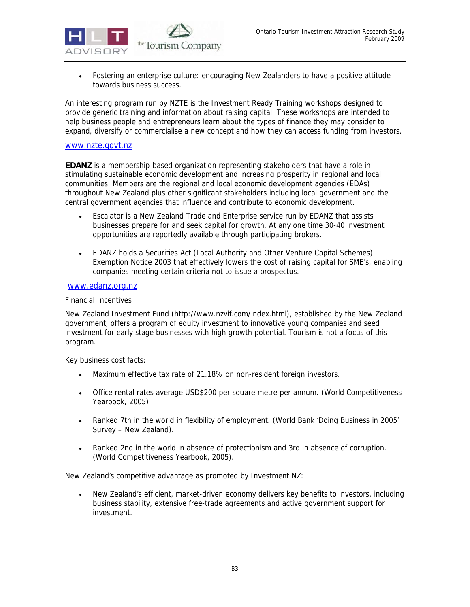

• Fostering an enterprise culture: encouraging New Zealanders to have a positive attitude towards business success.

An interesting program run by NZTE is the Investment Ready Training workshops designed to provide generic training and information about raising capital. These workshops are intended to help business people and entrepreneurs learn about the types of finance they may consider to expand, diversify or commercialise a new concept and how they can access funding from investors.

#### www.nzte.govt.nz

**EDANZ** is a membership-based organization representing stakeholders that have a role in stimulating sustainable economic development and increasing prosperity in regional and local communities. Members are the regional and local economic development agencies (EDAs) throughout New Zealand plus other significant stakeholders including local government and the central government agencies that influence and contribute to economic development.

- Escalator is a New Zealand Trade and Enterprise service run by EDANZ that assists businesses prepare for and seek capital for growth. At any one time 30-40 investment opportunities are reportedly available through participating brokers.
- EDANZ holds a Securities Act (Local Authority and Other Venture Capital Schemes) Exemption Notice 2003 that effectively lowers the cost of raising capital for SME's, enabling companies meeting certain criteria not to issue a prospectus.

#### www.edanz.org.nz

#### Financial Incentives

New Zealand Investment Fund (http://www.nzvif.com/index.html), established by the New Zealand government, offers a program of equity investment to innovative young companies and seed investment for early stage businesses with high growth potential. Tourism is not a focus of this program.

Key business cost facts:

- Maximum effective tax rate of 21.18% on non-resident foreign investors.
- Office rental rates average USD\$200 per square metre per annum. (World Competitiveness Yearbook, 2005).
- Ranked 7th in the world in flexibility of employment. (World Bank 'Doing Business in 2005' Survey – New Zealand).
- Ranked 2nd in the world in absence of protectionism and 3rd in absence of corruption. (World Competitiveness Yearbook, 2005).

New Zealand's competitive advantage as promoted by Investment NZ:

• New Zealand's efficient, market-driven economy delivers key benefits to investors, including business stability, extensive free-trade agreements and active government support for investment.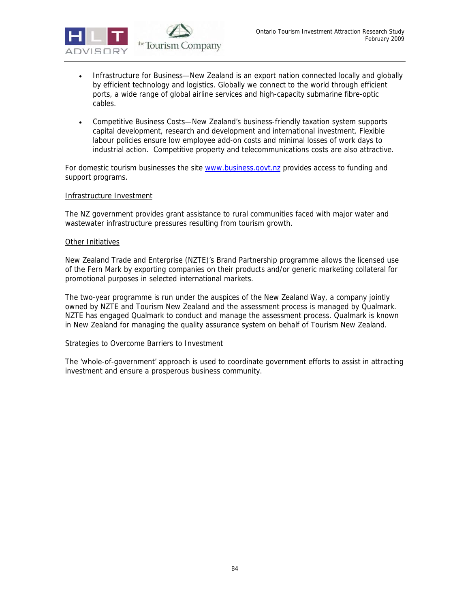

- Infrastructure for Business—New Zealand is an export nation connected locally and globally by efficient technology and logistics. Globally we connect to the world through efficient ports, a wide range of global airline services and high-capacity submarine fibre-optic cables.
- Competitive Business Costs—New Zealand's business-friendly taxation system supports capital development, research and development and international investment. Flexible labour policies ensure low employee add-on costs and minimal losses of work days to industrial action. Competitive property and telecommunications costs are also attractive.

For domestic tourism businesses the site www.business.govt.nz provides access to funding and support programs.

#### Infrastructure Investment

The NZ government provides grant assistance to rural communities faced with major water and wastewater infrastructure pressures resulting from tourism growth.

#### Other Initiatives

New Zealand Trade and Enterprise (NZTE)'s Brand Partnership programme allows the licensed use of the Fern Mark by exporting companies on their products and/or generic marketing collateral for promotional purposes in selected international markets.

The two-year programme is run under the auspices of the New Zealand Way, a company jointly owned by NZTE and Tourism New Zealand and the assessment process is managed by Qualmark. NZTE has engaged Qualmark to conduct and manage the assessment process. Qualmark is known in New Zealand for managing the quality assurance system on behalf of Tourism New Zealand.

#### Strategies to Overcome Barriers to Investment

The 'whole-of-government' approach is used to coordinate government efforts to assist in attracting investment and ensure a prosperous business community.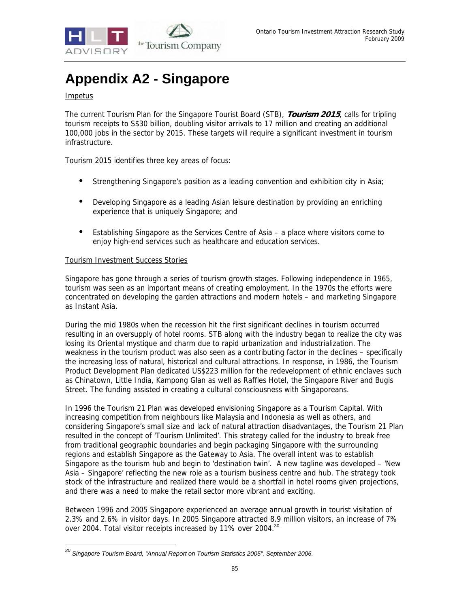

# **Appendix A2 - Singapore**

# Impetus

-

The current Tourism Plan for the Singapore Tourist Board (STB), **Tourism 2015**, calls for tripling tourism receipts to S\$30 billion, doubling visitor arrivals to 17 million and creating an additional 100,000 jobs in the sector by 2015. These targets will require a significant investment in tourism infrastructure.

Tourism 2015 identifies three key areas of focus:

- Strengthening Singapore's position as a leading convention and exhibition city in Asia;
- Developing Singapore as a leading Asian leisure destination by providing an enriching experience that is uniquely Singapore; and
- Establishing Singapore as the Services Centre of Asia a place where visitors come to enjoy high-end services such as healthcare and education services.

#### Tourism Investment Success Stories

Singapore has gone through a series of tourism growth stages. Following independence in 1965, tourism was seen as an important means of creating employment. In the 1970s the efforts were concentrated on developing the garden attractions and modern hotels – and marketing Singapore as Instant Asia.

During the mid 1980s when the recession hit the first significant declines in tourism occurred resulting in an oversupply of hotel rooms. STB along with the industry began to realize the city was losing its Oriental mystique and charm due to rapid urbanization and industrialization. The weakness in the tourism product was also seen as a contributing factor in the declines – specifically the increasing loss of natural, historical and cultural attractions. In response, in 1986, the Tourism Product Development Plan dedicated US\$223 million for the redevelopment of ethnic enclaves such as Chinatown, Little India, Kampong Glan as well as Raffles Hotel, the Singapore River and Bugis Street. The funding assisted in creating a cultural consciousness with Singaporeans.

In 1996 the Tourism 21 Plan was developed envisioning Singapore as a Tourism Capital. With increasing competition from neighbours like Malaysia and Indonesia as well as others, and considering Singapore's small size and lack of natural attraction disadvantages, the Tourism 21 Plan resulted in the concept of 'Tourism Unlimited'. This strategy called for the industry to break free from traditional geographic boundaries and begin packaging Singapore with the surrounding regions and establish Singapore as the Gateway to Asia. The overall intent was to establish Singapore as the tourism hub and begin to 'destination twin'. A new tagline was developed – 'New Asia – Singapore' reflecting the new role as a tourism business centre and hub. The strategy took stock of the infrastructure and realized there would be a shortfall in hotel rooms given projections, and there was a need to make the retail sector more vibrant and exciting.

Between 1996 and 2005 Singapore experienced an average annual growth in tourist visitation of 2.3% and 2.6% in visitor days. In 2005 Singapore attracted 8.9 million visitors, an increase of 7% over 2004. Total visitor receipts increased by 11% over 2004.<sup>30</sup>

*<sup>30</sup> Singapore Tourism Board, "Annual Report on Tourism Statistics 2005", September 2006.*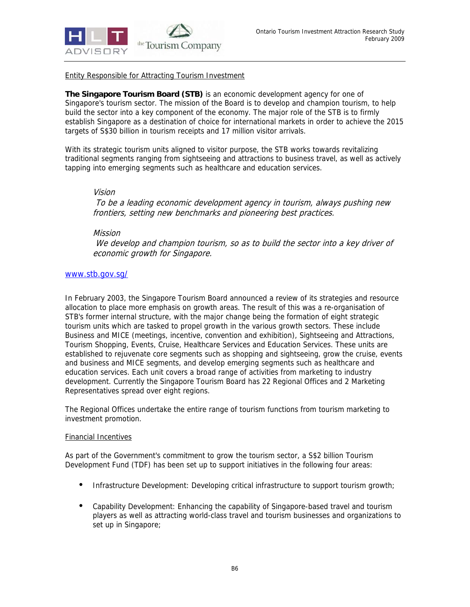

Entity Responsible for Attracting Tourism Investment

**The Singapore Tourism Board (STB)** is an economic development agency for one of Singapore's tourism sector. The mission of the Board is to develop and champion tourism, to help build the sector into a key component of the economy. The major role of the STB is to firmly establish Singapore as a destination of choice for international markets in order to achieve the 2015 targets of S\$30 billion in tourism receipts and 17 million visitor arrivals.

With its strategic tourism units aligned to visitor purpose, the STB works towards revitalizing traditional segments ranging from sightseeing and attractions to business travel, as well as actively tapping into emerging segments such as healthcare and education services.

#### Vision

 To be a leading economic development agency in tourism, always pushing new frontiers, setting new benchmarks and pioneering best practices.

## Mission

 We develop and champion tourism, so as to build the sector into a key driver of economic growth for Singapore.

## www.stb.gov.sg/

In February 2003, the Singapore Tourism Board announced a review of its strategies and resource allocation to place more emphasis on growth areas. The result of this was a re-organisation of STB's former internal structure, with the major change being the formation of eight strategic tourism units which are tasked to propel growth in the various growth sectors. These include Business and MICE (meetings, incentive, convention and exhibition), Sightseeing and Attractions, Tourism Shopping, Events, Cruise, Healthcare Services and Education Services. These units are established to rejuvenate core segments such as shopping and sightseeing, grow the cruise, events and business and MICE segments, and develop emerging segments such as healthcare and education services. Each unit covers a broad range of activities from marketing to industry development. Currently the Singapore Tourism Board has 22 Regional Offices and 2 Marketing Representatives spread over eight regions.

The Regional Offices undertake the entire range of tourism functions from tourism marketing to investment promotion.

#### Financial Incentives

As part of the Government's commitment to grow the tourism sector, a S\$2 billion Tourism Development Fund (TDF) has been set up to support initiatives in the following four areas:

- Infrastructure Development: Developing critical infrastructure to support tourism growth;
- Capability Development: Enhancing the capability of Singapore-based travel and tourism players as well as attracting world-class travel and tourism businesses and organizations to set up in Singapore;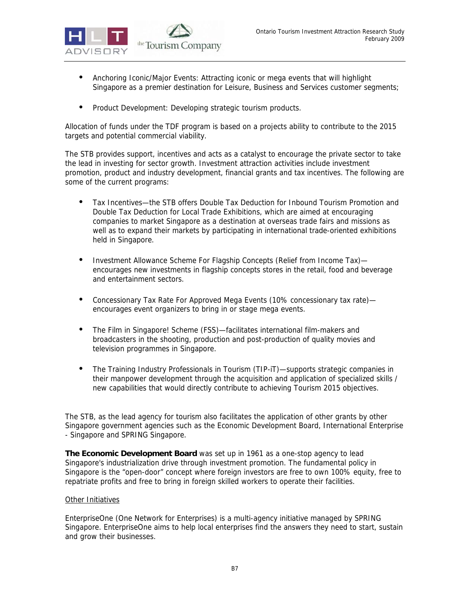

- Anchoring Iconic/Major Events: Attracting iconic or mega events that will highlight Singapore as a premier destination for Leisure, Business and Services customer segments;
- Product Development: Developing strategic tourism products.

Allocation of funds under the TDF program is based on a projects ability to contribute to the 2015 targets and potential commercial viability.

The STB provides support, incentives and acts as a catalyst to encourage the private sector to take the lead in investing for sector growth. Investment attraction activities include investment promotion, product and industry development, financial grants and tax incentives. The following are some of the current programs:

- Tax Incentives—the STB offers Double Tax Deduction for Inbound Tourism Promotion and Double Tax Deduction for Local Trade Exhibitions, which are aimed at encouraging companies to market Singapore as a destination at overseas trade fairs and missions as well as to expand their markets by participating in international trade-oriented exhibitions held in Singapore.
- Investment Allowance Scheme For Flagship Concepts (Relief from Income Tax) encourages new investments in flagship concepts stores in the retail, food and beverage and entertainment sectors.
- Concessionary Tax Rate For Approved Mega Events (10% concessionary tax rate)encourages event organizers to bring in or stage mega events.
- The Film in Singapore! Scheme (FSS)—facilitates international film-makers and broadcasters in the shooting, production and post-production of quality movies and television programmes in Singapore.
- The Training Industry Professionals in Tourism (TIP-iT)—supports strategic companies in their manpower development through the acquisition and application of specialized skills / new capabilities that would directly contribute to achieving Tourism 2015 objectives.

The STB, as the lead agency for tourism also facilitates the application of other grants by other Singapore government agencies such as the Economic Development Board, International Enterprise - Singapore and SPRING Singapore.

**The Economic Development Board** was set up in 1961 as a one-stop agency to lead Singapore's industrialization drive through investment promotion. The fundamental policy in Singapore is the "open-door" concept where foreign investors are free to own 100% equity, free to repatriate profits and free to bring in foreign skilled workers to operate their facilities.

#### Other Initiatives

EnterpriseOne (One Network for Enterprises) is a multi-agency initiative managed by SPRING Singapore. EnterpriseOne aims to help local enterprises find the answers they need to start, sustain and grow their businesses.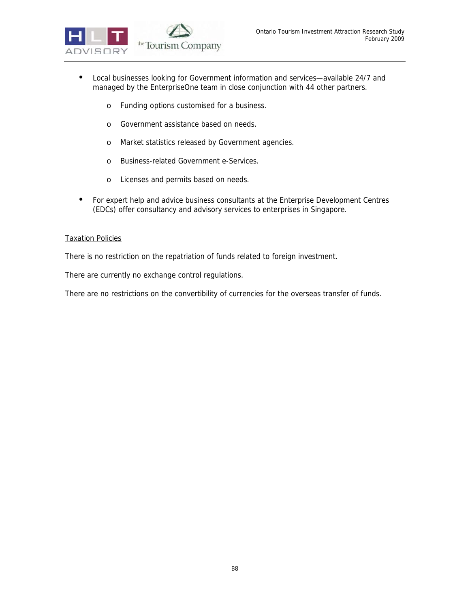

- Local businesses looking for Government information and services—available 24/7 and managed by the EnterpriseOne team in close conjunction with 44 other partners.
	- o Funding options customised for a business.
	- o Government assistance based on needs.
	- o Market statistics released by Government agencies.
	- o Business-related Government e-Services.
	- o Licenses and permits based on needs.
- For expert help and advice business consultants at the Enterprise Development Centres (EDCs) offer consultancy and advisory services to enterprises in Singapore.

### Taxation Policies

There is no restriction on the repatriation of funds related to foreign investment.

There are currently no exchange control regulations.

There are no restrictions on the convertibility of currencies for the overseas transfer of funds.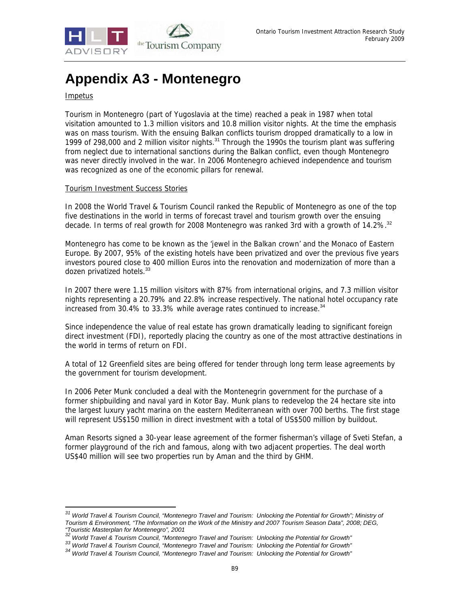

# **Appendix A3 - Montenegro**

## **Impetus**

-

Tourism in Montenegro (part of Yugoslavia at the time) reached a peak in 1987 when total visitation amounted to 1.3 million visitors and 10.8 million visitor nights. At the time the emphasis was on mass tourism. With the ensuing Balkan conflicts tourism dropped dramatically to a low in 1999 of 298,000 and 2 million visitor nights.<sup>31</sup> Through the 1990s the tourism plant was suffering from neglect due to international sanctions during the Balkan conflict, even though Montenegro was never directly involved in the war. In 2006 Montenegro achieved independence and tourism was recognized as one of the economic pillars for renewal.

#### Tourism Investment Success Stories

In 2008 the World Travel & Tourism Council ranked the Republic of Montenegro as one of the top five destinations in the world in terms of forecast travel and tourism growth over the ensuing decade. In terms of real growth for 2008 Montenegro was ranked 3rd with a growth of 14.2%.<sup>32</sup>

Montenegro has come to be known as the 'jewel in the Balkan crown' and the Monaco of Eastern Europe. By 2007, 95% of the existing hotels have been privatized and over the previous five years investors poured close to 400 million Euros into the renovation and modernization of more than a dozen privatized hotels.<sup>33</sup>

In 2007 there were 1.15 million visitors with 87% from international origins, and 7.3 million visitor nights representing a 20.79% and 22.8% increase respectively. The national hotel occupancy rate increased from 30.4% to 33.3% while average rates continued to increase.<sup>34</sup>

Since independence the value of real estate has grown dramatically leading to significant foreign direct investment (FDI), reportedly placing the country as one of the most attractive destinations in the world in terms of return on FDI.

A total of 12 Greenfield sites are being offered for tender through long term lease agreements by the government for tourism development.

In 2006 Peter Munk concluded a deal with the Montenegrin government for the purchase of a former shipbuilding and naval yard in Kotor Bay. Munk plans to redevelop the 24 hectare site into the largest luxury yacht marina on the eastern Mediterranean with over 700 berths. The first stage will represent US\$150 million in direct investment with a total of US\$500 million by buildout.

Aman Resorts signed a 30-year lease agreement of the former fisherman's village of Sveti Stefan, a former playground of the rich and famous, along with two adjacent properties. The deal worth US\$40 million will see two properties run by Aman and the third by GHM.

*<sup>31</sup> World Travel & Tourism Council, "Montenegro Travel and Tourism: Unlocking the Potential for Growth"; Ministry of Tourism & Environment, "The Information on the Work of the Ministry and 2007 Tourism Season Data", 2008; DEG, "Touristic Masterplan for Montenegro", 2001* 

<sup>33&</sup>lt;br>World Travel & Tourism Council, "Montenegro Travel and Tourism: Unlocking the Potential for Growth"<br><sup>34</sup> World Travel & Tourism Council, "Montenegro Travel and Tourism: Unlocking the Potential for Growth"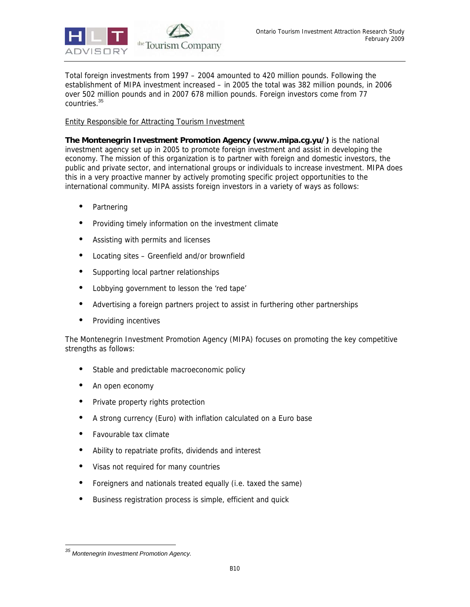

Total foreign investments from 1997 – 2004 amounted to 420 million pounds. Following the establishment of MIPA investment increased – in 2005 the total was 382 million pounds, in 2006 over 502 million pounds and in 2007 678 million pounds. Foreign investors come from 77 countries.<sup>35</sup>

## Entity Responsible for Attracting Tourism Investment

**The Montenegrin Investment Promotion Agency (www.mipa.cg.yu/)** is the national investment agency set up in 2005 to promote foreign investment and assist in developing the economy. The mission of this organization is to partner with foreign and domestic investors, the public and private sector, and international groups or individuals to increase investment. MIPA does this in a very proactive manner by actively promoting specific project opportunities to the international community. MIPA assists foreign investors in a variety of ways as follows:

- Partnering
- Providing timely information on the investment climate
- Assisting with permits and licenses
- Locating sites Greenfield and/or brownfield
- Supporting local partner relationships
- Lobbying government to lesson the 'red tape'
- Advertising a foreign partners project to assist in furthering other partnerships
- Providing incentives

The Montenegrin Investment Promotion Agency (MIPA) focuses on promoting the key competitive strengths as follows:

- Stable and predictable macroeconomic policy
- An open economy
- Private property rights protection
- A strong currency (Euro) with inflation calculated on a Euro base
- Favourable tax climate
- Ability to repatriate profits, dividends and interest
- Visas not required for many countries
- Foreigners and nationals treated equally (i.e. taxed the same)
- Business registration process is simple, efficient and quick

-

*<sup>35</sup> Montenegrin Investment Promotion Agency.*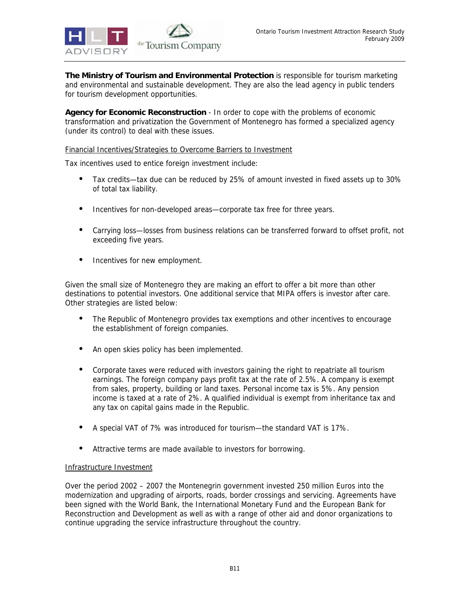

**The Ministry of Tourism and Environmental Protection** is responsible for tourism marketing and environmental and sustainable development. They are also the lead agency in public tenders for tourism development opportunities.

**Agency for Economic Reconstruction** - In order to cope with the problems of economic transformation and privatization the Government of Montenegro has formed a specialized agency (under its control) to deal with these issues.

### Financial Incentives/Strategies to Overcome Barriers to Investment

Tax incentives used to entice foreign investment include:

- Tax credits—tax due can be reduced by 25% of amount invested in fixed assets up to 30% of total tax liability.
- Incentives for non-developed areas—corporate tax free for three years.
- Carrying loss—losses from business relations can be transferred forward to offset profit, not exceeding five years.
- Incentives for new employment.

Given the small size of Montenegro they are making an effort to offer a bit more than other destinations to potential investors. One additional service that MIPA offers is investor after care. Other strategies are listed below:

- The Republic of Montenegro provides tax exemptions and other incentives to encourage the establishment of foreign companies.
- An open skies policy has been implemented.
- Corporate taxes were reduced with investors gaining the right to repatriate all tourism earnings. The foreign company pays profit tax at the rate of 2.5%. A company is exempt from sales, property, building or land taxes. Personal income tax is 5%. Any pension income is taxed at a rate of 2%. A qualified individual is exempt from inheritance tax and any tax on capital gains made in the Republic.
- A special VAT of 7% was introduced for tourism—the standard VAT is 17%.
- Attractive terms are made available to investors for borrowing.

#### Infrastructure Investment

Over the period 2002 – 2007 the Montenegrin government invested 250 million Euros into the modernization and upgrading of airports, roads, border crossings and servicing. Agreements have been signed with the World Bank, the International Monetary Fund and the European Bank for Reconstruction and Development as well as with a range of other aid and donor organizations to continue upgrading the service infrastructure throughout the country.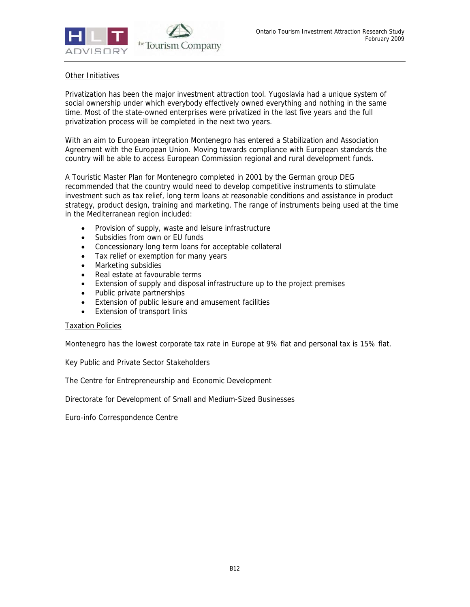

# Other Initiatives

Privatization has been the major investment attraction tool. Yugoslavia had a unique system of social ownership under which everybody effectively owned everything and nothing in the same time. Most of the state-owned enterprises were privatized in the last five years and the full privatization process will be completed in the next two years.

With an aim to European integration Montenegro has entered a Stabilization and Association Agreement with the European Union. Moving towards compliance with European standards the country will be able to access European Commission regional and rural development funds.

A Touristic Master Plan for Montenegro completed in 2001 by the German group DEG recommended that the country would need to develop competitive instruments to stimulate investment such as tax relief, long term loans at reasonable conditions and assistance in product strategy, product design, training and marketing. The range of instruments being used at the time in the Mediterranean region included:

- Provision of supply, waste and leisure infrastructure
- Subsidies from own or EU funds
- Concessionary long term loans for acceptable collateral
- Tax relief or exemption for many years
- Marketing subsidies
- Real estate at favourable terms
- Extension of supply and disposal infrastructure up to the project premises
- Public private partnerships
- Extension of public leisure and amusement facilities
- Extension of transport links

#### Taxation Policies

Montenegro has the lowest corporate tax rate in Europe at 9% flat and personal tax is 15% flat.

#### Key Public and Private Sector Stakeholders

The Centre for Entrepreneurship and Economic Development

Directorate for Development of Small and Medium-Sized Businesses

Euro-info Correspondence Centre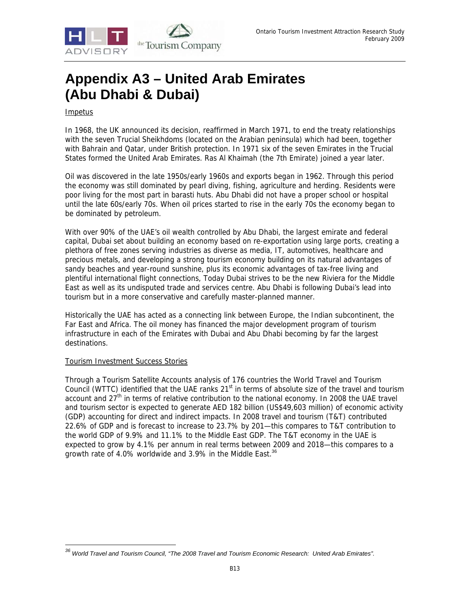

# **Appendix A3 – United Arab Emirates (Abu Dhabi & Dubai)**

# Impetus

In 1968, the UK announced its decision, reaffirmed in March 1971, to end the treaty relationships with the seven Trucial Sheikhdoms (located on the Arabian peninsula) which had been, together with Bahrain and Qatar, under British protection. In 1971 six of the seven Emirates in the Trucial States formed the United Arab Emirates. Ras Al Khaimah (the 7th Emirate) joined a year later.

Oil was discovered in the late 1950s/early 1960s and exports began in 1962. Through this period the economy was still dominated by pearl diving, fishing, agriculture and herding. Residents were poor living for the most part in barasti huts. Abu Dhabi did not have a proper school or hospital until the late 60s/early 70s. When oil prices started to rise in the early 70s the economy began to be dominated by petroleum.

With over 90% of the UAE's oil wealth controlled by Abu Dhabi, the largest emirate and federal capital, Dubai set about building an economy based on re-exportation using large ports, creating a plethora of free zones serving industries as diverse as media, IT, automotives, healthcare and precious metals, and developing a strong tourism economy building on its natural advantages of sandy beaches and year-round sunshine, plus its economic advantages of tax-free living and plentiful international flight connections, Today Dubai strives to be the new Riviera for the Middle East as well as its undisputed trade and services centre. Abu Dhabi is following Dubai's lead into tourism but in a more conservative and carefully master-planned manner.

Historically the UAE has acted as a connecting link between Europe, the Indian subcontinent, the Far East and Africa. The oil money has financed the major development program of tourism infrastructure in each of the Emirates with Dubai and Abu Dhabi becoming by far the largest destinations.

#### Tourism Investment Success Stories

-

Through a Tourism Satellite Accounts analysis of 176 countries the World Travel and Tourism Council (WTTC) identified that the UAE ranks 21<sup>st</sup> in terms of absolute size of the travel and tourism account and 27<sup>th</sup> in terms of relative contribution to the national economy. In 2008 the UAE travel and tourism sector is expected to generate AED 182 billion (US\$49,603 million) of economic activity (GDP) accounting for direct and indirect impacts. In 2008 travel and tourism (T&T) contributed 22.6% of GDP and is forecast to increase to 23.7% by 201—this compares to T&T contribution to the world GDP of 9.9% and 11.1% to the Middle East GDP. The T&T economy in the UAE is expected to grow by 4.1% per annum in real terms between 2009 and 2018—this compares to a growth rate of 4.0% worldwide and 3.9% in the Middle East.<sup>36</sup>

*<sup>36</sup> World Travel and Tourism Council, "The 2008 Travel and Tourism Economic Research: United Arab Emirates".*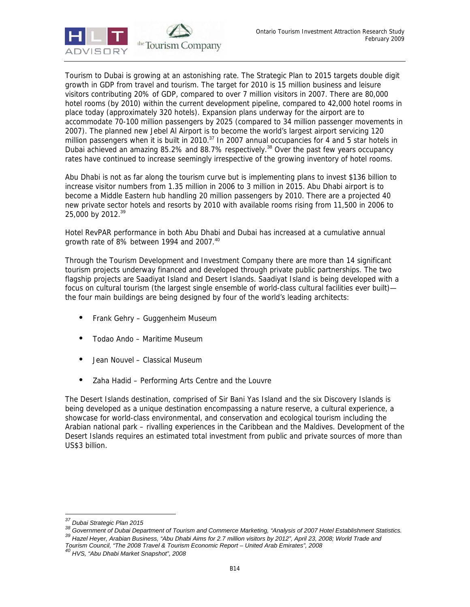

Tourism to Dubai is growing at an astonishing rate. The Strategic Plan to 2015 targets double digit growth in GDP from travel and tourism. The target for 2010 is 15 million business and leisure visitors contributing 20% of GDP, compared to over 7 million visitors in 2007. There are 80,000 hotel rooms (by 2010) within the current development pipeline, compared to 42,000 hotel rooms in place today (approximately 320 hotels). Expansion plans underway for the airport are to accommodate 70-100 million passengers by 2025 (compared to 34 million passenger movements in 2007). The planned new Jebel Al Airport is to become the world's largest airport servicing 120 million passengers when it is built in 2010.<sup>37</sup> In 2007 annual occupancies for 4 and 5 star hotels in Dubai achieved an amazing 85.2% and 88.7% respectively.<sup>38</sup> Over the past few years occupancy rates have continued to increase seemingly irrespective of the growing inventory of hotel rooms.

Abu Dhabi is not as far along the tourism curve but is implementing plans to invest \$136 billion to increase visitor numbers from 1.35 million in 2006 to 3 million in 2015. Abu Dhabi airport is to become a Middle Eastern hub handling 20 million passengers by 2010. There are a projected 40 new private sector hotels and resorts by 2010 with available rooms rising from 11,500 in 2006 to 25,000 by 2012.<sup>39</sup>

Hotel RevPAR performance in both Abu Dhabi and Dubai has increased at a cumulative annual growth rate of 8% between 1994 and 2007.<sup>40</sup>

Through the Tourism Development and Investment Company there are more than 14 significant tourism projects underway financed and developed through private public partnerships. The two flagship projects are Saadiyat Island and Desert Islands. Saadiyat Island is being developed with a focus on cultural tourism (the largest single ensemble of world-class cultural facilities ever built) the four main buildings are being designed by four of the world's leading architects:

- Frank Gehry Guggenheim Museum
- Todao Ando Maritime Museum
- Jean Nouvel Classical Museum
- Zaha Hadid Performing Arts Centre and the Louvre

The Desert Islands destination, comprised of Sir Bani Yas Island and the six Discovery Islands is being developed as a unique destination encompassing a nature reserve, a cultural experience, a showcase for world-class environmental, and conservation and ecological tourism including the Arabian national park – rivalling experiences in the Caribbean and the Maldives. Development of the Desert Islands requires an estimated total investment from public and private sources of more than US\$3 billion.

<sup>&</sup>lt;sup>37</sup> Dubai Strategic Plan 2015

<sup>38</sup> Government of Dubai Department of Tourism and Commerce Marketing, "Analysis of 2007 Hotel Establishment Statistics.<br>39 Hazel Heyer, Arabian Business, "Abu Dhabi Aims for 2.7 million visitors by 2012", April 23, 2008; Wo

*Tourism Council, "The 2008 Travel & Tourism Economic Report – United Arab Emirates", 2008 40 HVS, "Abu Dhabi Market Snapshot", 2008*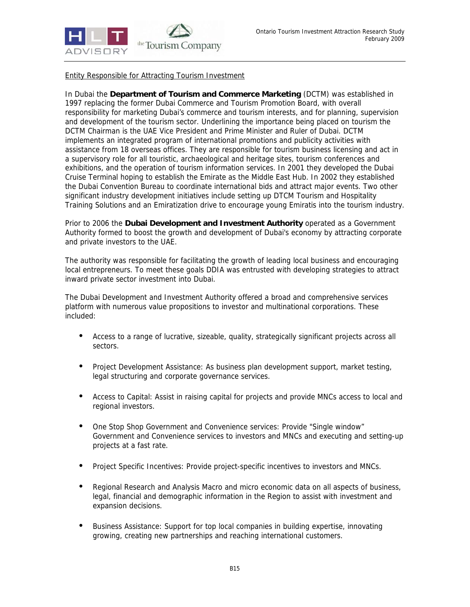

# Entity Responsible for Attracting Tourism Investment

In Dubai the **Department of Tourism and Commerce Marketing** (DCTM) was established in 1997 replacing the former Dubai Commerce and Tourism Promotion Board, with overall responsibility for marketing Dubai's commerce and tourism interests, and for planning, supervision and development of the tourism sector. Underlining the importance being placed on tourism the DCTM Chairman is the UAE Vice President and Prime Minister and Ruler of Dubai. DCTM implements an integrated program of international promotions and publicity activities with assistance from 18 overseas offices. They are responsible for tourism business licensing and act in a supervisory role for all touristic, archaeological and heritage sites, tourism conferences and exhibitions, and the operation of tourism information services. In 2001 they developed the Dubai Cruise Terminal hoping to establish the Emirate as the Middle East Hub. In 2002 they established the Dubai Convention Bureau to coordinate international bids and attract major events. Two other significant industry development initiatives include setting up DTCM Tourism and Hospitality Training Solutions and an Emiratization drive to encourage young Emiratis into the tourism industry.

Prior to 2006 the **Dubai Development and Investment Authority** operated as a Government Authority formed to boost the growth and development of Dubai's economy by attracting corporate and private investors to the UAE.

The authority was responsible for facilitating the growth of leading local business and encouraging local entrepreneurs. To meet these goals DDIA was entrusted with developing strategies to attract inward private sector investment into Dubai.

The Dubai Development and Investment Authority offered a broad and comprehensive services platform with numerous value propositions to investor and multinational corporations. These included:

- Access to a range of lucrative, sizeable, quality, strategically significant projects across all sectors.
- Project Development Assistance: As business plan development support, market testing, legal structuring and corporate governance services.
- Access to Capital: Assist in raising capital for projects and provide MNCs access to local and regional investors.
- One Stop Shop Government and Convenience services: Provide "Single window" Government and Convenience services to investors and MNCs and executing and setting-up projects at a fast rate.
- Project Specific Incentives: Provide project-specific incentives to investors and MNCs.
- Regional Research and Analysis Macro and micro economic data on all aspects of business, legal, financial and demographic information in the Region to assist with investment and expansion decisions.
- Business Assistance: Support for top local companies in building expertise, innovating growing, creating new partnerships and reaching international customers.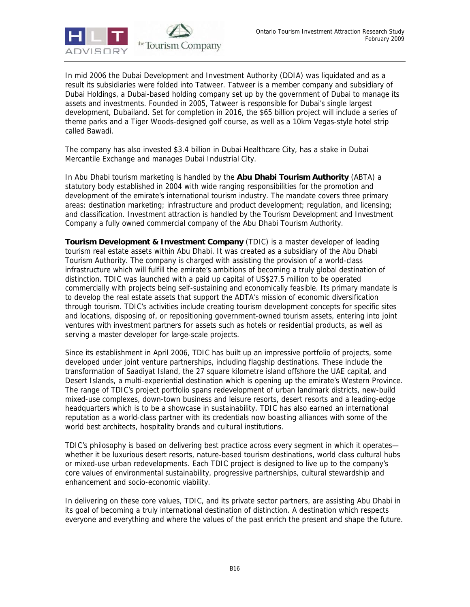

In mid 2006 the Dubai Development and Investment Authority (DDIA) was liquidated and as a result its subsidiaries were folded into Tatweer. Tatweer is a member company and subsidiary of Dubai Holdings, a Dubai-based holding company set up by the government of Dubai to manage its assets and investments. Founded in 2005, Tatweer is responsible for Dubai's single largest development, Dubailand. Set for completion in 2016, the \$65 billion project will include a series of theme parks and a Tiger Woods-designed golf course, as well as a 10km Vegas-style hotel strip called Bawadi.

The company has also invested \$3.4 billion in Dubai Healthcare City, has a stake in Dubai Mercantile Exchange and manages Dubai Industrial City.

In Abu Dhabi tourism marketing is handled by the **Abu Dhabi Tourism Authority** (ABTA) a statutory body established in 2004 with wide ranging responsibilities for the promotion and development of the emirate's international tourism industry. The mandate covers three primary areas: destination marketing; infrastructure and product development; regulation, and licensing; and classification. Investment attraction is handled by the Tourism Development and Investment Company a fully owned commercial company of the Abu Dhabi Tourism Authority.

**Tourism Development & Investment Company** (TDIC) is a master developer of leading tourism real estate assets within Abu Dhabi. It was created as a subsidiary of the Abu Dhabi Tourism Authority. The company is charged with assisting the provision of a world-class infrastructure which will fulfill the emirate's ambitions of becoming a truly global destination of distinction. TDIC was launched with a paid up capital of US\$27.5 million to be operated commercially with projects being self-sustaining and economically feasible. Its primary mandate is to develop the real estate assets that support the ADTA's mission of economic diversification through tourism. TDIC's activities include creating tourism development concepts for specific sites and locations, disposing of, or repositioning government-owned tourism assets, entering into joint ventures with investment partners for assets such as hotels or residential products, as well as serving a master developer for large-scale projects.

Since its establishment in April 2006, TDIC has built up an impressive portfolio of projects, some developed under joint venture partnerships, including flagship destinations. These include the transformation of Saadiyat Island, the 27 square kilometre island offshore the UAE capital, and Desert Islands, a multi-experiential destination which is opening up the emirate's Western Province. The range of TDIC's project portfolio spans redevelopment of urban landmark districts, new-build mixed-use complexes, down-town business and leisure resorts, desert resorts and a leading-edge headquarters which is to be a showcase in sustainability. TDIC has also earned an international reputation as a world-class partner with its credentials now boasting alliances with some of the world best architects, hospitality brands and cultural institutions.

TDIC's philosophy is based on delivering best practice across every segment in which it operates whether it be luxurious desert resorts, nature-based tourism destinations, world class cultural hubs or mixed-use urban redevelopments. Each TDIC project is designed to live up to the company's core values of environmental sustainability, progressive partnerships, cultural stewardship and enhancement and socio-economic viability.

In delivering on these core values, TDIC, and its private sector partners, are assisting Abu Dhabi in its goal of becoming a truly international destination of distinction. A destination which respects everyone and everything and where the values of the past enrich the present and shape the future.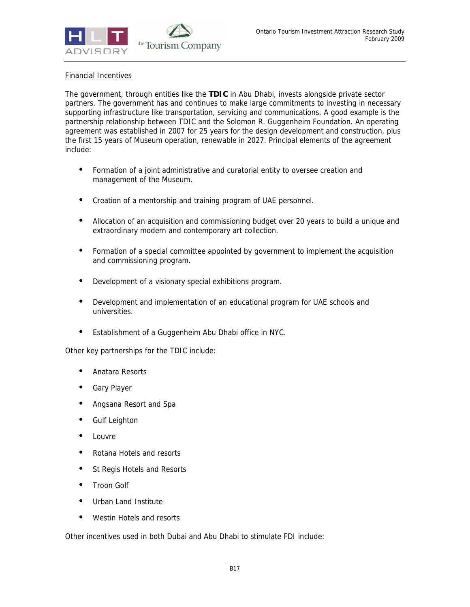

# Financial Incentives

The government, through entities like the **TDIC** in Abu Dhabi, invests alongside private sector partners. The government has and continues to make large commitments to investing in necessary supporting infrastructure like transportation, servicing and communications. A good example is the partnership relationship between TDIC and the Solomon R. Guggenheim Foundation. An operating agreement was established in 2007 for 25 years for the design development and construction, plus the first 15 years of Museum operation, renewable in 2027. Principal elements of the agreement include:

- Formation of a joint administrative and curatorial entity to oversee creation and management of the Museum.
- Creation of a mentorship and training program of UAE personnel.
- Allocation of an acquisition and commissioning budget over 20 years to build a unique and extraordinary modern and contemporary art collection.
- Formation of a special committee appointed by government to implement the acquisition and commissioning program.
- Development of a visionary special exhibitions program.
- Development and implementation of an educational program for UAE schools and universities.
- Establishment of a Guggenheim Abu Dhabi office in NYC.

Other key partnerships for the TDIC include:

- Anatara Resorts
- Gary Player
- Angsana Resort and Spa
- Gulf Leighton
- **Louvre**
- Rotana Hotels and resorts
- St Regis Hotels and Resorts
- Troon Golf
- Urban Land Institute
- Westin Hotels and resorts

Other incentives used in both Dubai and Abu Dhabi to stimulate FDI include: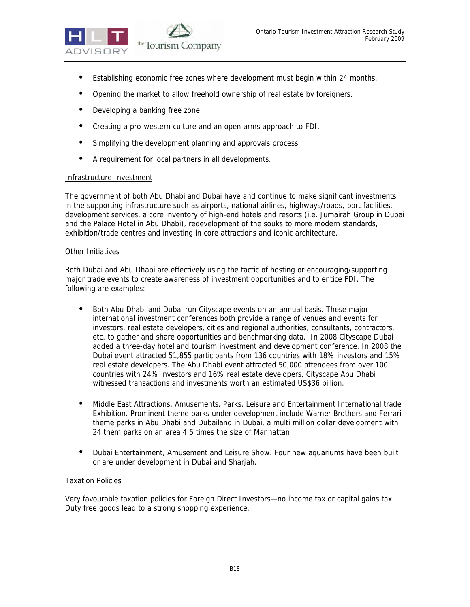

- Establishing economic free zones where development must begin within 24 months.
- Opening the market to allow freehold ownership of real estate by foreigners.
- Developing a banking free zone.
- Creating a pro-western culture and an open arms approach to FDI.
- Simplifying the development planning and approvals process.
- A requirement for local partners in all developments.

#### Infrastructure Investment

The government of both Abu Dhabi and Dubai have and continue to make significant investments in the supporting infrastructure such as airports, national airlines, highways/roads, port facilities, development services, a core inventory of high-end hotels and resorts (i.e. Jumairah Group in Dubai and the Palace Hotel in Abu Dhabi), redevelopment of the souks to more modern standards, exhibition/trade centres and investing in core attractions and iconic architecture.

#### Other Initiatives

Both Dubai and Abu Dhabi are effectively using the tactic of hosting or encouraging/supporting major trade events to create awareness of investment opportunities and to entice FDI. The following are examples:

- Both Abu Dhabi and Dubai run Cityscape events on an annual basis. These major international investment conferences both provide a range of venues and events for investors, real estate developers, cities and regional authorities, consultants, contractors, etc. to gather and share opportunities and benchmarking data. In 2008 Cityscape Dubai added a three-day hotel and tourism investment and development conference. In 2008 the Dubai event attracted 51,855 participants from 136 countries with 18% investors and 15% real estate developers. The Abu Dhabi event attracted 50,000 attendees from over 100 countries with 24% investors and 16% real estate developers. Cityscape Abu Dhabi witnessed transactions and investments worth an estimated US\$36 billion.
- Middle East Attractions, Amusements, Parks, Leisure and Entertainment International trade Exhibition. Prominent theme parks under development include Warner Brothers and Ferrari theme parks in Abu Dhabi and Dubailand in Dubai, a multi million dollar development with 24 them parks on an area 4.5 times the size of Manhattan.
- Dubai Entertainment, Amusement and Leisure Show. Four new aquariums have been built or are under development in Dubai and Sharjah.

#### Taxation Policies

Very favourable taxation policies for Foreign Direct Investors—no income tax or capital gains tax. Duty free goods lead to a strong shopping experience.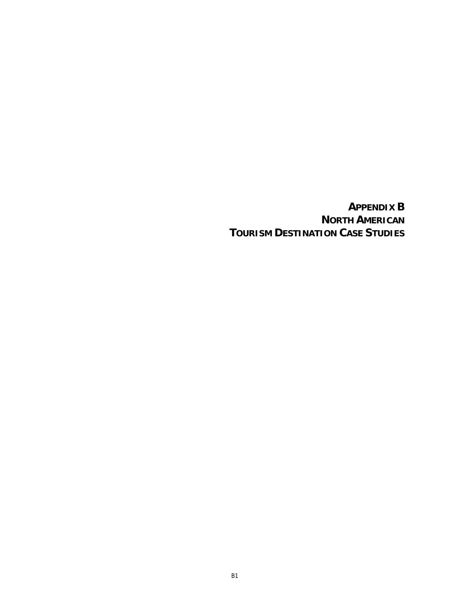**APPENDIX B NORTH AMERICAN TOURISM DESTINATION CASE STUDIES**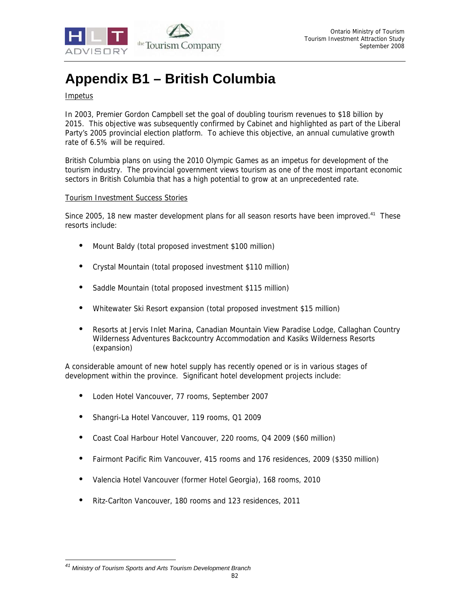

# **Appendix B1 – British Columbia**

## Impetus

In 2003, Premier Gordon Campbell set the goal of doubling tourism revenues to \$18 billion by 2015. This objective was subsequently confirmed by Cabinet and highlighted as part of the Liberal Party's 2005 provincial election platform. To achieve this objective, an annual cumulative growth rate of 6.5% will be required.

British Columbia plans on using the 2010 Olympic Games as an impetus for development of the tourism industry. The provincial government views tourism as one of the most important economic sectors in British Columbia that has a high potential to grow at an unprecedented rate.

#### Tourism Investment Success Stories

Since 2005, 18 new master development plans for all season resorts have been improved.<sup>41</sup> These resorts include:

- Mount Baldy (total proposed investment \$100 million)
- Crystal Mountain (total proposed investment \$110 million)
- Saddle Mountain (total proposed investment \$115 million)
- Whitewater Ski Resort expansion (total proposed investment \$15 million)
- Resorts at Jervis Inlet Marina, Canadian Mountain View Paradise Lodge, Callaghan Country Wilderness Adventures Backcountry Accommodation and Kasiks Wilderness Resorts (expansion)

A considerable amount of new hotel supply has recently opened or is in various stages of development within the province. Significant hotel development projects include:

- Loden Hotel Vancouver, 77 rooms, September 2007
- Shangri-La Hotel Vancouver, 119 rooms, Q1 2009
- Coast Coal Harbour Hotel Vancouver, 220 rooms, Q4 2009 (\$60 million)
- Fairmont Pacific Rim Vancouver, 415 rooms and 176 residences, 2009 (\$350 million)
- Valencia Hotel Vancouver (former Hotel Georgia), 168 rooms, 2010
- Ritz-Carlton Vancouver, 180 rooms and 123 residences, 2011

<sup>-</sup>*41 Ministry of Tourism Sports and Arts Tourism Development Branch*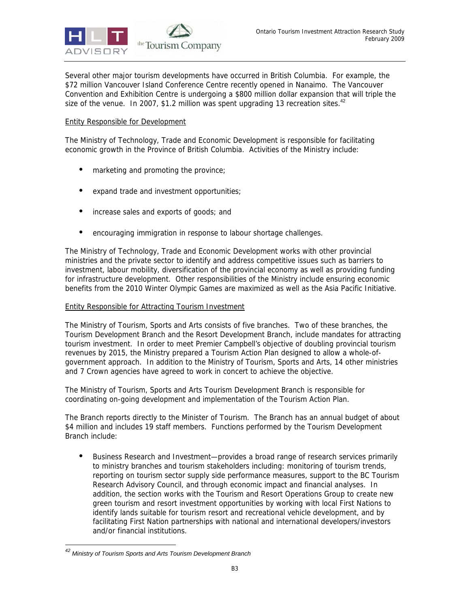

Several other major tourism developments have occurred in British Columbia. For example, the \$72 million Vancouver Island Conference Centre recently opened in Nanaimo. The Vancouver Convention and Exhibition Centre is undergoing a \$800 million dollar expansion that will triple the size of the venue. In 2007, \$1.2 million was spent upgrading 13 recreation sites.<sup>42</sup>

# Entity Responsible for Development

The Ministry of Technology, Trade and Economic Development is responsible for facilitating economic growth in the Province of British Columbia. Activities of the Ministry include:

- marketing and promoting the province;
- expand trade and investment opportunities;
- increase sales and exports of goods; and
- encouraging immigration in response to labour shortage challenges.

The Ministry of Technology, Trade and Economic Development works with other provincial ministries and the private sector to identify and address competitive issues such as barriers to investment, labour mobility, diversification of the provincial economy as well as providing funding for infrastructure development. Other responsibilities of the Ministry include ensuring economic benefits from the 2010 Winter Olympic Games are maximized as well as the Asia Pacific Initiative.

#### Entity Responsible for Attracting Tourism Investment

The Ministry of Tourism, Sports and Arts consists of five branches. Two of these branches, the Tourism Development Branch and the Resort Development Branch, include mandates for attracting tourism investment. In order to meet Premier Campbell's objective of doubling provincial tourism revenues by 2015, the Ministry prepared a Tourism Action Plan designed to allow a whole-ofgovernment approach. In addition to the Ministry of Tourism, Sports and Arts, 14 other ministries and 7 Crown agencies have agreed to work in concert to achieve the objective.

The Ministry of Tourism, Sports and Arts Tourism Development Branch is responsible for coordinating on-going development and implementation of the Tourism Action Plan.

The Branch reports directly to the Minister of Tourism. The Branch has an annual budget of about \$4 million and includes 19 staff members. Functions performed by the Tourism Development Branch include:

• Business Research and Investment—provides a broad range of research services primarily to ministry branches and tourism stakeholders including: monitoring of tourism trends, reporting on tourism sector supply side performance measures, support to the BC Tourism Research Advisory Council, and through economic impact and financial analyses. In addition, the section works with the Tourism and Resort Operations Group to create new green tourism and resort investment opportunities by working with local First Nations to identify lands suitable for tourism resort and recreational vehicle development, and by facilitating First Nation partnerships with national and international developers/investors and/or financial institutions.

<sup>-</sup>*42 Ministry of Tourism Sports and Arts Tourism Development Branch*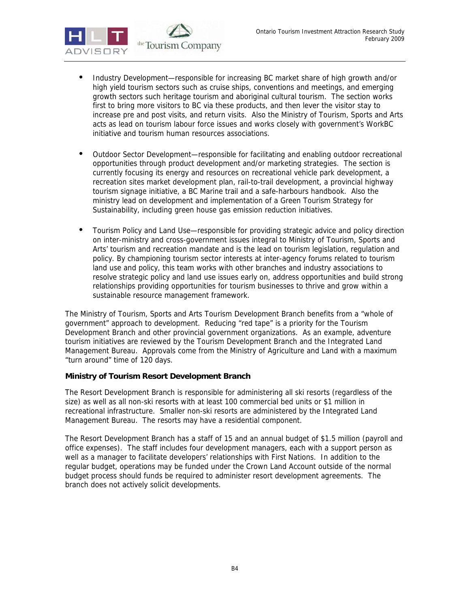

- Industry Development—responsible for increasing BC market share of high growth and/or high yield tourism sectors such as cruise ships, conventions and meetings, and emerging growth sectors such heritage tourism and aboriginal cultural tourism. The section works first to bring more visitors to BC via these products, and then lever the visitor stay to increase pre and post visits, and return visits. Also the Ministry of Tourism, Sports and Arts acts as lead on tourism labour force issues and works closely with government's WorkBC initiative and tourism human resources associations.
- Outdoor Sector Development—responsible for facilitating and enabling outdoor recreational opportunities through product development and/or marketing strategies. The section is currently focusing its energy and resources on recreational vehicle park development, a recreation sites market development plan, rail-to-trail development, a provincial highway tourism signage initiative, a BC Marine trail and a safe-harbours handbook. Also the ministry lead on development and implementation of a Green Tourism Strategy for Sustainability, including green house gas emission reduction initiatives.
- Tourism Policy and Land Use—responsible for providing strategic advice and policy direction on inter-ministry and cross-government issues integral to Ministry of Tourism, Sports and Arts' tourism and recreation mandate and is the lead on tourism legislation, regulation and policy. By championing tourism sector interests at inter-agency forums related to tourism land use and policy, this team works with other branches and industry associations to resolve strategic policy and land use issues early on, address opportunities and build strong relationships providing opportunities for tourism businesses to thrive and grow within a sustainable resource management framework.

The Ministry of Tourism, Sports and Arts Tourism Development Branch benefits from a "whole of government" approach to development. Reducing "red tape" is a priority for the Tourism Development Branch and other provincial government organizations. As an example, adventure tourism initiatives are reviewed by the Tourism Development Branch and the Integrated Land Management Bureau. Approvals come from the Ministry of Agriculture and Land with a maximum "turn around" time of 120 days.

# **Ministry of Tourism Resort Development Branch**

The Resort Development Branch is responsible for administering all ski resorts (regardless of the size) as well as all non-ski resorts with at least 100 commercial bed units or \$1 million in recreational infrastructure. Smaller non-ski resorts are administered by the Integrated Land Management Bureau. The resorts may have a residential component.

The Resort Development Branch has a staff of 15 and an annual budget of \$1.5 million (payroll and office expenses). The staff includes four development managers, each with a support person as well as a manager to facilitate developers' relationships with First Nations. In addition to the regular budget, operations may be funded under the Crown Land Account outside of the normal budget process should funds be required to administer resort development agreements. The branch does not actively solicit developments.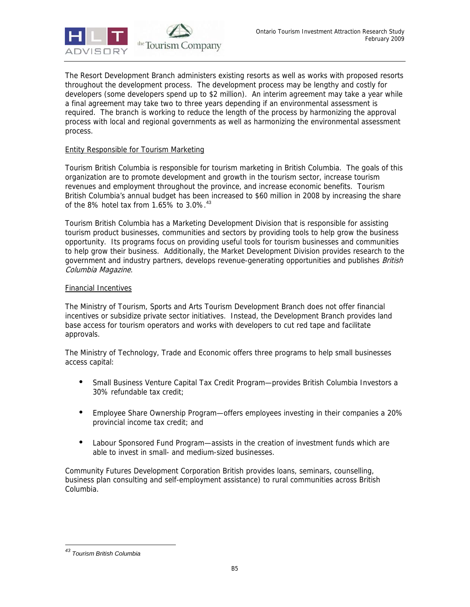

The Resort Development Branch administers existing resorts as well as works with proposed resorts throughout the development process. The development process may be lengthy and costly for developers (some developers spend up to \$2 million). An interim agreement may take a year while a final agreement may take two to three years depending if an environmental assessment is required. The branch is working to reduce the length of the process by harmonizing the approval process with local and regional governments as well as harmonizing the environmental assessment process.

# Entity Responsible for Tourism Marketing

Tourism British Columbia is responsible for tourism marketing in British Columbia. The goals of this organization are to promote development and growth in the tourism sector, increase tourism revenues and employment throughout the province, and increase economic benefits. Tourism British Columbia's annual budget has been increased to \$60 million in 2008 by increasing the share of the 8% hotel tax from 1.65% to 3.0%.<sup>43</sup>

Tourism British Columbia has a Marketing Development Division that is responsible for assisting tourism product businesses, communities and sectors by providing tools to help grow the business opportunity. Its programs focus on providing useful tools for tourism businesses and communities to help grow their business. Additionally, the Market Development Division provides research to the government and industry partners, develops revenue-generating opportunities and publishes British Columbia Magazine.

#### Financial Incentives

The Ministry of Tourism, Sports and Arts Tourism Development Branch does not offer financial incentives or subsidize private sector initiatives. Instead, the Development Branch provides land base access for tourism operators and works with developers to cut red tape and facilitate approvals.

The Ministry of Technology, Trade and Economic offers three programs to help small businesses access capital:

- Small Business Venture Capital Tax Credit Program—provides British Columbia Investors a 30% refundable tax credit;
- Employee Share Ownership Program—offers employees investing in their companies a 20% provincial income tax credit; and
- Labour Sponsored Fund Program—assists in the creation of investment funds which are able to invest in small- and medium-sized businesses.

Community Futures Development Corporation British provides loans, seminars, counselling, business plan consulting and self-employment assistance) to rural communities across British Columbia.

<sup>-</sup>*43 Tourism British Columbia*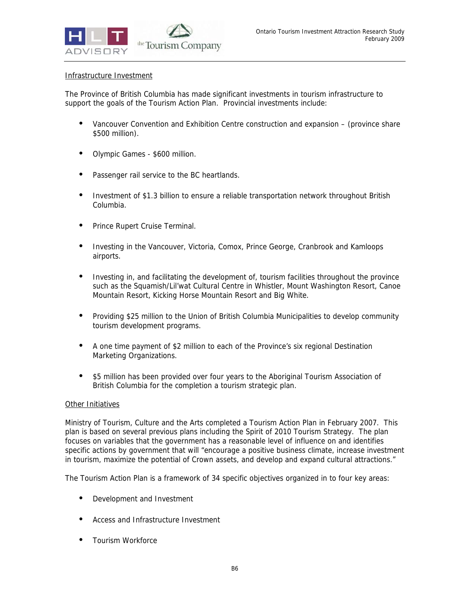

#### Infrastructure Investment

The Province of British Columbia has made significant investments in tourism infrastructure to support the goals of the Tourism Action Plan. Provincial investments include:

- Vancouver Convention and Exhibition Centre construction and expansion (province share \$500 million).
- Olympic Games \$600 million.
- Passenger rail service to the BC heartlands.
- Investment of \$1.3 billion to ensure a reliable transportation network throughout British Columbia.
- Prince Rupert Cruise Terminal.
- Investing in the Vancouver, Victoria, Comox, Prince George, Cranbrook and Kamloops airports.
- Investing in, and facilitating the development of, tourism facilities throughout the province such as the Squamish/Lil'wat Cultural Centre in Whistler, Mount Washington Resort, Canoe Mountain Resort, Kicking Horse Mountain Resort and Big White.
- Providing \$25 million to the Union of British Columbia Municipalities to develop community tourism development programs.
- A one time payment of \$2 million to each of the Province's six regional Destination Marketing Organizations.
- \$5 million has been provided over four years to the Aboriginal Tourism Association of British Columbia for the completion a tourism strategic plan.

#### Other Initiatives

Ministry of Tourism, Culture and the Arts completed a Tourism Action Plan in February 2007. This plan is based on several previous plans including the Spirit of 2010 Tourism Strategy. The plan focuses on variables that the government has a reasonable level of influence on and identifies specific actions by government that will "encourage a positive business climate, increase investment in tourism, maximize the potential of Crown assets, and develop and expand cultural attractions."

The Tourism Action Plan is a framework of 34 specific objectives organized in to four key areas:

- Development and Investment
- Access and Infrastructure Investment
- Tourism Workforce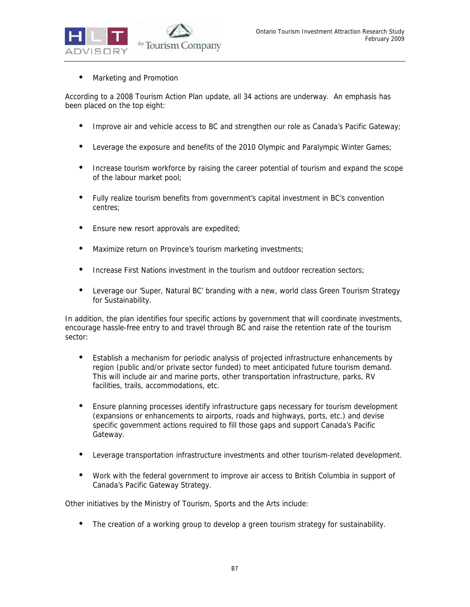

• Marketing and Promotion

According to a 2008 Tourism Action Plan update, all 34 actions are underway. An emphasis has been placed on the top eight:

- Improve air and vehicle access to BC and strengthen our role as Canada's Pacific Gateway;
- Leverage the exposure and benefits of the 2010 Olympic and Paralympic Winter Games;
- Increase tourism workforce by raising the career potential of tourism and expand the scope of the labour market pool;
- Fully realize tourism benefits from government's capital investment in BC's convention centres;
- Ensure new resort approvals are expedited;
- Maximize return on Province's tourism marketing investments;
- Increase First Nations investment in the tourism and outdoor recreation sectors;
- Leverage our 'Super, Natural BC' branding with a new, world class Green Tourism Strategy for Sustainability.

In addition, the plan identifies four specific actions by government that will coordinate investments, encourage hassle-free entry to and travel through BC and raise the retention rate of the tourism sector:

- Establish a mechanism for periodic analysis of projected infrastructure enhancements by region (public and/or private sector funded) to meet anticipated future tourism demand. This will include air and marine ports, other transportation infrastructure, parks, RV facilities, trails, accommodations, etc.
- Ensure planning processes identify infrastructure gaps necessary for tourism development (expansions or enhancements to airports, roads and highways, ports, etc.) and devise specific government actions required to fill those gaps and support Canada's Pacific Gateway.
- Leverage transportation infrastructure investments and other tourism-related development.
- Work with the federal government to improve air access to British Columbia in support of Canada's Pacific Gateway Strategy.

Other initiatives by the Ministry of Tourism, Sports and the Arts include:

The creation of a working group to develop a green tourism strategy for sustainability.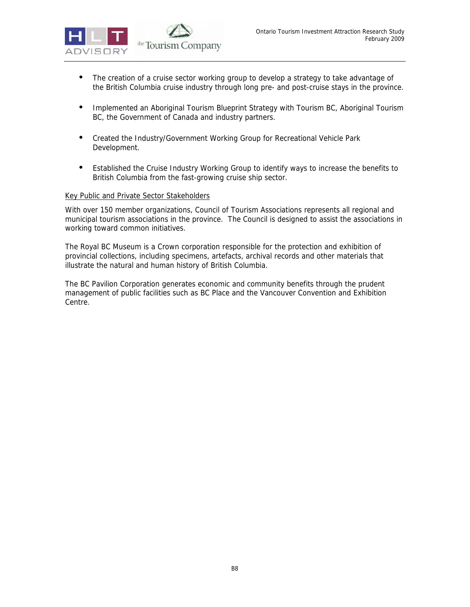

- The creation of a cruise sector working group to develop a strategy to take advantage of the British Columbia cruise industry through long pre- and post-cruise stays in the province.
- Implemented an Aboriginal Tourism Blueprint Strategy with Tourism BC, Aboriginal Tourism BC, the Government of Canada and industry partners.
- Created the Industry/Government Working Group for Recreational Vehicle Park Development.
- Established the Cruise Industry Working Group to identify ways to increase the benefits to British Columbia from the fast-growing cruise ship sector.

#### Key Public and Private Sector Stakeholders

With over 150 member organizations, Council of Tourism Associations represents all regional and municipal tourism associations in the province. The Council is designed to assist the associations in working toward common initiatives.

The Royal BC Museum is a Crown corporation responsible for the protection and exhibition of provincial collections, including specimens, artefacts, archival records and other materials that illustrate the natural and human history of British Columbia.

The BC Pavilion Corporation generates economic and community benefits through the prudent management of public facilities such as BC Place and the Vancouver Convention and Exhibition Centre.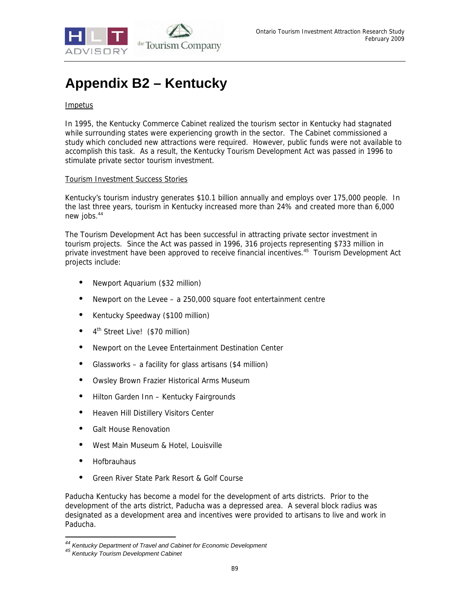

## **Appendix B2 – Kentucky**

#### Impetus

In 1995, the Kentucky Commerce Cabinet realized the tourism sector in Kentucky had stagnated while surrounding states were experiencing growth in the sector. The Cabinet commissioned a study which concluded new attractions were required. However, public funds were not available to accomplish this task. As a result, the Kentucky Tourism Development Act was passed in 1996 to stimulate private sector tourism investment.

#### Tourism Investment Success Stories

Kentucky's tourism industry generates \$10.1 billion annually and employs over 175,000 people. In the last three years, tourism in Kentucky increased more than 24% and created more than 6,000 new jobs.<sup>44</sup>

The Tourism Development Act has been successful in attracting private sector investment in tourism projects. Since the Act was passed in 1996, 316 projects representing \$733 million in private investment have been approved to receive financial incentives.<sup>45</sup> Tourism Development Act projects include:

- Newport Aquarium (\$32 million)
- Newport on the Levee a 250,000 square foot entertainment centre
- Kentucky Speedway (\$100 million)
- 4<sup>th</sup> Street Live! (\$70 million)
- Newport on the Levee Entertainment Destination Center
- Glassworks a facility for glass artisans (\$4 million)
- Owsley Brown Frazier Historical Arms Museum
- Hilton Garden Inn Kentucky Fairgrounds
- Heaven Hill Distillery Visitors Center
- Galt House Renovation
- West Main Museum & Hotel, Louisville
- Hofbrauhaus

-

• Green River State Park Resort & Golf Course

Paducha Kentucky has become a model for the development of arts districts. Prior to the development of the arts district, Paducha was a depressed area. A several block radius was designated as a development area and incentives were provided to artisans to live and work in Paducha.

<sup>&</sup>lt;sup>44</sup> Kentucky Department of Travel and Cabinet for Economic Development<br><sup>45</sup> Kentucky Tourism Development Cabinet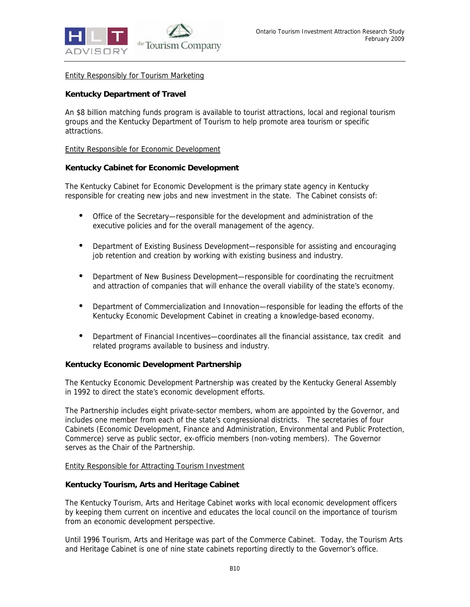

Entity Responsibly for Tourism Marketing

#### **Kentucky Department of Travel**

An \$8 billion matching funds program is available to tourist attractions, local and regional tourism groups and the Kentucky Department of Tourism to help promote area tourism or specific attractions.

#### Entity Responsible for Economic Development

#### **Kentucky Cabinet for Economic Development**

The Kentucky Cabinet for Economic Development is the primary state agency in Kentucky responsible for creating new jobs and new investment in the state. The Cabinet consists of:

- Office of the Secretary—responsible for the development and administration of the executive policies and for the overall management of the agency.
- Department of Existing Business Development—responsible for assisting and encouraging job retention and creation by working with existing business and industry.
- Department of New Business Development—responsible for coordinating the recruitment and attraction of companies that will enhance the overall viability of the state's economy.
- Department of Commercialization and Innovation—responsible for leading the efforts of the Kentucky Economic Development Cabinet in creating a knowledge-based economy.
- Department of Financial Incentives—coordinates all the financial assistance, tax credit and related programs available to business and industry.

#### **Kentucky Economic Development Partnership**

The Kentucky Economic Development Partnership was created by the Kentucky General Assembly in 1992 to direct the state's economic development efforts.

The Partnership includes eight private-sector members, whom are appointed by the Governor, and includes one member from each of the state's congressional districts. The secretaries of four Cabinets (Economic Development, Finance and Administration, Environmental and Public Protection, Commerce) serve as public sector, ex-officio members (non-voting members). The Governor serves as the Chair of the Partnership.

#### Entity Responsible for Attracting Tourism Investment

#### **Kentucky Tourism, Arts and Heritage Cabinet**

The Kentucky Tourism, Arts and Heritage Cabinet works with local economic development officers by keeping them current on incentive and educates the local council on the importance of tourism from an economic development perspective.

Until 1996 Tourism, Arts and Heritage was part of the Commerce Cabinet. Today, the Tourism Arts and Heritage Cabinet is one of nine state cabinets reporting directly to the Governor's office.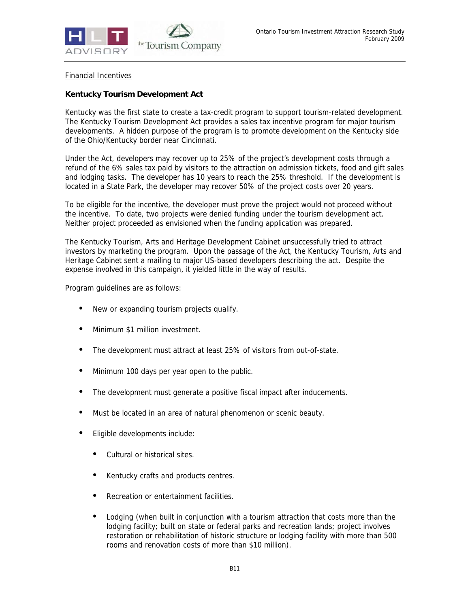

#### Financial Incentives

### **Kentucky Tourism Development Act**

Kentucky was the first state to create a tax-credit program to support tourism-related development. The Kentucky Tourism Development Act provides a sales tax incentive program for major tourism developments. A hidden purpose of the program is to promote development on the Kentucky side of the Ohio/Kentucky border near Cincinnati.

Under the Act, developers may recover up to 25% of the project's development costs through a refund of the 6% sales tax paid by visitors to the attraction on admission tickets, food and gift sales and lodging tasks. The developer has 10 years to reach the 25% threshold. If the development is located in a State Park, the developer may recover 50% of the project costs over 20 years.

To be eligible for the incentive, the developer must prove the project would not proceed without the incentive. To date, two projects were denied funding under the tourism development act. Neither project proceeded as envisioned when the funding application was prepared.

The Kentucky Tourism, Arts and Heritage Development Cabinet unsuccessfully tried to attract investors by marketing the program. Upon the passage of the Act, the Kentucky Tourism, Arts and Heritage Cabinet sent a mailing to major US-based developers describing the act. Despite the expense involved in this campaign, it yielded little in the way of results.

Program guidelines are as follows:

- New or expanding tourism projects qualify.
- Minimum \$1 million investment.
- The development must attract at least 25% of visitors from out-of-state.
- Minimum 100 days per year open to the public.
- The development must generate a positive fiscal impact after inducements.
- Must be located in an area of natural phenomenon or scenic beauty.
- Eligible developments include:
	- Cultural or historical sites.
	- Kentucky crafts and products centres.
	- Recreation or entertainment facilities.
	- Lodging (when built in conjunction with a tourism attraction that costs more than the lodging facility; built on state or federal parks and recreation lands; project involves restoration or rehabilitation of historic structure or lodging facility with more than 500 rooms and renovation costs of more than \$10 million).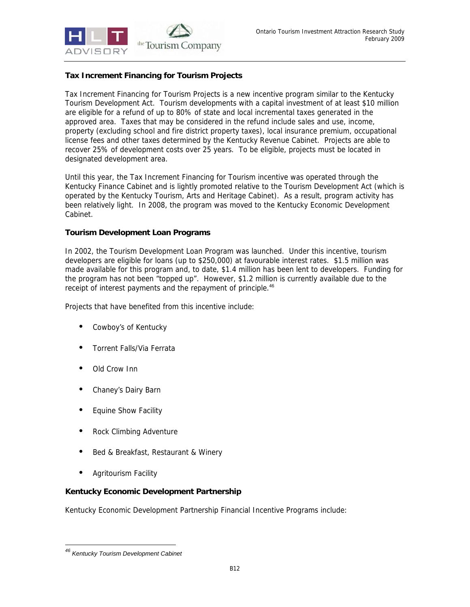

#### **Tax Increment Financing for Tourism Projects**

Tax Increment Financing for Tourism Projects is a new incentive program similar to the Kentucky Tourism Development Act. Tourism developments with a capital investment of at least \$10 million are eligible for a refund of up to 80% of state and local incremental taxes generated in the approved area. Taxes that may be considered in the refund include sales and use, income, property (excluding school and fire district property taxes), local insurance premium, occupational license fees and other taxes determined by the Kentucky Revenue Cabinet. Projects are able to recover 25% of development costs over 25 years. To be eligible, projects must be located in designated development area.

Until this year, the Tax Increment Financing for Tourism incentive was operated through the Kentucky Finance Cabinet and is lightly promoted relative to the Tourism Development Act (which is operated by the Kentucky Tourism, Arts and Heritage Cabinet). As a result, program activity has been relatively light. In 2008, the program was moved to the Kentucky Economic Development Cabinet.

#### **Tourism Development Loan Programs**

In 2002, the Tourism Development Loan Program was launched. Under this incentive, tourism developers are eligible for loans (up to \$250,000) at favourable interest rates. \$1.5 million was made available for this program and, to date, \$1.4 million has been lent to developers. Funding for the program has not been "topped up". However, \$1.2 million is currently available due to the receipt of interest payments and the repayment of principle.<sup>46</sup>

Projects that have benefited from this incentive include:

- Cowboy's of Kentucky
- Torrent Falls/Via Ferrata
- Old Crow Inn
- Chaney's Dairy Barn
- Equine Show Facility
- Rock Climbing Adventure
- Bed & Breakfast, Restaurant & Winery
- Agritourism Facility

#### **Kentucky Economic Development Partnership**

Kentucky Economic Development Partnership Financial Incentive Programs include:

<sup>-</sup>*46 Kentucky Tourism Development Cabinet*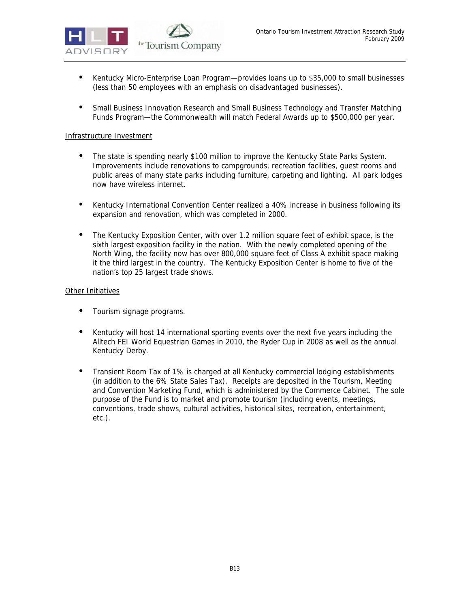

- Kentucky Micro-Enterprise Loan Program—provides loans up to \$35,000 to small businesses (less than 50 employees with an emphasis on disadvantaged businesses).
- Small Business Innovation Research and Small Business Technology and Transfer Matching Funds Program—the Commonwealth will match Federal Awards up to \$500,000 per year.

#### Infrastructure Investment

- The state is spending nearly \$100 million to improve the Kentucky State Parks System. Improvements include renovations to campgrounds, recreation facilities, guest rooms and public areas of many state parks including furniture, carpeting and lighting. All park lodges now have wireless internet.
- Kentucky International Convention Center realized a 40% increase in business following its expansion and renovation, which was completed in 2000.
- The Kentucky Exposition Center, with over 1.2 million square feet of exhibit space, is the sixth largest exposition facility in the nation. With the newly completed opening of the North Wing, the facility now has over 800,000 square feet of Class A exhibit space making it the third largest in the country. The Kentucky Exposition Center is home to five of the nation's top 25 largest trade shows.

#### **Other Initiatives**

- Tourism signage programs.
- Kentucky will host 14 international sporting events over the next five years including the Alltech FEI World Equestrian Games in 2010, the Ryder Cup in 2008 as well as the annual Kentucky Derby.
- Transient Room Tax of 1% is charged at all Kentucky commercial lodging establishments (in addition to the 6% State Sales Tax). Receipts are deposited in the Tourism, Meeting and Convention Marketing Fund, which is administered by the Commerce Cabinet. The sole purpose of the Fund is to market and promote tourism (including events, meetings, conventions, trade shows, cultural activities, historical sites, recreation, entertainment, etc.).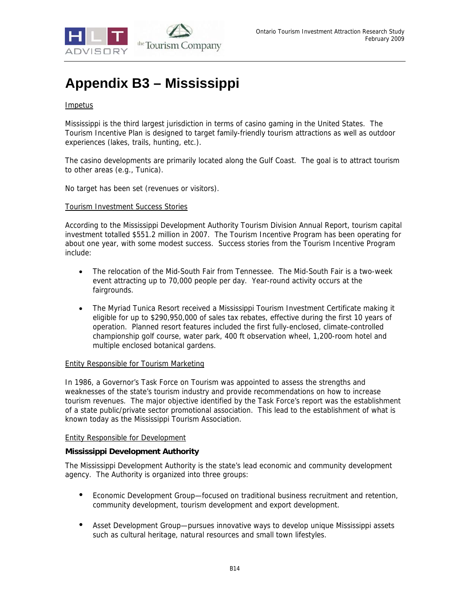

# **Appendix B3 – Mississippi**

#### **Impetus**

Mississippi is the third largest jurisdiction in terms of casino gaming in the United States. The Tourism Incentive Plan is designed to target family-friendly tourism attractions as well as outdoor experiences (lakes, trails, hunting, etc.).

The casino developments are primarily located along the Gulf Coast. The goal is to attract tourism to other areas (e.g., Tunica).

No target has been set (revenues or visitors).

#### Tourism Investment Success Stories

According to the Mississippi Development Authority Tourism Division Annual Report, tourism capital investment totalled \$551.2 million in 2007. The Tourism Incentive Program has been operating for about one year, with some modest success. Success stories from the Tourism Incentive Program include:

- The relocation of the Mid-South Fair from Tennessee. The Mid-South Fair is a two-week event attracting up to 70,000 people per day. Year-round activity occurs at the fairgrounds.
- The Myriad Tunica Resort received a Mississippi Tourism Investment Certificate making it eligible for up to \$290,950,000 of sales tax rebates, effective during the first 10 years of operation. Planned resort features included the first fully-enclosed, climate-controlled championship golf course, water park, 400 ft observation wheel, 1,200-room hotel and multiple enclosed botanical gardens.

#### Entity Responsible for Tourism Marketing

In 1986, a Governor's Task Force on Tourism was appointed to assess the strengths and weaknesses of the state's tourism industry and provide recommendations on how to increase tourism revenues. The major objective identified by the Task Force's report was the establishment of a state public/private sector promotional association. This lead to the establishment of what is known today as the Mississippi Tourism Association.

#### Entity Responsible for Development

#### **Mississippi Development Authority**

The Mississippi Development Authority is the state's lead economic and community development agency. The Authority is organized into three groups:

- Economic Development Group—focused on traditional business recruitment and retention, community development, tourism development and export development.
- Asset Development Group—pursues innovative ways to develop unique Mississippi assets such as cultural heritage, natural resources and small town lifestyles.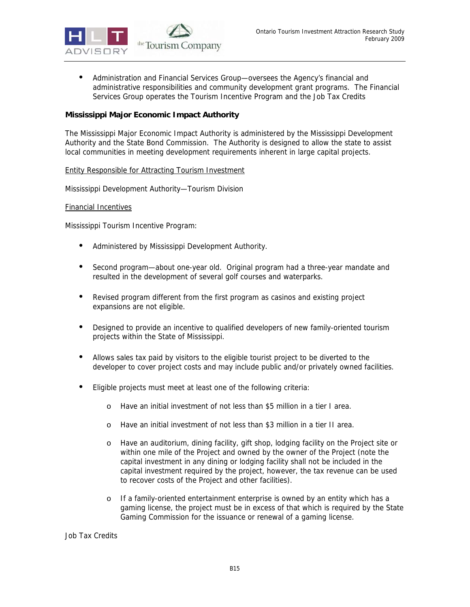

• Administration and Financial Services Group—oversees the Agency's financial and administrative responsibilities and community development grant programs. The Financial Services Group operates the Tourism Incentive Program and the Job Tax Credits

#### **Mississippi Major Economic Impact Authority**

The Mississippi Major Economic Impact Authority is administered by the Mississippi Development Authority and the State Bond Commission. The Authority is designed to allow the state to assist local communities in meeting development requirements inherent in large capital projects.

#### Entity Responsible for Attracting Tourism Investment

Mississippi Development Authority—Tourism Division

#### Financial Incentives

Mississippi Tourism Incentive Program:

- Administered by Mississippi Development Authority.
- Second program—about one-year old. Original program had a three-year mandate and resulted in the development of several golf courses and waterparks.
- Revised program different from the first program as casinos and existing project expansions are not eligible.
- Designed to provide an incentive to qualified developers of new family-oriented tourism projects within the State of Mississippi.
- Allows sales tax paid by visitors to the eligible tourist project to be diverted to the developer to cover project costs and may include public and/or privately owned facilities.
- Eligible projects must meet at least one of the following criteria:
	- o Have an initial investment of not less than \$5 million in a tier I area.
	- o Have an initial investment of not less than \$3 million in a tier II area.
	- o Have an auditorium, dining facility, gift shop, lodging facility on the Project site or within one mile of the Project and owned by the owner of the Project (note the capital investment in any dining or lodging facility shall not be included in the capital investment required by the project, however, the tax revenue can be used to recover costs of the Project and other facilities).
	- o If a family-oriented entertainment enterprise is owned by an entity which has a gaming license, the project must be in excess of that which is required by the State Gaming Commission for the issuance or renewal of a gaming license.

Job Tax Credits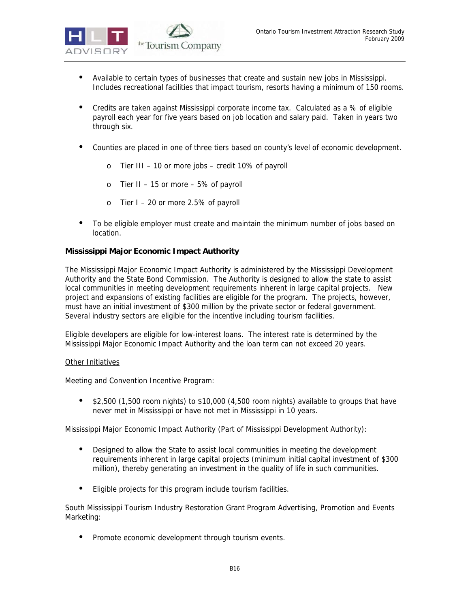- Available to certain types of businesses that create and sustain new jobs in Mississippi. Includes recreational facilities that impact tourism, resorts having a minimum of 150 rooms.
- Credits are taken against Mississippi corporate income tax. Calculated as a % of eligible payroll each year for five years based on job location and salary paid. Taken in years two through six.
- Counties are placed in one of three tiers based on county's level of economic development.
	- o Tier III 10 or more jobs credit 10% of payroll
	- $\circ$  Tier II 15 or more 5% of payroll
	- o Tier I 20 or more 2.5% of payroll
- To be eligible employer must create and maintain the minimum number of jobs based on location.

#### **Mississippi Major Economic Impact Authority**

The Mississippi Major Economic Impact Authority is administered by the Mississippi Development Authority and the State Bond Commission. The Authority is designed to allow the state to assist local communities in meeting development requirements inherent in large capital projects. New project and expansions of existing facilities are eligible for the program. The projects, however, must have an initial investment of \$300 million by the private sector or federal government. Several industry sectors are eligible for the incentive including tourism facilities.

Eligible developers are eligible for low-interest loans. The interest rate is determined by the Mississippi Major Economic Impact Authority and the loan term can not exceed 20 years.

#### Other Initiatives

Meeting and Convention Incentive Program:

• \$2,500 (1,500 room nights) to \$10,000 (4,500 room nights) available to groups that have never met in Mississippi or have not met in Mississippi in 10 years.

Mississippi Major Economic Impact Authority (Part of Mississippi Development Authority):

- Designed to allow the State to assist local communities in meeting the development requirements inherent in large capital projects (minimum initial capital investment of \$300 million), thereby generating an investment in the quality of life in such communities.
- Eligible projects for this program include tourism facilities.

South Mississippi Tourism Industry Restoration Grant Program Advertising, Promotion and Events Marketing:

• Promote economic development through tourism events.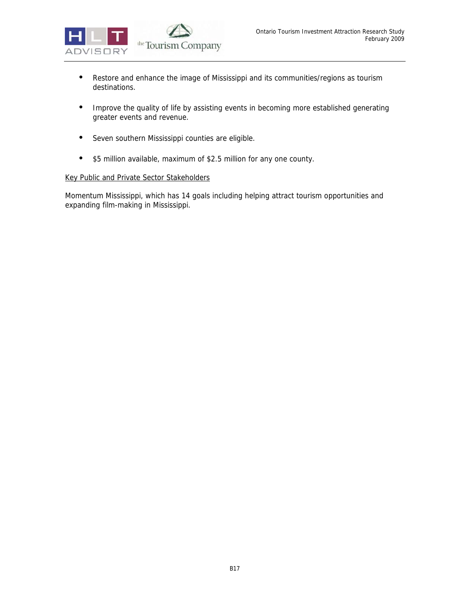

- Restore and enhance the image of Mississippi and its communities/regions as tourism destinations.
- Improve the quality of life by assisting events in becoming more established generating greater events and revenue.
- Seven southern Mississippi counties are eligible.
- \$5 million available, maximum of \$2.5 million for any one county.

#### Key Public and Private Sector Stakeholders

Momentum Mississippi, which has 14 goals including helping attract tourism opportunities and expanding film-making in Mississippi.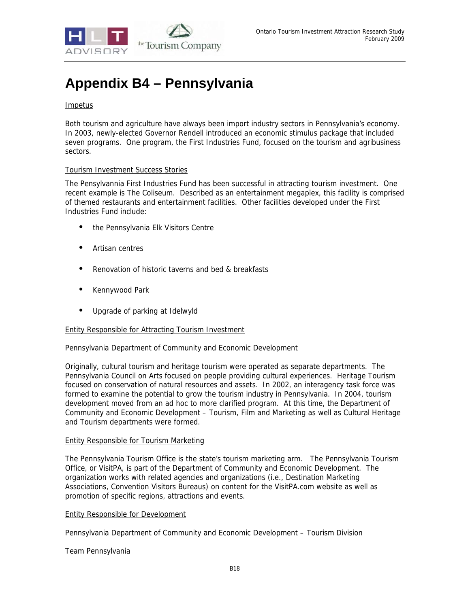

## **Appendix B4 – Pennsylvania**

#### **Impetus**

Both tourism and agriculture have always been import industry sectors in Pennsylvania's economy. In 2003, newly-elected Governor Rendell introduced an economic stimulus package that included seven programs. One program, the First Industries Fund, focused on the tourism and agribusiness sectors.

#### Tourism Investment Success Stories

The Pensylvannia First Industries Fund has been successful in attracting tourism investment. One recent example is The Coliseum. Described as an entertainment megaplex, this facility is comprised of themed restaurants and entertainment facilities. Other facilities developed under the First Industries Fund include:

- the Pennsylvania Elk Visitors Centre
- Artisan centres
- Renovation of historic taverns and bed & breakfasts
- Kennywood Park
- Upgrade of parking at Idelwyld

#### Entity Responsible for Attracting Tourism Investment

Pennsylvania Department of Community and Economic Development

Originally, cultural tourism and heritage tourism were operated as separate departments. The Pennsylvania Council on Arts focused on people providing cultural experiences. Heritage Tourism focused on conservation of natural resources and assets. In 2002, an interagency task force was formed to examine the potential to grow the tourism industry in Pennsylvania. In 2004, tourism development moved from an ad hoc to more clarified program. At this time, the Department of Community and Economic Development – Tourism, Film and Marketing as well as Cultural Heritage and Tourism departments were formed.

#### Entity Responsible for Tourism Marketing

The Pennsylvania Tourism Office is the state's tourism marketing arm. The Pennsylvania Tourism Office, or VisitPA, is part of the Department of Community and Economic Development. The organization works with related agencies and organizations (i.e., Destination Marketing Associations, Convention Visitors Bureaus) on content for the VisitPA.com website as well as promotion of specific regions, attractions and events.

#### Entity Responsible for Development

Pennsylvania Department of Community and Economic Development – Tourism Division

#### Team Pennsylvania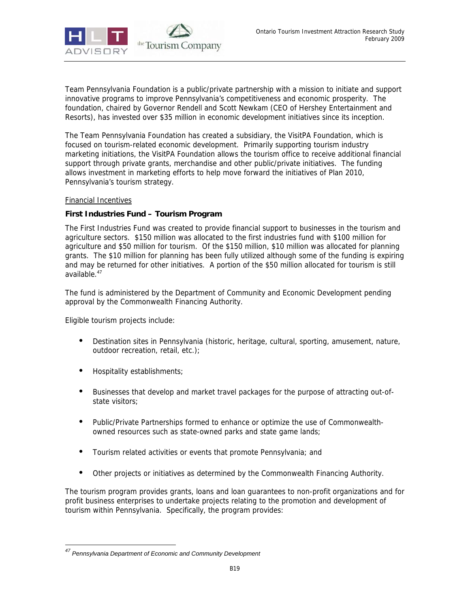

Team Pennsylvania Foundation is a public/private partnership with a mission to initiate and support innovative programs to improve Pennsylvania's competitiveness and economic prosperity. The foundation, chaired by Governor Rendell and Scott Newkam (CEO of Hershey Entertainment and Resorts), has invested over \$35 million in economic development initiatives since its inception.

The Team Pennsylvania Foundation has created a subsidiary, the VisitPA Foundation, which is focused on tourism-related economic development. Primarily supporting tourism industry marketing initiations, the VisitPA Foundation allows the tourism office to receive additional financial support through private grants, merchandise and other public/private initiatives. The funding allows investment in marketing efforts to help move forward the initiatives of Plan 2010, Pennsylvania's tourism strategy.

#### Financial Incentives

#### **First Industries Fund – Tourism Program**

The First Industries Fund was created to provide financial support to businesses in the tourism and agriculture sectors. \$150 million was allocated to the first industries fund with \$100 million for agriculture and \$50 million for tourism. Of the \$150 million, \$10 million was allocated for planning grants. The \$10 million for planning has been fully utilized although some of the funding is expiring and may be returned for other initiatives. A portion of the \$50 million allocated for tourism is still available.<sup>47</sup>

The fund is administered by the Department of Community and Economic Development pending approval by the Commonwealth Financing Authority.

Eligible tourism projects include:

-

- Destination sites in Pennsylvania (historic, heritage, cultural, sporting, amusement, nature, outdoor recreation, retail, etc.);
- Hospitality establishments;
- Businesses that develop and market travel packages for the purpose of attracting out-ofstate visitors;
- Public/Private Partnerships formed to enhance or optimize the use of Commonwealthowned resources such as state-owned parks and state game lands;
- Tourism related activities or events that promote Pennsylvania; and
- Other projects or initiatives as determined by the Commonwealth Financing Authority.

The tourism program provides grants, loans and loan guarantees to non-profit organizations and for profit business enterprises to undertake projects relating to the promotion and development of tourism within Pennsylvania. Specifically, the program provides:

*<sup>47</sup> Pennsylvania Department of Economic and Community Development*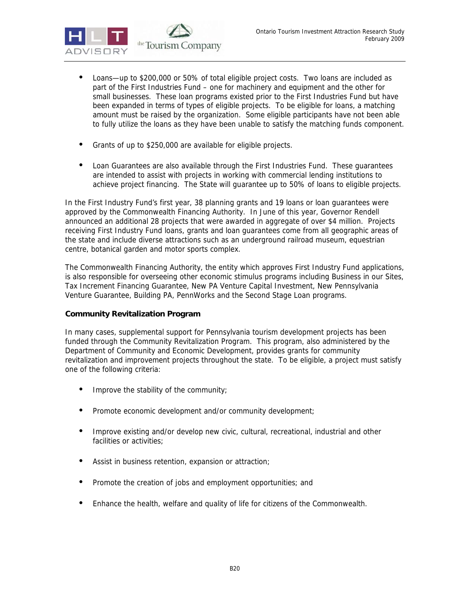

- Loans—up to \$200,000 or 50% of total eligible project costs. Two loans are included as part of the First Industries Fund – one for machinery and equipment and the other for small businesses. These loan programs existed prior to the First Industries Fund but have been expanded in terms of types of eligible projects. To be eligible for loans, a matching amount must be raised by the organization. Some eligible participants have not been able to fully utilize the loans as they have been unable to satisfy the matching funds component.
- Grants of up to \$250,000 are available for eligible projects.
- Loan Guarantees are also available through the First Industries Fund. These guarantees are intended to assist with projects in working with commercial lending institutions to achieve project financing. The State will guarantee up to 50% of loans to eligible projects.

In the First Industry Fund's first year, 38 planning grants and 19 loans or loan guarantees were approved by the Commonwealth Financing Authority. In June of this year, Governor Rendell announced an additional 28 projects that were awarded in aggregate of over \$4 million. Projects receiving First Industry Fund loans, grants and loan guarantees come from all geographic areas of the state and include diverse attractions such as an underground railroad museum, equestrian centre, botanical garden and motor sports complex.

The Commonwealth Financing Authority, the entity which approves First Industry Fund applications, is also responsible for overseeing other economic stimulus programs including Business in our Sites, Tax Increment Financing Guarantee, New PA Venture Capital Investment, New Pennsylvania Venture Guarantee, Building PA, PennWorks and the Second Stage Loan programs.

#### **Community Revitalization Program**

In many cases, supplemental support for Pennsylvania tourism development projects has been funded through the Community Revitalization Program. This program, also administered by the Department of Community and Economic Development, provides grants for community revitalization and improvement projects throughout the state. To be eligible, a project must satisfy one of the following criteria:

- Improve the stability of the community;
- Promote economic development and/or community development;
- Improve existing and/or develop new civic, cultural, recreational, industrial and other facilities or activities;
- Assist in business retention, expansion or attraction;
- Promote the creation of jobs and employment opportunities; and
- Enhance the health, welfare and quality of life for citizens of the Commonwealth.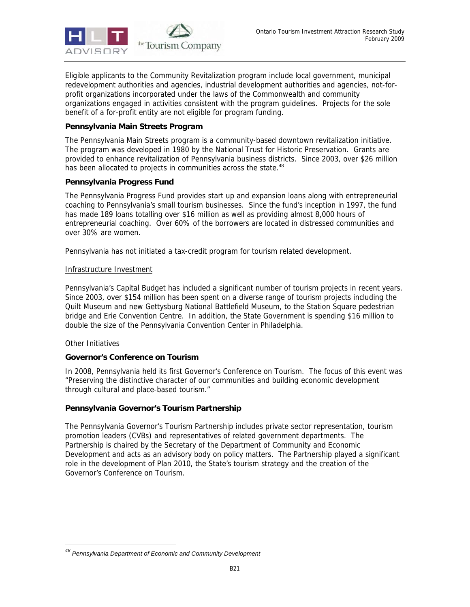

Eligible applicants to the Community Revitalization program include local government, municipal redevelopment authorities and agencies, industrial development authorities and agencies, not-forprofit organizations incorporated under the laws of the Commonwealth and community organizations engaged in activities consistent with the program guidelines. Projects for the sole benefit of a for-profit entity are not eligible for program funding.

#### **Pennsylvania Main Streets Program**

The Pennsylvania Main Streets program is a community-based downtown revitalization initiative. The program was developed in 1980 by the National Trust for Historic Preservation. Grants are provided to enhance revitalization of Pennsylvania business districts. Since 2003, over \$26 million has been allocated to projects in communities across the state.<sup>48</sup>

#### **Pennsylvania Progress Fund**

The Pennsylvania Progress Fund provides start up and expansion loans along with entrepreneurial coaching to Pennsylvania's small tourism businesses. Since the fund's inception in 1997, the fund has made 189 loans totalling over \$16 million as well as providing almost 8,000 hours of entrepreneurial coaching. Over 60% of the borrowers are located in distressed communities and over 30% are women.

Pennsylvania has not initiated a tax-credit program for tourism related development.

#### Infrastructure Investment

Pennsylvania's Capital Budget has included a significant number of tourism projects in recent years. Since 2003, over \$154 million has been spent on a diverse range of tourism projects including the Quilt Museum and new Gettysburg National Battlefield Museum, to the Station Square pedestrian bridge and Erie Convention Centre. In addition, the State Government is spending \$16 million to double the size of the Pennsylvania Convention Center in Philadelphia.

#### Other Initiatives

-

#### **Governor's Conference on Tourism**

In 2008, Pennsylvania held its first Governor's Conference on Tourism. The focus of this event was "Preserving the distinctive character of our communities and building economic development through cultural and place-based tourism."

#### **Pennsylvania Governor's Tourism Partnership**

The Pennsylvania Governor's Tourism Partnership includes private sector representation, tourism promotion leaders (CVBs) and representatives of related government departments. The Partnership is chaired by the Secretary of the Department of Community and Economic Development and acts as an advisory body on policy matters. The Partnership played a significant role in the development of Plan 2010, the State's tourism strategy and the creation of the Governor's Conference on Tourism.

*<sup>48</sup> Pennsylvania Department of Economic and Community Development*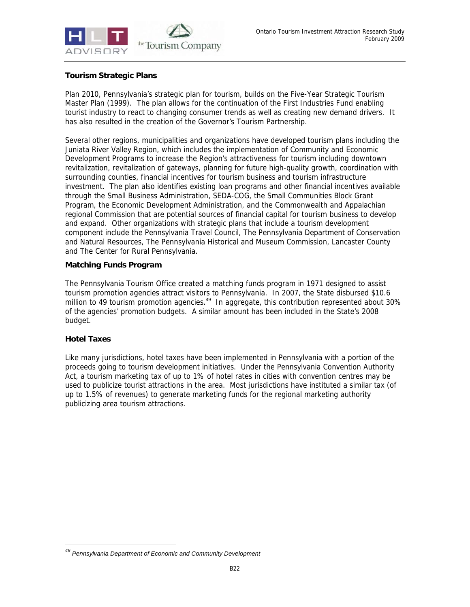

#### **Tourism Strategic Plans**

Plan 2010, Pennsylvania's strategic plan for tourism, builds on the Five-Year Strategic Tourism Master Plan (1999). The plan allows for the continuation of the First Industries Fund enabling tourist industry to react to changing consumer trends as well as creating new demand drivers. It has also resulted in the creation of the Governor's Tourism Partnership.

Several other regions, municipalities and organizations have developed tourism plans including the Juniata River Valley Region, which includes the implementation of Community and Economic Development Programs to increase the Region's attractiveness for tourism including downtown revitalization, revitalization of gateways, planning for future high-quality growth, coordination with surrounding counties, financial incentives for tourism business and tourism infrastructure investment. The plan also identifies existing loan programs and other financial incentives available through the Small Business Administration, SEDA-COG, the Small Communities Block Grant Program, the Economic Development Administration, and the Commonwealth and Appalachian regional Commission that are potential sources of financial capital for tourism business to develop and expand. Other organizations with strategic plans that include a tourism development component include the Pennsylvania Travel Council, The Pennsylvania Department of Conservation and Natural Resources, The Pennsylvania Historical and Museum Commission, Lancaster County and The Center for Rural Pennsylvania.

#### **Matching Funds Program**

The Pennsylvania Tourism Office created a matching funds program in 1971 designed to assist tourism promotion agencies attract visitors to Pennsylvania. In 2007, the State disbursed \$10.6 million to 49 tourism promotion agencies.<sup>49</sup> In aggregate, this contribution represented about 30% of the agencies' promotion budgets. A similar amount has been included in the State's 2008 budget.

#### **Hotel Taxes**

-

Like many jurisdictions, hotel taxes have been implemented in Pennsylvania with a portion of the proceeds going to tourism development initiatives. Under the Pennsylvania Convention Authority Act, a tourism marketing tax of up to 1% of hotel rates in cities with convention centres may be used to publicize tourist attractions in the area. Most jurisdictions have instituted a similar tax (of up to 1.5% of revenues) to generate marketing funds for the regional marketing authority publicizing area tourism attractions.

*<sup>49</sup> Pennsylvania Department of Economic and Community Development*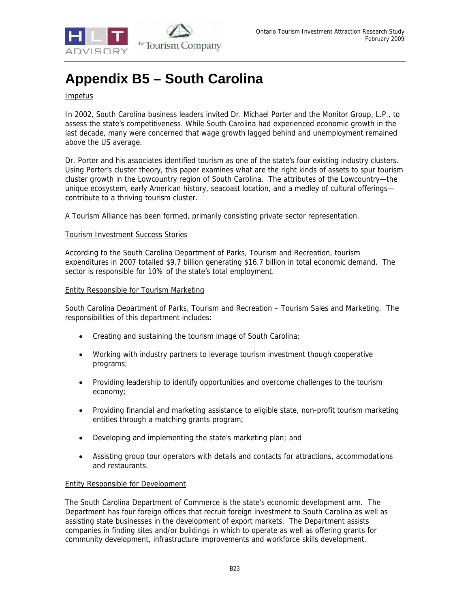

## **Appendix B5 – South Carolina**

#### Impetus

In 2002, South Carolina business leaders invited Dr. Michael Porter and the Monitor Group, L.P., to assess the state's competitiveness. While South Carolina had experienced economic growth in the last decade, many were concerned that wage growth lagged behind and unemployment remained above the US average.

Dr. Porter and his associates identified tourism as one of the state's four existing industry clusters. Using Porter's cluster theory, this paper examines what are the right kinds of assets to spur tourism cluster growth in the Lowcountry region of South Carolina. The attributes of the Lowcountry—the unique ecosystem, early American history, seacoast location, and a medley of cultural offerings contribute to a thriving tourism cluster.

A Tourism Alliance has been formed, primarily consisting private sector representation.

#### Tourism Investment Success Stories

According to the South Carolina Department of Parks, Tourism and Recreation, tourism expenditures in 2007 totalled \$9.7 billion generating \$16.7 billion in total economic demand. The sector is responsible for 10% of the state's total employment.

#### Entity Responsible for Tourism Marketing

South Carolina Department of Parks, Tourism and Recreation – Tourism Sales and Marketing. The responsibilities of this department includes:

- Creating and sustaining the tourism image of South Carolina;
- Working with industry partners to leverage tourism investment though cooperative programs;
- Providing leadership to identify opportunities and overcome challenges to the tourism economy;
- Providing financial and marketing assistance to eligible state, non-profit tourism marketing entities through a matching grants program;
- Developing and implementing the state's marketing plan; and
- Assisting group tour operators with details and contacts for attractions, accommodations and restaurants.

#### Entity Responsible for Development

The South Carolina Department of Commerce is the state's economic development arm. The Department has four foreign offices that recruit foreign investment to South Carolina as well as assisting state businesses in the development of export markets. The Department assists companies in finding sites and/or buildings in which to operate as well as offering grants for community development, infrastructure improvements and workforce skills development.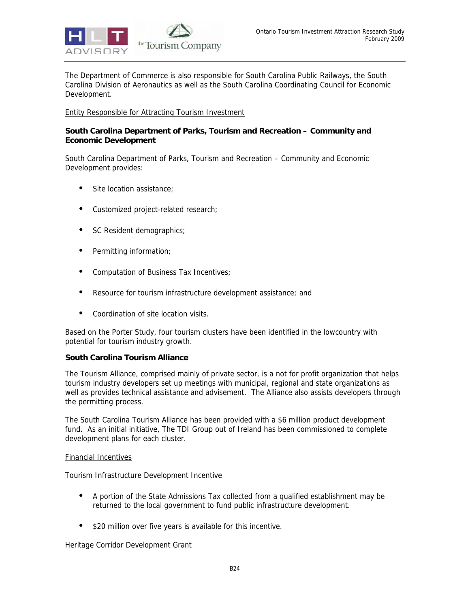

The Department of Commerce is also responsible for South Carolina Public Railways, the South Carolina Division of Aeronautics as well as the South Carolina Coordinating Council for Economic Development.

#### Entity Responsible for Attracting Tourism Investment

#### **South Carolina Department of Parks, Tourism and Recreation – Community and Economic Development**

South Carolina Department of Parks, Tourism and Recreation – Community and Economic Development provides:

- Site location assistance;
- Customized project-related research;
- SC Resident demographics;
- Permitting information;
- Computation of Business Tax Incentives;
- Resource for tourism infrastructure development assistance; and
- Coordination of site location visits.

Based on the Porter Study, four tourism clusters have been identified in the lowcountry with potential for tourism industry growth.

#### **South Carolina Tourism Alliance**

The Tourism Alliance, comprised mainly of private sector, is a not for profit organization that helps tourism industry developers set up meetings with municipal, regional and state organizations as well as provides technical assistance and advisement. The Alliance also assists developers through the permitting process.

The South Carolina Tourism Alliance has been provided with a \$6 million product development fund. As an initial initiative, The TDI Group out of Ireland has been commissioned to complete development plans for each cluster.

#### Financial Incentives

Tourism Infrastructure Development Incentive

- A portion of the State Admissions Tax collected from a qualified establishment may be returned to the local government to fund public infrastructure development.
- \$20 million over five years is available for this incentive.

Heritage Corridor Development Grant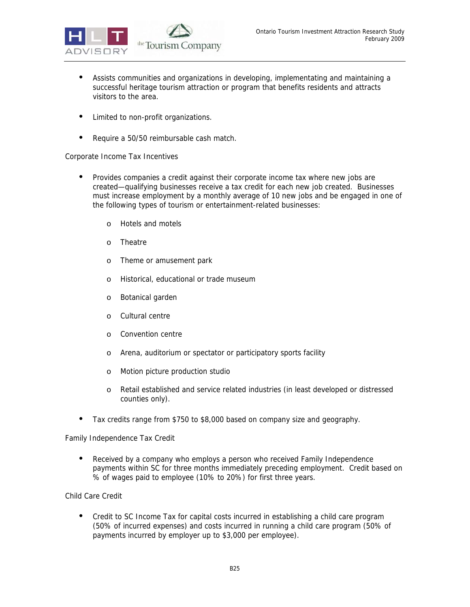

- Assists communities and organizations in developing, implementating and maintaining a successful heritage tourism attraction or program that benefits residents and attracts visitors to the area.
- Limited to non-profit organizations.
- Require a 50/50 reimbursable cash match.

#### Corporate Income Tax Incentives

- Provides companies a credit against their corporate income tax where new jobs are created—qualifying businesses receive a tax credit for each new job created. Businesses must increase employment by a monthly average of 10 new jobs and be engaged in one of the following types of tourism or entertainment-related businesses:
	- o Hotels and motels
	- o Theatre
	- o Theme or amusement park
	- o Historical, educational or trade museum
	- o Botanical garden
	- o Cultural centre
	- o Convention centre
	- o Arena, auditorium or spectator or participatory sports facility
	- o Motion picture production studio
	- o Retail established and service related industries (in least developed or distressed counties only).
- Tax credits range from \$750 to \$8,000 based on company size and geography.

Family Independence Tax Credit

• Received by a company who employs a person who received Family Independence payments within SC for three months immediately preceding employment. Credit based on % of wages paid to employee (10% to 20%) for first three years.

Child Care Credit

• Credit to SC Income Tax for capital costs incurred in establishing a child care program (50% of incurred expenses) and costs incurred in running a child care program (50% of payments incurred by employer up to \$3,000 per employee).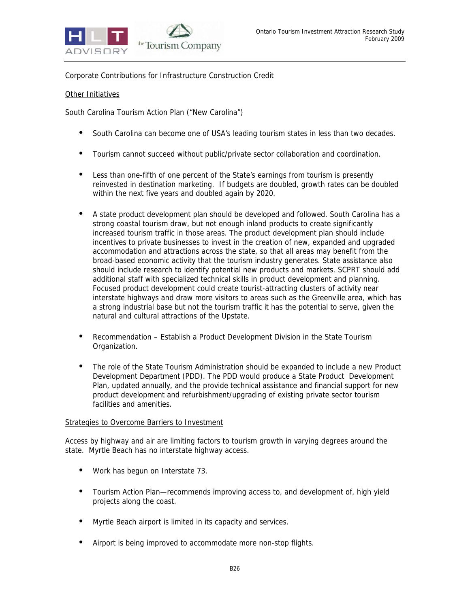

Corporate Contributions for Infrastructure Construction Credit

#### Other Initiatives

South Carolina Tourism Action Plan ("New Carolina")

- South Carolina can become one of USA's leading tourism states in less than two decades.
- Tourism cannot succeed without public/private sector collaboration and coordination.
- Less than one-fifth of one percent of the State's earnings from tourism is presently reinvested in destination marketing. If budgets are doubled, growth rates can be doubled within the next five years and doubled again by 2020.
- A state product development plan should be developed and followed. South Carolina has a strong coastal tourism draw, but not enough inland products to create significantly increased tourism traffic in those areas. The product development plan should include incentives to private businesses to invest in the creation of new, expanded and upgraded accommodation and attractions across the state, so that all areas may benefit from the broad-based economic activity that the tourism industry generates. State assistance also should include research to identify potential new products and markets. SCPRT should add additional staff with specialized technical skills in product development and planning. Focused product development could create tourist-attracting clusters of activity near interstate highways and draw more visitors to areas such as the Greenville area, which has a strong industrial base but not the tourism traffic it has the potential to serve, given the natural and cultural attractions of the Upstate.
- Recommendation Establish a Product Development Division in the State Tourism Organization.
- The role of the State Tourism Administration should be expanded to include a new Product Development Department (PDD). The PDD would produce a State Product Development Plan, updated annually, and the provide technical assistance and financial support for new product development and refurbishment/upgrading of existing private sector tourism facilities and amenities.

#### Strategies to Overcome Barriers to Investment

Access by highway and air are limiting factors to tourism growth in varying degrees around the state. Myrtle Beach has no interstate highway access.

- Work has begun on Interstate 73.
- Tourism Action Plan—recommends improving access to, and development of, high yield projects along the coast.
- Myrtle Beach airport is limited in its capacity and services.
- Airport is being improved to accommodate more non-stop flights.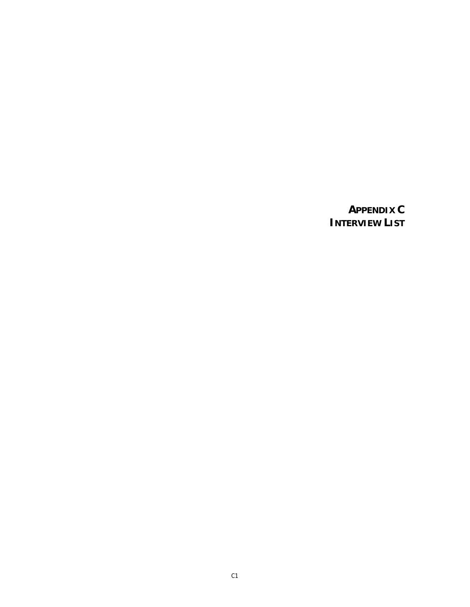### **APPENDIX C INTERVIEW LIST**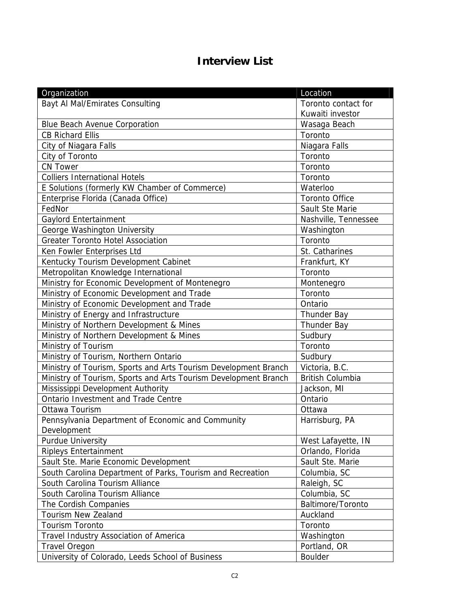### **Interview List**

| Organization                                                    | Location                |
|-----------------------------------------------------------------|-------------------------|
| <b>Bayt AI Mal/Emirates Consulting</b>                          | Toronto contact for     |
|                                                                 | Kuwaiti investor        |
| <b>Blue Beach Avenue Corporation</b>                            | Wasaga Beach            |
| <b>CB Richard Ellis</b>                                         | Toronto                 |
| City of Niagara Falls                                           | Niagara Falls           |
| City of Toronto                                                 | Toronto                 |
| <b>CN Tower</b>                                                 | Toronto                 |
| <b>Colliers International Hotels</b>                            | Toronto                 |
| E Solutions (formerly KW Chamber of Commerce)                   | Waterloo                |
| Enterprise Florida (Canada Office)                              | <b>Toronto Office</b>   |
| FedNor                                                          | Sault Ste Marie         |
| Gaylord Entertainment                                           | Nashville, Tennessee    |
| George Washington University                                    | Washington              |
| <b>Greater Toronto Hotel Association</b>                        | Toronto                 |
| Ken Fowler Enterprises Ltd                                      | St. Catharines          |
| Kentucky Tourism Development Cabinet                            | Frankfurt, KY           |
| Metropolitan Knowledge International                            | Toronto                 |
| Ministry for Economic Development of Montenegro                 | Montenegro              |
| Ministry of Economic Development and Trade                      | Toronto                 |
| Ministry of Economic Development and Trade                      | Ontario                 |
| Ministry of Energy and Infrastructure                           | <b>Thunder Bay</b>      |
| Ministry of Northern Development & Mines                        | <b>Thunder Bay</b>      |
| Ministry of Northern Development & Mines                        | Sudbury                 |
| Ministry of Tourism                                             | Toronto                 |
| Ministry of Tourism, Northern Ontario                           | Sudbury                 |
| Ministry of Tourism, Sports and Arts Tourism Development Branch | Victoria, B.C.          |
| Ministry of Tourism, Sports and Arts Tourism Development Branch | <b>British Columbia</b> |
| Mississippi Development Authority                               | Jackson, MI             |
| Ontario Investment and Trade Centre                             | Ontario                 |
| Ottawa Tourism                                                  | Ottawa                  |
| Pennsylvania Department of Economic and Community               | Harrisburg, PA          |
| Development                                                     |                         |
| <b>Purdue University</b>                                        | West Lafayette, IN      |
| <b>Ripleys Entertainment</b>                                    | Orlando, Florida        |
| Sault Ste. Marie Economic Development                           | Sault Ste. Marie        |
| South Carolina Department of Parks, Tourism and Recreation      | Columbia, SC            |
| South Carolina Tourism Alliance                                 | Raleigh, SC             |
| South Carolina Tourism Alliance                                 | Columbia, SC            |
| The Cordish Companies                                           | Baltimore/Toronto       |
| <b>Tourism New Zealand</b>                                      | Auckland                |
| <b>Tourism Toronto</b>                                          | Toronto                 |
| Travel Industry Association of America                          | Washington              |
| <b>Travel Oregon</b>                                            | Portland, OR            |
| University of Colorado, Leeds School of Business                | <b>Boulder</b>          |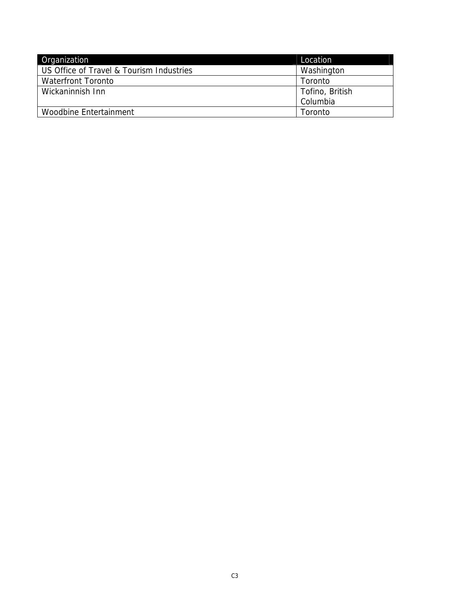| Organization                             | Location        |
|------------------------------------------|-----------------|
| US Office of Travel & Tourism Industries | Washington      |
| <b>Waterfront Toronto</b>                | Toronto         |
| Wickaninnish Inn                         | Tofino, British |
|                                          | Columbia        |
| Woodbine Entertainment                   | Toronto         |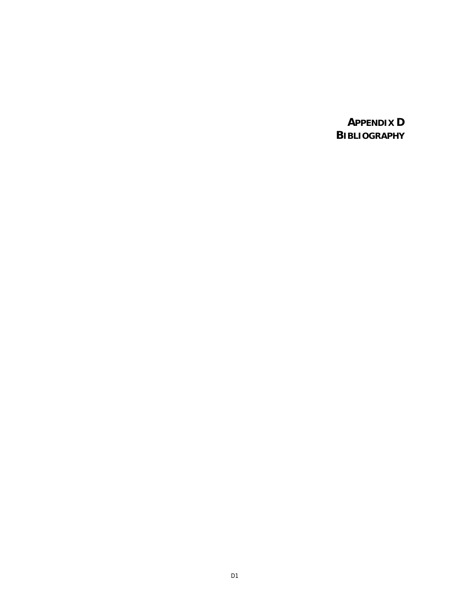**APPENDIX D BIBLIOGRAPHY**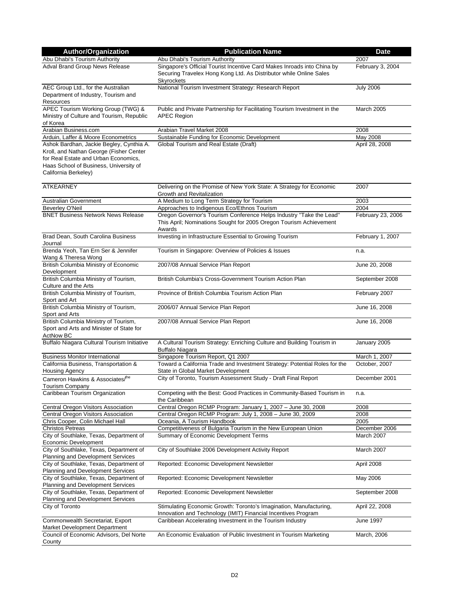| <b>Author/Organization</b>                                                                                                                                                                    | <b>Publication Name</b>                                                                                                                                     | <b>Date</b>       |
|-----------------------------------------------------------------------------------------------------------------------------------------------------------------------------------------------|-------------------------------------------------------------------------------------------------------------------------------------------------------------|-------------------|
| Abu Dhabi's Tourism Authority                                                                                                                                                                 | Abu Dhabi's Tourism Authority                                                                                                                               | 2007              |
| Adval Brand Group News Release                                                                                                                                                                | Singapore's Official Tourist Incentive Card Makes Inroads into China by<br>Securing Travelex Hong Kong Ltd. As Distributor while Online Sales<br>Skyrockets | February 3, 2004  |
| AEC Group Ltd., for the Australian<br>Department of Industry, Tourism and<br>Resources                                                                                                        | National Tourism Investment Strategy: Research Report                                                                                                       | <b>July 2006</b>  |
| APEC Tourism Working Group (TWG) &<br>Ministry of Culture and Tourism, Republic<br>of Korea                                                                                                   | Public and Private Partnership for Facilitating Tourism Investment in the<br><b>APEC Region</b>                                                             | March 2005        |
| Arabian Business.com                                                                                                                                                                          | Arabian Travel Market 2008                                                                                                                                  | 2008              |
| Arduin, Laffer & Moore Econometrics                                                                                                                                                           | Sustainable Funding for Economic Development                                                                                                                | May 2008          |
| Ashok Bardhan, Jackie Begley, Cynthia A.<br>Kroll, and Nathan George (Fisher Center<br>for Real Estate and Urban Economics,<br>Haas School of Business, University of<br>California Berkeley) | Global Tourism and Real Estate (Draft)                                                                                                                      | April 28, 2008    |
| <b>ATKEARNEY</b>                                                                                                                                                                              | Delivering on the Promise of New York State: A Strategy for Economic<br>Growth and Revitalization                                                           | 2007              |
| <b>Australian Government</b>                                                                                                                                                                  | A Medium to Long Term Strategy for Tourism                                                                                                                  | 2003              |
| Beverley O'Neil                                                                                                                                                                               | Approaches to Indigenous Eco/Ethnos Tourism                                                                                                                 | 2004              |
| <b>BNET Business Network News Release</b>                                                                                                                                                     | Oregon Governor's Tourism Conference Helps Industry "Take the Lead"<br>This April; Nominations Sought for 2005 Oregon Tourism Achievement<br>Awards         | February 23, 2006 |
| Brad Dean, South Carolina Business<br>Journal                                                                                                                                                 | Investing in Infrastructure Essential to Growing Tourism                                                                                                    | February 1, 2007  |
| Brenda Yeoh, Tan Ern Ser & Jennifer<br>Wang & Theresa Wong                                                                                                                                    | Tourism in Singapore: Overview of Policies & Issues                                                                                                         | n.a.              |
| <b>British Columbia Ministry of Economic</b><br>Development                                                                                                                                   | 2007/08 Annual Service Plan Report                                                                                                                          | June 20, 2008     |
| British Columbia Ministry of Tourism,<br>Culture and the Arts                                                                                                                                 | British Columbia's Cross-Government Tourism Action Plan                                                                                                     | September 2008    |
| British Columbia Ministry of Tourism,<br>Sport and Art                                                                                                                                        | Province of British Columbia Tourism Action Plan                                                                                                            | February 2007     |
| British Columbia Ministry of Tourism,<br>Sport and Arts                                                                                                                                       | 2006/07 Annual Service Plan Report                                                                                                                          | June 16, 2008     |
| British Columbia Ministry of Tourism,<br>Sport and Arts and Minister of State for<br><b>ActNow BC</b>                                                                                         | 2007/08 Annual Service Plan Report                                                                                                                          | June 16, 2008     |
| Buffalo Niagara Cultural Tourism Initiative                                                                                                                                                   | A Cultural Tourism Strategy: Enriching Culture and Building Tourism in<br><b>Buffalo Niagara</b>                                                            | January 2005      |
| <b>Business Monitor International</b>                                                                                                                                                         | Singapore Tourism Report, Q1 2007                                                                                                                           | March 1, 2007     |
| California Business, Transportation &<br><b>Housing Agency</b>                                                                                                                                | Toward a California Trade and Investment Strategy: Potential Roles for the<br>State in Global Market Development                                            | October, 2007     |
| Cameron Hawkins & Associates/the<br>Tourism Company                                                                                                                                           | City of Toronto, Tourism Assessment Study - Draft Final Report                                                                                              | December 2001     |
| Caribbean Tourism Organization                                                                                                                                                                | Competing with the Best: Good Practices in Community-Based Tourism in<br>the Caribbean                                                                      | n.a.              |
| Central Oregon Visitors Association                                                                                                                                                           | Central Oregon RCMP Program: January 1, 2007 - June 30, 2008                                                                                                | 2008              |
| Central Oregon Visitors Association                                                                                                                                                           | Central Oregon RCMP Program: July 1, 2008 - June 30, 2009                                                                                                   | 2008              |
| Chris Cooper, Colin Michael Hall                                                                                                                                                              | Oceania, A Tourism Handbook                                                                                                                                 | 2005              |
| <b>Christos Petreas</b>                                                                                                                                                                       | Competitiveness of Bulgaria Tourism in the New European Union                                                                                               | December 2006     |
| City of Southlake, Texas, Department of<br>Economic Development                                                                                                                               | Summary of Economic Development Terms                                                                                                                       | March 2007        |
| City of Southlake, Texas, Department of<br>Planning and Development Services                                                                                                                  | City of Southlake 2006 Development Activity Report                                                                                                          | March 2007        |
| City of Southlake, Texas, Department of<br>Planning and Development Services                                                                                                                  | Reported: Economic Development Newsletter                                                                                                                   | April 2008        |
| City of Southlake, Texas, Department of<br>Planning and Development Services                                                                                                                  | Reported: Economic Development Newsletter                                                                                                                   | May 2006          |
| City of Southlake, Texas, Department of<br>Planning and Development Services                                                                                                                  | Reported: Economic Development Newsletter                                                                                                                   | September 2008    |
| City of Toronto                                                                                                                                                                               | Stimulating Economic Growth: Toronto's Imagination, Manufacturing,<br>Innovation and Technology (IMIT) Financial Incentives Program                         | April 22, 2008    |
| Commonwealth Secretariat, Export<br>Market Development Department                                                                                                                             | Caribbean Accelerating Investment in the Tourism Industry                                                                                                   | June 1997         |
| Council of Economic Advisors, Del Norte<br>County                                                                                                                                             | An Economic Evaluation of Public Investment in Tourism Marketing                                                                                            | March, 2006       |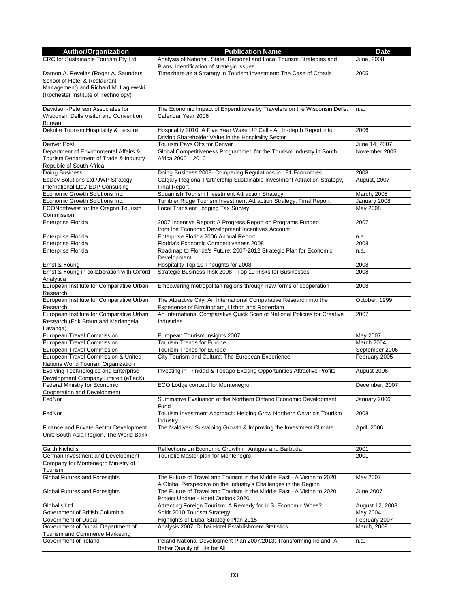| <b>Author/Organization</b>                                                                                                                         | <b>Publication Name</b>                                                                                                                   | Date                     |
|----------------------------------------------------------------------------------------------------------------------------------------------------|-------------------------------------------------------------------------------------------------------------------------------------------|--------------------------|
| CRC for Sustainable Tourism Pty Ltd                                                                                                                | Analysis of National, State. Regional and Local Tourism Strategies and<br>Plans: Identification of strategic issues                       | June, 2008               |
| Damon A. Revelas (Roger A. Saunders<br>School of Hotel & Restaurant<br>Management) and Richard M. Lagiewski<br>(Rochester Institute of Technology) | Timeshare as a Strategy in Tourism Investment: The Case of Croatia                                                                        | 2005                     |
| Davidson-Peterson Associates for<br>Wisconsin Dells Visitor and Convention<br><b>Bureau</b>                                                        | The Economic Impact of Expenditures by Travelers on the Wisconsin Dells:<br>Calendar Year 2006                                            | n.a.                     |
| Deloitte Tourism Hospitality & Leisure                                                                                                             | Hospitality 2010: A Five Year Wake UP Call - An In-depth Report into<br>Driving Shareholder Value in the Hospitality Sector               | 2006                     |
| Denver Post                                                                                                                                        | Tourism Pays Offs for Denver                                                                                                              | June 14, 2007            |
| Department of Environmental Affairs &                                                                                                              | Global Competitiveness Programmed for the Tourism Industry in South                                                                       | November 2005            |
| Tourism Department of Trade & Industry<br>Republic of South Africa                                                                                 | Africa 2005 - 2010                                                                                                                        |                          |
| Doing Business                                                                                                                                     | Doing Business 2009- Compering Regulations in 181 Economies                                                                               | 2008                     |
| EcDev Solutions Ltd./JWP Strategy                                                                                                                  | Calgary Regional Partnership Sustainable Investment Attraction Strategy,                                                                  | August, 2007             |
| International Ltd./ EDP Consulting                                                                                                                 | <b>Final Report</b>                                                                                                                       |                          |
| Economic Growth Solutions Inc.                                                                                                                     | Squamish Tourism Investment Attraction Strategy                                                                                           | March, 2005              |
| Economic Growth Solutions Inc.<br><b>ECONorthwest for the Oregon Tourism</b><br>Commission                                                         | Tumbler Ridge Tourism Investment Attraction Strategy: Final Report<br>Local Transient Lodging Tax Survey                                  | January 2008<br>May 2008 |
| <b>Enterprise Florida</b>                                                                                                                          | 2007 Incentive Report: A Progress Report on Programs Funded<br>from the Economic Development Incentives Account                           | 2007                     |
| <b>Enterprise Florida</b>                                                                                                                          | Enterprise Florida 2006 Annual Report                                                                                                     | n.a.                     |
| Enterprise Florida                                                                                                                                 | Florida's Economic Competitiveness 2008                                                                                                   | 2008                     |
| <b>Enterprise Florida</b>                                                                                                                          | Roadmap to Florida's Future: 2007-2012 Strategic Plan for Economic<br>Development                                                         | n.a.                     |
| Ernst & Young                                                                                                                                      | Hospitality Top 10 Thoughts for 2008                                                                                                      | 2008                     |
| Ernst & Young in collaboration with Oxford<br>Analytica                                                                                            | Strategic Business Risk 2008 - Top 10 Risks for Businesses                                                                                | 2008                     |
| European Institute for Comparative Urban<br>Research                                                                                               | Empowering metropolitan regions through new forms of cooperation                                                                          | 2008                     |
| European Institute for Comparative Urban<br>Research                                                                                               | The Attractive City: An International Comparative Research into the<br>Experience of Birmingham, Lisbon and Rotterdam                     | October, 1999            |
| European Institute for Comparative Urban<br>Research (Erik Braun and Mariangela<br>Lavanga)                                                        | An International Comparative Quick Scan of National Policies for Creative<br><b>Industries</b>                                            | 2007                     |
| European Travel Commission                                                                                                                         | European Tourism Insights 2007                                                                                                            | May 2007                 |
| European Travel Commission                                                                                                                         | <b>Tourism Trends for Europe</b>                                                                                                          | March 2004               |
| European Travel Commission                                                                                                                         | <b>Tourism Trends for Europe</b>                                                                                                          | September 2006           |
| European Travel Commission & United<br>Nations World Tourism Organization                                                                          | City Tourism and Culture: The European Experience                                                                                         | February 2005            |
| Evolving TecKnologies and Enterprise<br>Development Company Limited (eTecK)                                                                        | Investing in Trinidad & Tobago Exciting Opportunities Attractive Profits                                                                  | August 2006              |
| Federal Ministry for Economic<br>Cooperation and Development                                                                                       | ECO Lodge concept for Montenegro                                                                                                          | December, 2007           |
| FedNor                                                                                                                                             | Summative Evaluation of the Northern Ontario Economic Development<br>Fund                                                                 | January 2006             |
| FedNor                                                                                                                                             | Tourism Investment Approach: Helping Grow Northern Ontario's Tourism<br>Industry                                                          | 2008                     |
| Finance and Private Sector Development<br>Unit: South Asia Region, The World Bank                                                                  | The Maldives: Sustaining Growth & Improving the Investment Climate                                                                        | April, 2006              |
| <b>Garth Nicholls</b>                                                                                                                              | Reflections on Economic Growth in Antigua and Barbuda                                                                                     | 2001                     |
| German Investment and Development<br>Company for Montenegro Ministry of<br>Tourism                                                                 | Touristic Master plan for Montenegro                                                                                                      | 2001                     |
| Global Futures and Foresights                                                                                                                      | The Future of Travel and Tourism in the Middle East - A Vision to 2020<br>A Global Perspective on the Industry's Challenges in the Region | May 2007                 |
| Global Futures and Foresights                                                                                                                      | The Future of Travel and Tourism in the Middle East - A Vision to 2020<br>Project Update - Hotel Outlook 2020                             | <b>June 2007</b>         |
| Globalis Ltd.                                                                                                                                      | Attracting Foreign Tourism: A Remedy for U.S. Economic Woes?                                                                              | August 12, 2008          |
| Government of British Columbia                                                                                                                     | Spirit 2010 Tourism Strategy                                                                                                              | May 2004                 |
| Government of Dubai                                                                                                                                | Highlights of Dubai Strategic Plan 2015                                                                                                   | February 2007            |
| Government of Dubai, Department of<br>Tourism and Commerce Marketing                                                                               | Analysis 2007: Dubai Hotel Establishment Statistics                                                                                       | March, 2008              |
| Government of Ireland                                                                                                                              | Ireland National Development Plan 2007/2013: Transforming Ireland, A<br>Better Quality of Life for All                                    | n.a.                     |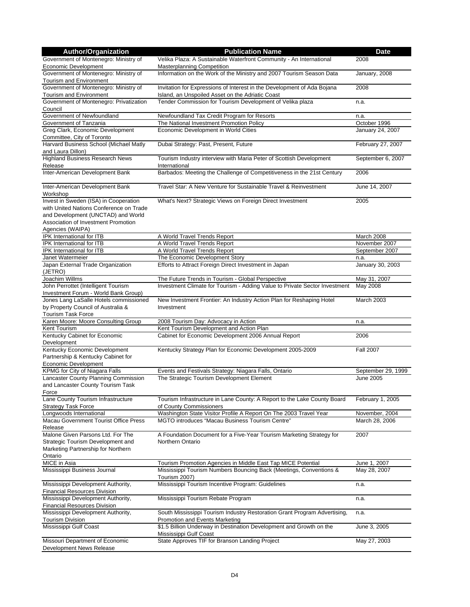| <b>Author/Organization</b>                        | <b>Publication Name</b>                                                              | <b>Date</b>        |
|---------------------------------------------------|--------------------------------------------------------------------------------------|--------------------|
| Government of Montenegro: Ministry of             | Velika Plaza: A Sustainable Waterfront Community - An International                  | 2008               |
| Economic Development                              | <b>Masterplanning Competition</b>                                                    |                    |
| Government of Montenegro: Ministry of             | Information on the Work of the Ministry and 2007 Tourism Season Data                 | January, 2008      |
| Tourism and Environment                           |                                                                                      |                    |
| Government of Montenegro: Ministry of             | Invitation for Expressions of Interest in the Development of Ada Bojana              | 2008               |
| Tourism and Environment                           | Island, an Unspoiled Asset on the Adriatic Coast                                     |                    |
| Government of Montenegro: Privatization           | Tender Commission for Tourism Development of Velika plaza                            | n.a.               |
| Council                                           |                                                                                      |                    |
| Government of Newfoundland                        | Newfoundland Tax Credit Program for Resorts                                          | n.a.               |
| Government of Tanzania                            | The National Investment Promotion Policy                                             | October 1996       |
| Greg Clark, Economic Development                  | Economic Development in World Cities                                                 | January 24, 2007   |
| Committee, City of Toronto                        |                                                                                      |                    |
| Harvard Business School (Michael Matly            | Dubai Strategy: Past, Present, Future                                                | February 27, 2007  |
| and Laura Dillon)                                 |                                                                                      |                    |
| <b>Highland Business Research News</b><br>Release | Tourism Industry interview with Maria Peter of Scottish Development<br>International | September 6, 2007  |
| Inter-American Development Bank                   | Barbados: Meeting the Challenge of Competitiveness in the 21st Century               | 2006               |
|                                                   |                                                                                      |                    |
| Inter-American Development Bank                   | Travel Star: A New Venture for Sustainable Travel & Reinvestment                     | June 14, 2007      |
| Workshop                                          |                                                                                      |                    |
| Invest in Sweden (ISA) in Cooperation             | What's Next? Strategic Views on Foreign Direct Investment                            | 2005               |
| with United Nations Conference on Trade           |                                                                                      |                    |
| and Development (UNCTAD) and World                |                                                                                      |                    |
| Association of Investment Promotion               |                                                                                      |                    |
| Agencies (WAIPA)                                  |                                                                                      |                    |
| IPK International for ITB                         | A World Travel Trends Report                                                         | March 2008         |
| <b>IPK International for ITB</b>                  | A World Travel Trends Report                                                         | November 2007      |
| IPK International for ITB                         | A World Travel Trends Report                                                         | September 2007     |
| Janet Watermeier                                  | The Economic Development Story                                                       | n.a.               |
| Japan External Trade Organization                 | Efforts to Attract Foreign Direct Investment in Japan                                | January 30, 2003   |
| (JETRO)                                           |                                                                                      |                    |
| Joachim Willms                                    | The Future Trends in Tourism - Global Perspective                                    | May 31, 2007       |
| John Perrottet (Intelligent Tourism               | Investment Climate for Tourism - Adding Value to Private Sector Investment           | May 2008           |
| Investment Forum - World Bank Group)              |                                                                                      |                    |
| Jones Lang LaSalle Hotels commissioned            | New Investment Frontier: An Industry Action Plan for Reshaping Hotel                 | March 2003         |
| by Property Council of Australia &                | Investment                                                                           |                    |
| <b>Tourism Task Force</b>                         |                                                                                      |                    |
| Karen Moore: Moore Consulting Group               | 2008 Tourism Day: Advocacy in Action                                                 | n.a.               |
| Kent Tourism                                      | Kent Tourism Development and Action Plan                                             |                    |
| Kentucky Cabinet for Economic                     | Cabinet for Economic Development 2006 Annual Report                                  | 2006               |
| Development                                       |                                                                                      |                    |
| Kentucky Economic Development                     | Kentucky Strategy Plan for Economic Development 2005-2009                            | <b>Fall 2007</b>   |
| Partnership & Kentucky Cabinet for                |                                                                                      |                    |
| Economic Development                              |                                                                                      |                    |
| KPMG for City of Niagara Falls                    | Events and Festivals Strategy: Niagara Falls, Ontario                                | September 29, 1999 |
| Lancaster County Planning Commission              | The Strategic Tourism Development Element                                            | June 2005          |
| and Lancaster County Tourism Task                 |                                                                                      |                    |
| Force<br>Lane County Tourism Infrastructure       | Tourism Infrastructure in Lane County: A Report to the Lake County Board             | February 1, 2005   |
| <b>Strategy Task Force</b>                        | of County Commissioners                                                              |                    |
| Longwoods International                           | Washington State Visitor Profile A Report On The 2003 Travel Year                    | November, 2004     |
| Macau Government Tourist Office Press             | MGTO introduces "Macau Business Tourism Centre"                                      | March 28, 2006     |
| Release                                           |                                                                                      |                    |
| Malone Given Parsons Ltd. For The                 | A Foundation Document for a Five-Year Tourism Marketing Strategy for                 | 2007               |
| Strategic Tourism Development and                 | Northern Ontario                                                                     |                    |
| Marketing Partnership for Northern                |                                                                                      |                    |
| Ontario                                           |                                                                                      |                    |
| MICE in Asia                                      | Tourism Promotion Agencies in Middle East Tap MICE Potential                         | June 1, 2007       |
| Mississippi Business Journal                      | Mississippi Tourism Numbers Bouncing Back (Meetings, Conventions &                   | May 28, 2007       |
|                                                   | Tourism 2007)                                                                        |                    |
| Mississippi Development Authority,                | Mississippi Tourism Incentive Program: Guidelines                                    | n.a.               |
| <b>Financial Resources Division</b>               |                                                                                      |                    |
| Mississippi Development Authority,                | Mississippi Tourism Rebate Program                                                   | n.a.               |
| <b>Financial Resources Division</b>               |                                                                                      |                    |
| Mississippi Development Authority,                | South Mississippi Tourism Industry Restoration Grant Program Advertising,            | n.a.               |
| <b>Tourism Division</b>                           | <b>Promotion and Events Marketing</b>                                                |                    |
| Mississippi Gulf Coast                            | \$1.5 Billion Underway in Destination Development and Growth on the                  | June 3, 2005       |
|                                                   | Mississippi Gulf Coast                                                               |                    |
| Missouri Department of Economic                   | State Approves TIF for Branson Landing Project                                       | May 27, 2003       |
| Development News Release                          |                                                                                      |                    |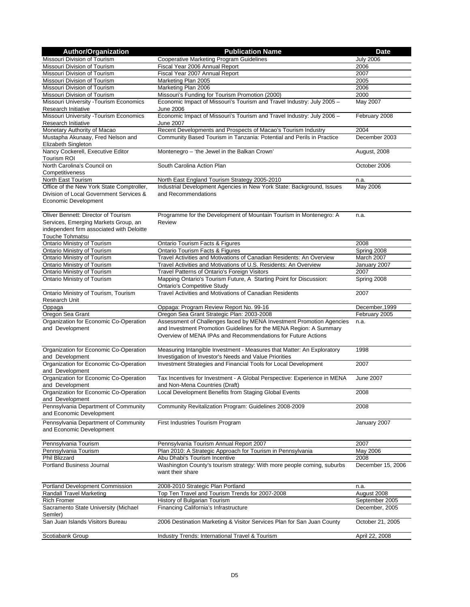| <b>Author/Organization</b>                                                                                                                  | <b>Publication Name</b>                                                                                                                                                                                    | <b>Date</b>       |
|---------------------------------------------------------------------------------------------------------------------------------------------|------------------------------------------------------------------------------------------------------------------------------------------------------------------------------------------------------------|-------------------|
| Missouri Division of Tourism                                                                                                                | <b>Cooperative Marketing Program Guidelines</b>                                                                                                                                                            | <b>July 2006</b>  |
| Missouri Division of Tourism                                                                                                                | Fiscal Year 2006 Annual Report                                                                                                                                                                             | 2006              |
| Missouri Division of Tourism                                                                                                                | Fiscal Year 2007 Annual Report                                                                                                                                                                             | 2007              |
| Missouri Division of Tourism                                                                                                                | Marketing Plan 2005                                                                                                                                                                                        | 2005              |
| Missouri Division of Tourism                                                                                                                | Marketing Plan 2006                                                                                                                                                                                        | 2006              |
| Missouri Division of Tourism                                                                                                                | Missouri's Funding for Tourism Promotion (2000)                                                                                                                                                            | 2000              |
| Missouri University - Tourism Economics<br>Research Initiative                                                                              | Economic Impact of Missouri's Tourism and Travel Industry: July 2005 -<br>June 2006                                                                                                                        | May 2007          |
| Missouri University - Tourism Economics<br>Research Initiative                                                                              | Economic Impact of Missouri's Tourism and Travel Industry: July 2006 -<br><b>June 2007</b>                                                                                                                 | February 2008     |
| Monetary Authority of Macao                                                                                                                 | Recent Developments and Prospects of Macao's Tourism Industry                                                                                                                                              | 2004              |
| Mustapha Akunaay, Fred Nelson and<br>Elizabeth Singleton                                                                                    | Community Based Tourism in Tanzania: Potential and Perils in Practice                                                                                                                                      | December 2003     |
| Nancy Cockerell, Executive Editor<br>Tourism ROI                                                                                            | Montenegro - 'the Jewel in the Balkan Crown'                                                                                                                                                               | August, 2008      |
| North Carolina's Council on<br>Competitiveness                                                                                              | South Carolina Action Plan                                                                                                                                                                                 | October 2006      |
| North East Tourism                                                                                                                          | North East England Tourism Strategy 2005-2010                                                                                                                                                              | n.a.              |
| Office of the New York State Comptroller,                                                                                                   | Industrial Development Agencies in New York State: Background, Issues                                                                                                                                      | May 2006          |
| Division of Local Government Services &<br>Economic Development                                                                             | and Recommendations                                                                                                                                                                                        |                   |
| Oliver Bennett: Director of Tourism<br>Services, Emerging Markets Group, an<br>independent firm associated with Deloitte<br>Touche Tohmatsu | Programme for the Development of Mountain Tourism in Montenegro: A<br>Review                                                                                                                               | n.a.              |
| Ontario Ministry of Tourism                                                                                                                 | Ontario Tourism Facts & Figures                                                                                                                                                                            | 2008              |
| Ontario Ministry of Tourism                                                                                                                 | Ontario Tourism Facts & Figures                                                                                                                                                                            | Spring 2008       |
| Ontario Ministry of Tourism                                                                                                                 | Travel Activities and Motivations of Canadian Residents: An Overview                                                                                                                                       | March 2007        |
| Ontario Ministry of Tourism                                                                                                                 | Travel Activities and Motivations of U.S. Residents: An Overview                                                                                                                                           | January 2007      |
| Ontario Ministry of Tourism                                                                                                                 | Travel Patterns of Ontario's Foreign Visitors                                                                                                                                                              | 2007              |
| Ontario Ministry of Tourism                                                                                                                 | Mapping Ontario's Tourism Future, A Starting Point for Discussion:<br><b>Ontario's Competitive Study</b>                                                                                                   | Spring 2008       |
| Ontario Ministry of Tourism, Tourism<br>Research Unit                                                                                       | Travel Activities and Motivations of Canadian Residents                                                                                                                                                    | 2007              |
| Oppaga                                                                                                                                      | Oppaga: Program Review Report No. 99-16                                                                                                                                                                    | December, 1999    |
| Oregon Sea Grant                                                                                                                            | Oregon Sea Grant Strategic Plan: 2003-2008                                                                                                                                                                 | February 2005     |
| Organization for Economic Co-Operation<br>and Development                                                                                   | Assessment of Challenges faced by MENA Investment Promotion Agencies<br>and Investment Promotion Guidelines for the MENA Region: A Summary<br>Overview of MENA IPAs and Recommendations for Future Actions | n.a.              |
| Organization for Economic Co-Operation<br>and Development                                                                                   | Measuring Intangible Investment - Measures that Matter: An Exploratory<br>Investigation of Investor's Needs and Value Priorities                                                                           | 1998              |
| Organization for Economic Co-Operation<br>and Development                                                                                   | Investment Strategies and Financial Tools for Local Development                                                                                                                                            | 2007              |
| Organization for Economic Co-Operation<br>and Development                                                                                   | Tax Incentives for Investment - A Global Perspective: Experience in MENA<br>and Non-Mena Countries (Draft)                                                                                                 | <b>June 2007</b>  |
| Organization for Economic Co-Operation<br>and Development                                                                                   | Local Development Benefits from Staging Global Events                                                                                                                                                      | 2008              |
| Pennsylvania Department of Community<br>and Economic Development                                                                            | Community Revitalization Program: Guidelines 2008-2009                                                                                                                                                     | 2008              |
| Pennsylvania Department of Community<br>and Economic Development                                                                            | First Industries Tourism Program                                                                                                                                                                           | January 2007      |
| Pennsylvania Tourism                                                                                                                        | Pennsylvania Tourism Annual Report 2007                                                                                                                                                                    | 2007              |
| Pennsylvania Tourism                                                                                                                        | Plan 2010: A Strategic Approach for Tourism in Pennsylvania                                                                                                                                                | May 2006          |
| Phil Blizzard                                                                                                                               | Abu Dhabi's Tourism Incentive                                                                                                                                                                              | 2008              |
| Portland Business Journal                                                                                                                   | Washington County's tourism strategy: With more people coming, suburbs<br>want their share                                                                                                                 | December 15, 2006 |
| Portland Development Commission                                                                                                             | 2008-2010 Strategic Plan Portland                                                                                                                                                                          | n.a.              |
| <b>Randall Travel Marketing</b>                                                                                                             | Top Ten Travel and Tourism Trends for 2007-2008                                                                                                                                                            | August 2008       |
| <b>Rich Fromer</b>                                                                                                                          | History of Bulgarian Tourism                                                                                                                                                                               | September 2005    |
| Sacramento State University (Michael<br>Semler)                                                                                             | Financing California's Infrastructure                                                                                                                                                                      | December, 2005    |
| San Juan Islands Visitors Bureau                                                                                                            | 2006 Destination Marketing & Visitor Services Plan for San Juan County                                                                                                                                     | October 21, 2005  |
| Scotiabank Group                                                                                                                            | Industry Trends: International Travel & Tourism                                                                                                                                                            | April 22, 2008    |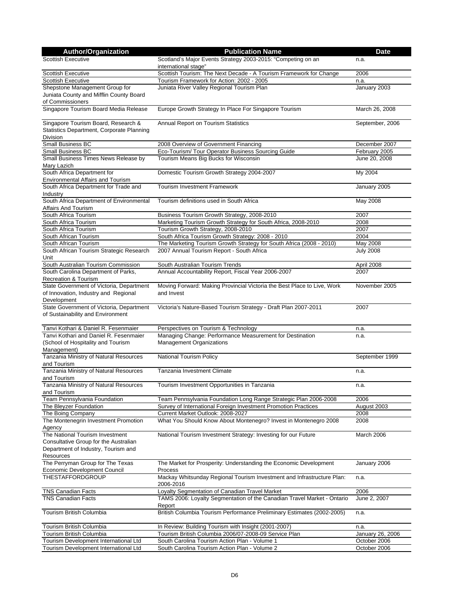| <b>Author/Organization</b>                                                     | <b>Publication Name</b>                                                                                                   | <b>Date</b>      |
|--------------------------------------------------------------------------------|---------------------------------------------------------------------------------------------------------------------------|------------------|
| <b>Scottish Executive</b>                                                      | Scotland's Major Events Strategy 2003-2015: "Competing on an                                                              | n.a.             |
|                                                                                | international stage"                                                                                                      |                  |
| <b>Scottish Executive</b>                                                      | Scottish Tourism: The Next Decade - A Tourism Framework for Change                                                        | 2006             |
| <b>Scottish Executive</b>                                                      | Tourism Framework for Action: 2002 - 2005                                                                                 | n.a.             |
| Shepstone Management Group for                                                 | Juniata River Valley Regional Tourism Plan                                                                                | January 2003     |
| Juniata County and Mifflin County Board                                        |                                                                                                                           |                  |
| of Commissioners                                                               |                                                                                                                           |                  |
| Singapore Tourism Board Media Release                                          | Europe Growth Strategy In Place For Singapore Tourism                                                                     | March 26, 2008   |
| Singapore Tourism Board, Research &                                            | Annual Report on Tourism Statistics                                                                                       | September, 2006  |
| Statistics Department, Corporate Planning                                      |                                                                                                                           |                  |
| Division                                                                       |                                                                                                                           |                  |
| Small Business BC                                                              | 2008 Overview of Government Financing                                                                                     | December 2007    |
| Small Business BC                                                              | Eco-Tourism/ Tour Operator Business Sourcing Guide                                                                        | February 2005    |
| Small Business Times News Release by                                           | Tourism Means Big Bucks for Wisconsin                                                                                     | June 20, 2008    |
| Mary Lazich                                                                    |                                                                                                                           |                  |
| South Africa Department for                                                    | Domestic Tourism Growth Strategy 2004-2007                                                                                | My 2004          |
| Environmental Affairs and Tourism                                              |                                                                                                                           |                  |
| South Africa Department for Trade and                                          | <b>Tourism Investment Framework</b>                                                                                       | January 2005     |
| Industry                                                                       |                                                                                                                           |                  |
| South Africa Department of Environmental                                       | Tourism definitions used in South Africa                                                                                  | May 2008         |
| Affairs And Tourism                                                            |                                                                                                                           |                  |
| South Africa Tourism                                                           | Business Tourism Growth Strategy, 2008-2010                                                                               | 2007             |
| South Africa Tourism                                                           | Marketing Tourism Growth Strategy for South Africa, 2008-2010                                                             | 2008             |
| South Africa Tourism                                                           | Tourism Growth Strategy, 2008-2010                                                                                        | 2007<br>2004     |
| South African Tourism<br>South African Tourism                                 | South Africa Tourism Growth Strategy: 2008 - 2010<br>The Marketing Tourism Growth Strategy for South Africa (2008 - 2010) | May 2008         |
| South African Tourism Strategic Research                                       | 2007 Annual Tourism Report - South Africa                                                                                 | <b>July 2008</b> |
| Unit                                                                           |                                                                                                                           |                  |
| South Australian Tourism Commission                                            | South Australian Tourism Trends                                                                                           | April 2008       |
| South Carolina Department of Parks,                                            | Annual Accountability Report, Fiscal Year 2006-2007                                                                       | 2007             |
| <b>Recreation &amp; Tourism</b>                                                |                                                                                                                           |                  |
| State Government of Victoria, Department                                       | Moving Forward: Making Provincial Victoria the Best Place to Live, Work                                                   | November 2005    |
| of Innovation, Industry and Regional                                           | and Invest                                                                                                                |                  |
| Development                                                                    |                                                                                                                           |                  |
| State Government of Victoria, Department                                       | Victoria's Nature-Based Tourism Strategy - Draft Plan 2007-2011                                                           | 2007             |
| of Sustainability and Environment                                              |                                                                                                                           |                  |
|                                                                                |                                                                                                                           |                  |
| Tanvi Kothari & Daniel R. Fesenmaier<br>Tanvi Kothari and Daniel R. Fesenmaier | Perspectives on Tourism & Technology                                                                                      | n.a.             |
| (School of Hospitality and Tourism                                             | Managing Change: Performance Measurement for Destination<br>Management Organizations                                      | n.a.             |
| Management)                                                                    |                                                                                                                           |                  |
| Tanzania Ministry of Natural Resources                                         | National Tourism Policy                                                                                                   | September 1999   |
| and Tourism                                                                    |                                                                                                                           |                  |
| Tanzania Ministry of Natural Resources                                         | Tanzania Investment Climate                                                                                               | n.a.             |
| and Tourism                                                                    |                                                                                                                           |                  |
| Tanzania Ministry of Natural Resources                                         | Tourism Investment Opportunities in Tanzania                                                                              | n.a.             |
| and Tourism                                                                    |                                                                                                                           |                  |
| Team Pennsylvania Foundation                                                   | Team Pennsylvania Foundation Long Range Strategic Plan 2006-2008                                                          | 2006             |
| The Bleyzer Foundation                                                         | Survey of International Foreign Investment Promotion Practices                                                            | August 2003      |
| The Boing Company                                                              | Current Market Outlook: 2008-2027                                                                                         | 2008             |
| The Montenegrin Investment Promotion                                           | What You Should Know About Montenegro? Invest in Montenegro 2008                                                          | 2008             |
| Agency<br>The National Tourism Investment                                      |                                                                                                                           |                  |
| Consultative Group for the Australian                                          | National Tourism Investment Strategy: Investing for our Future                                                            | March 2006       |
| Department of Industry, Tourism and                                            |                                                                                                                           |                  |
| <b>Resources</b>                                                               |                                                                                                                           |                  |
| The Perryman Group for The Texas                                               | The Market for Prosperity: Understanding the Economic Development                                                         | January 2006     |
| <b>Economic Development Council</b>                                            | Process                                                                                                                   |                  |
| <b>THESTAFFORDGROUP</b>                                                        | Mackay Whitsunday Regional Tourism Investment and Infrastructure Plan:                                                    | n.a.             |
|                                                                                | 2006-2016                                                                                                                 |                  |
| <b>TNS Canadian Facts</b>                                                      | Loyalty Segmentation of Canadian Travel Market                                                                            | 2006             |
| <b>TNS Canadian Facts</b>                                                      | TAMS 2006: Loyalty Segmentation of the Canadian Travel Market - Ontario                                                   | June 2, 2007     |
|                                                                                | Report                                                                                                                    |                  |
| Tourism British Columbia                                                       | British Columbia Tourism Performance Preliminary Estimates (2002-2005)                                                    | n.a.             |
|                                                                                |                                                                                                                           |                  |
| Tourism British Columbia                                                       | In Review: Building Tourism with Insight (2001-2007)                                                                      | n.a.             |
| Tourism British Columbia                                                       | Tourism British Columbia 2006/07-2008-09 Service Plan                                                                     | January 26, 2006 |
| Tourism Development International Ltd                                          | South Carolina Tourism Action Plan - Volume 1                                                                             | October 2006     |
| Tourism Development International Ltd                                          | South Carolina Tourism Action Plan - Volume 2                                                                             | October 2006     |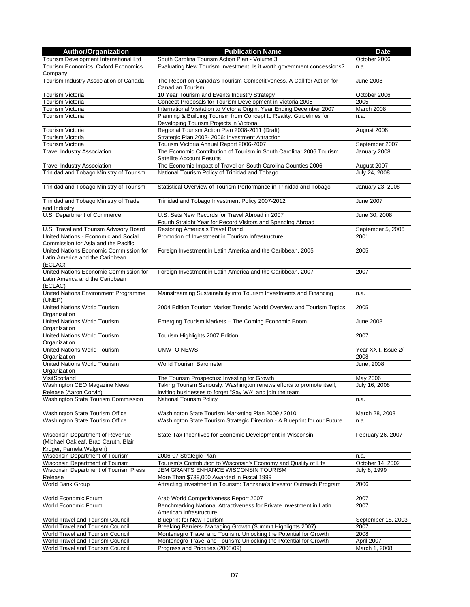| <b>Author/Organization</b>                                                                         | <b>Publication Name</b>                                                                                  | <b>Date</b>                 |
|----------------------------------------------------------------------------------------------------|----------------------------------------------------------------------------------------------------------|-----------------------------|
| Tourism Development International Ltd                                                              | South Carolina Tourism Action Plan - Volume 3                                                            | October 2006                |
| Tourism Economics, Oxford Economics<br>Company                                                     | Evaluating New Tourism Investment: Is it worth government concessions?                                   | n.a.                        |
| Tourism Industry Association of Canada                                                             | The Report on Canada's Tourism Competitiveness, A Call for Action for<br>Canadian Tourism                | <b>June 2008</b>            |
| <b>Tourism Victoria</b>                                                                            | 10 Year Tourism and Events Industry Strategy                                                             | October 2006                |
| Tourism Victoria                                                                                   | Concept Proposals for Tourism Development in Victoria 2005                                               | 2005                        |
| Tourism Victoria                                                                                   | International Visitation to Victoria Origin: Year Ending December 2007                                   | March 2008                  |
| Tourism Victoria                                                                                   | Planning & Building Tourism from Concept to Reality: Guidelines for                                      | n.a.                        |
|                                                                                                    | Developing Tourism Projects in Victoria                                                                  |                             |
| Tourism Victoria                                                                                   | Regional Tourism Action Plan 2008-2011 (Draft)                                                           | August 2008                 |
| Tourism Victoria                                                                                   | Strategic Plan 2002- 2006: Investment Attraction                                                         |                             |
| Tourism Victoria                                                                                   | Tourism Victoria Annual Report 2006-2007                                                                 | September 2007              |
| <b>Travel Industry Association</b>                                                                 | The Economic Contribution of Tourism in South Carolina: 2006 Tourism<br><b>Satellite Account Results</b> | January 2008                |
| <b>Travel Industry Association</b>                                                                 | The Economic Impact of Travel on South Carolina Counties 2006                                            | August 2007                 |
| Trinidad and Tobago Ministry of Tourism                                                            | National Tourism Policy of Trinidad and Tobago                                                           | July 24, 2008               |
|                                                                                                    |                                                                                                          |                             |
| Trinidad and Tobago Ministry of Tourism                                                            | Statistical Overview of Tourism Performance in Trinidad and Tobago                                       | January 23, 2008            |
| Trinidad and Tobago Ministry of Trade<br>and Industry                                              | Trinidad and Tobago Investment Policy 2007-2012                                                          | June 2007                   |
| U.S. Department of Commerce                                                                        | U.S. Sets New Records for Travel Abroad in 2007                                                          | June 30, 2008               |
|                                                                                                    | Fourth Straight Year for Record Visitors and Spending Abroad                                             |                             |
| U.S. Travel and Tourism Advisory Board                                                             | Restoring America's Travel Brand                                                                         | September 5, 2006           |
| United Nations - Economic and Social<br>Commission for Asia and the Pacific                        | Promotion of Investment in Tourism Infrastructure                                                        | 2001                        |
| United Nations Economic Commission for<br>Latin America and the Caribbean<br>(ECLAC)               | Foreign Investment in Latin America and the Caribbean, 2005                                              | 2005                        |
| United Nations Economic Commission for<br>Latin America and the Caribbean<br>(ECLAC)               | Foreign Investment in Latin America and the Caribbean, 2007                                              | 2007                        |
| United Nations Environment Programme<br>(UNEP)                                                     | Mainstreaming Sustainability into Tourism Investments and Financing                                      | n.a.                        |
| <b>United Nations World Tourism</b><br>Organization                                                | 2004 Edition Tourism Market Trends: World Overview and Tourism Topics                                    | 2005                        |
| United Nations World Tourism<br>Organization                                                       | Emerging Tourism Markets - The Coming Economic Boom                                                      | <b>June 2008</b>            |
| United Nations World Tourism<br>Organization                                                       | Tourism Highlights 2007 Edition                                                                          | 2007                        |
| United Nations World Tourism<br>Organization                                                       | <b>UNWTO NEWS</b>                                                                                        | Year XXII, Issue 2/<br>2008 |
| <b>United Nations World Tourism</b><br>Organization                                                | World Tourism Barometer                                                                                  | <b>June, 2008</b>           |
| VisitScotland                                                                                      | The Tourism Prospectus: Investing for Growth                                                             | May 2006                    |
| Washington CEO Magazine News                                                                       | Taking Tourism Seriously: Washington renews efforts to promote itself,                                   | July 16, 2008               |
| Release (Aaron Corvin)                                                                             | inviting businesses to forget "Say WA" and join the team                                                 |                             |
| Washington State Tourism Commission                                                                | National Tourism Policy                                                                                  | n.a.                        |
| Washington State Tourism Office                                                                    | Washington State Tourism Marketing Plan 2009 / 2010                                                      | March 28, 2008              |
| Washington State Tourism Office                                                                    | Washington State Tourism Strategic Direction - A Blueprint for our Future                                | n.a.                        |
| Wisconsin Department of Revenue<br>(Michael Oakleaf, Brad Caruth, Blair<br>Kruger, Pamela Walgren) | State Tax Incentives for Economic Development in Wisconsin                                               | February 26, 2007           |
| Wisconsin Department of Tourism                                                                    | 2006-07 Strategic Plan                                                                                   | n.a.                        |
| Wisconsin Department of Tourism                                                                    | Tourism's Contribution to Wisconsin's Economy and Quality of Life                                        | October 14, 2002            |
| Wisconsin Department of Tourism Press                                                              | JEM GRANTS ENHANCE WISCONSIN TOURISM                                                                     | July 8, 1999                |
| Release                                                                                            | More Than \$739,000 Awarded in Fiscal 1999                                                               |                             |
| World Bank Group                                                                                   | Attracting Investment in Tourism: Tanzania's Investor Outreach Program                                   | 2006                        |
| World Economic Forum                                                                               | Arab World Competitiveness Report 2007                                                                   | 2007                        |
| World Economic Forum                                                                               | Benchmarking National Attractiveness for Private Investment in Latin<br>American Infrastructure          | 2007                        |
| World Travel and Tourism Council                                                                   | <b>Blueprint for New Tourism</b>                                                                         | September 18, 2003          |
| World Travel and Tourism Council                                                                   | Breaking Barriers- Managing Growth (Summit Highlights 2007)                                              | 2007                        |
| <b>World Travel and Tourism Council</b>                                                            | Montenegro Travel and Tourism: Unlocking the Potential for Growth                                        | 2008                        |
| World Travel and Tourism Council                                                                   | Montenegro Travel and Tourism: Unlocking the Potential for Growth                                        | April 2007                  |
| World Travel and Tourism Council                                                                   | Progress and Priorities (2008/09)                                                                        | March 1, 2008               |
|                                                                                                    |                                                                                                          |                             |